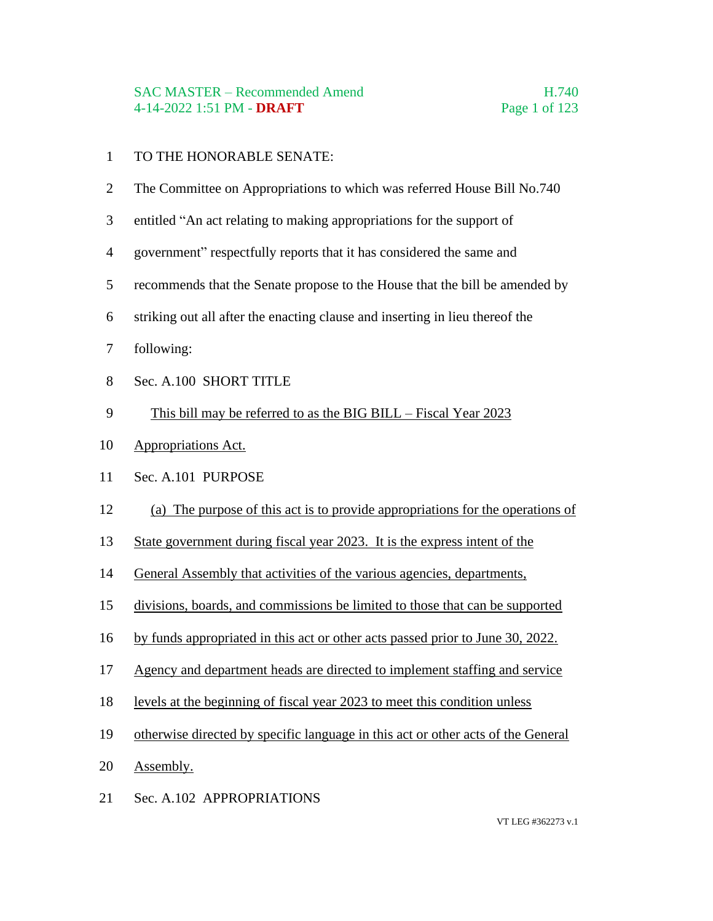#### SAC MASTER – Recommended Amend H.740 4-14-2022 1:51 PM - **DRAFT** Page 1 of 123

#### TO THE HONORABLE SENATE:

- The Committee on Appropriations to which was referred House Bill No.740
- entitled "An act relating to making appropriations for the support of
- government" respectfully reports that it has considered the same and
- recommends that the Senate propose to the House that the bill be amended by
- striking out all after the enacting clause and inserting in lieu thereof the
- following:
- Sec. A.100 SHORT TITLE
- This bill may be referred to as the BIG BILL Fiscal Year 2023
- Appropriations Act.
- Sec. A.101 PURPOSE
- (a) The purpose of this act is to provide appropriations for the operations of
- State government during fiscal year 2023. It is the express intent of the
- General Assembly that activities of the various agencies, departments,
- divisions, boards, and commissions be limited to those that can be supported
- by funds appropriated in this act or other acts passed prior to June 30, 2022.
- Agency and department heads are directed to implement staffing and service
- levels at the beginning of fiscal year 2023 to meet this condition unless
- otherwise directed by specific language in this act or other acts of the General
- Assembly.
- Sec. A.102 APPROPRIATIONS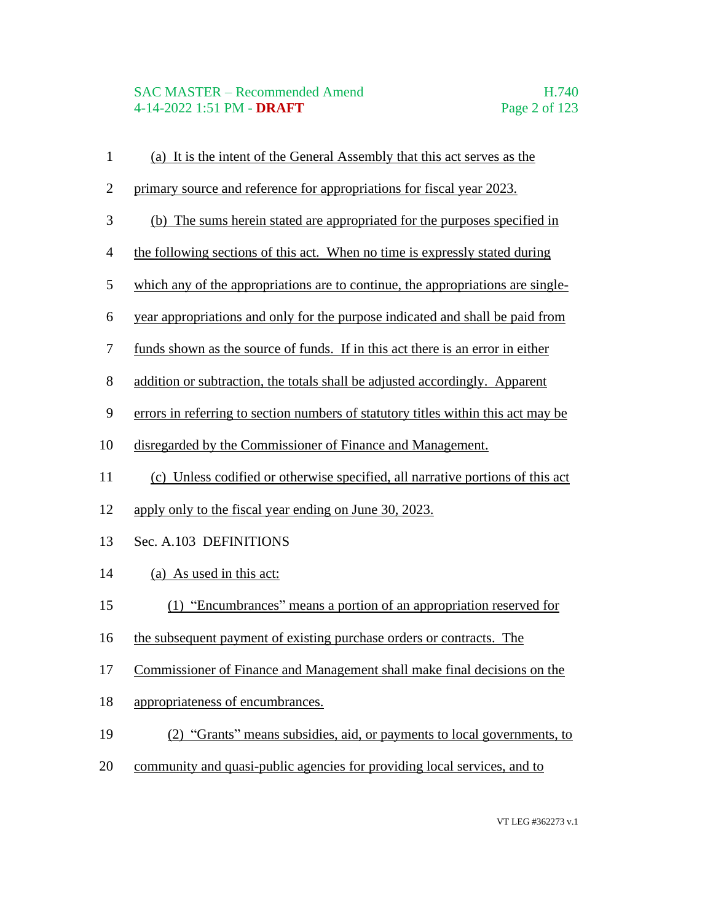#### SAC MASTER – Recommended Amend H.740 4-14-2022 1:51 PM - **DRAFT** Page 2 of 123

 (a) It is the intent of the General Assembly that this act serves as the primary source and reference for appropriations for fiscal year 2023. (b) The sums herein stated are appropriated for the purposes specified in the following sections of this act. When no time is expressly stated during which any of the appropriations are to continue, the appropriations are single- year appropriations and only for the purpose indicated and shall be paid from funds shown as the source of funds. If in this act there is an error in either addition or subtraction, the totals shall be adjusted accordingly. Apparent errors in referring to section numbers of statutory titles within this act may be disregarded by the Commissioner of Finance and Management. (c) Unless codified or otherwise specified, all narrative portions of this act apply only to the fiscal year ending on June 30, 2023. Sec. A.103 DEFINITIONS (a) As used in this act: (1) "Encumbrances" means a portion of an appropriation reserved for the subsequent payment of existing purchase orders or contracts. The Commissioner of Finance and Management shall make final decisions on the appropriateness of encumbrances. (2) "Grants" means subsidies, aid, or payments to local governments, to community and quasi-public agencies for providing local services, and to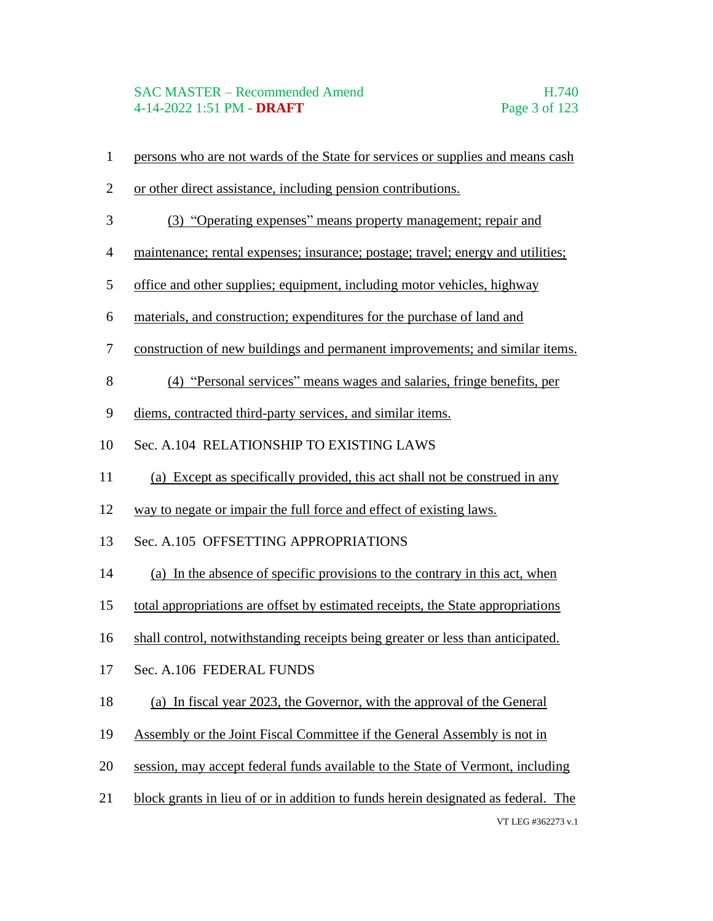- persons who are not wards of the State for services or supplies and means cash
- or other direct assistance, including pension contributions.
- (3) "Operating expenses" means property management; repair and
- maintenance; rental expenses; insurance; postage; travel; energy and utilities;
- office and other supplies; equipment, including motor vehicles, highway
- materials, and construction; expenditures for the purchase of land and
- construction of new buildings and permanent improvements; and similar items.
- (4) "Personal services" means wages and salaries, fringe benefits, per
- diems, contracted third-party services, and similar items.
- Sec. A.104 RELATIONSHIP TO EXISTING LAWS
- (a) Except as specifically provided, this act shall not be construed in any
- way to negate or impair the full force and effect of existing laws.
- Sec. A.105 OFFSETTING APPROPRIATIONS
- (a) In the absence of specific provisions to the contrary in this act, when
- total appropriations are offset by estimated receipts, the State appropriations
- shall control, notwithstanding receipts being greater or less than anticipated.
- Sec. A.106 FEDERAL FUNDS
- (a) In fiscal year 2023, the Governor, with the approval of the General
- Assembly or the Joint Fiscal Committee if the General Assembly is not in
- session, may accept federal funds available to the State of Vermont, including
- VT LEG #362273 v.1 block grants in lieu of or in addition to funds herein designated as federal. The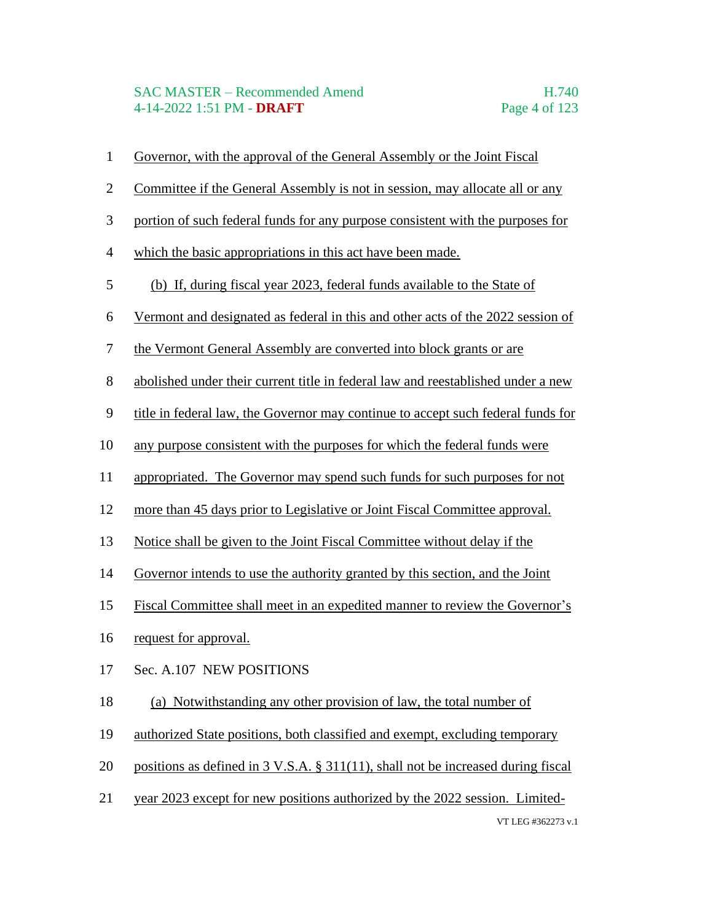#### SAC MASTER – Recommended Amend H.740 4-14-2022 1:51 PM - **DRAFT** Page 4 of 123

- Governor, with the approval of the General Assembly or the Joint Fiscal
- Committee if the General Assembly is not in session, may allocate all or any
- portion of such federal funds for any purpose consistent with the purposes for
- which the basic appropriations in this act have been made.
- (b) If, during fiscal year 2023, federal funds available to the State of
- Vermont and designated as federal in this and other acts of the 2022 session of
- the Vermont General Assembly are converted into block grants or are
- abolished under their current title in federal law and reestablished under a new
- title in federal law, the Governor may continue to accept such federal funds for
- any purpose consistent with the purposes for which the federal funds were
- appropriated. The Governor may spend such funds for such purposes for not
- more than 45 days prior to Legislative or Joint Fiscal Committee approval.
- Notice shall be given to the Joint Fiscal Committee without delay if the
- Governor intends to use the authority granted by this section, and the Joint
- Fiscal Committee shall meet in an expedited manner to review the Governor's
- request for approval.
- Sec. A.107 NEW POSITIONS
- (a) Notwithstanding any other provision of law, the total number of
- authorized State positions, both classified and exempt, excluding temporary
- positions as defined in 3 V.S.A. § 311(11), shall not be increased during fiscal
- VT LEG #362273 v.1 year 2023 except for new positions authorized by the 2022 session. Limited-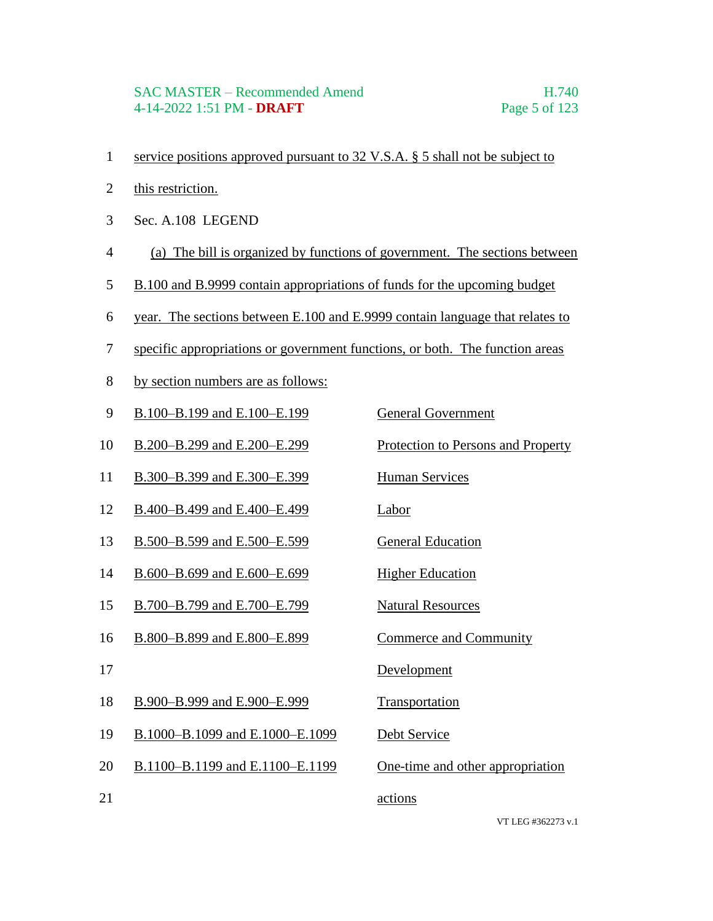#### SAC MASTER – Recommended Amend H.740 4-14-2022 1:51 PM - **DRAFT** Page 5 of 123

- service positions approved pursuant to 32 V.S.A. § 5 shall not be subject to
- this restriction.
- Sec. A.108 LEGEND
- (a) The bill is organized by functions of government. The sections between
- 5 B.100 and B.9999 contain appropriations of funds for the upcoming budget
- year. The sections between E.100 and E.9999 contain language that relates to
- specific appropriations or government functions, or both. The function areas
- by section numbers are as follows:

| 9  | B.100-B.199 and E.100-E.199     | <b>General Government</b>          |
|----|---------------------------------|------------------------------------|
| 10 | B.200-B.299 and E.200-E.299     | Protection to Persons and Property |
| 11 | B.300-B.399 and E.300-E.399     | <b>Human Services</b>              |
| 12 | B.400-B.499 and E.400-E.499     | <b>Labor</b>                       |
| 13 | B.500-B.599 and E.500-E.599     | <b>General Education</b>           |
| 14 | B.600-B.699 and E.600-E.699     | <b>Higher Education</b>            |
| 15 | B.700-B.799 and E.700-E.799     | <b>Natural Resources</b>           |
| 16 | B.800-B.899 and E.800-E.899     | <b>Commerce and Community</b>      |
| 17 |                                 | Development                        |
| 18 | B.900-B.999 and E.900-E.999     | Transportation                     |
| 19 | B.1000-B.1099 and E.1000-E.1099 | Debt Service                       |
| 20 | B.1100-B.1199 and E.1100-E.1199 | One-time and other appropriation   |
| 21 |                                 | actions                            |
|    |                                 |                                    |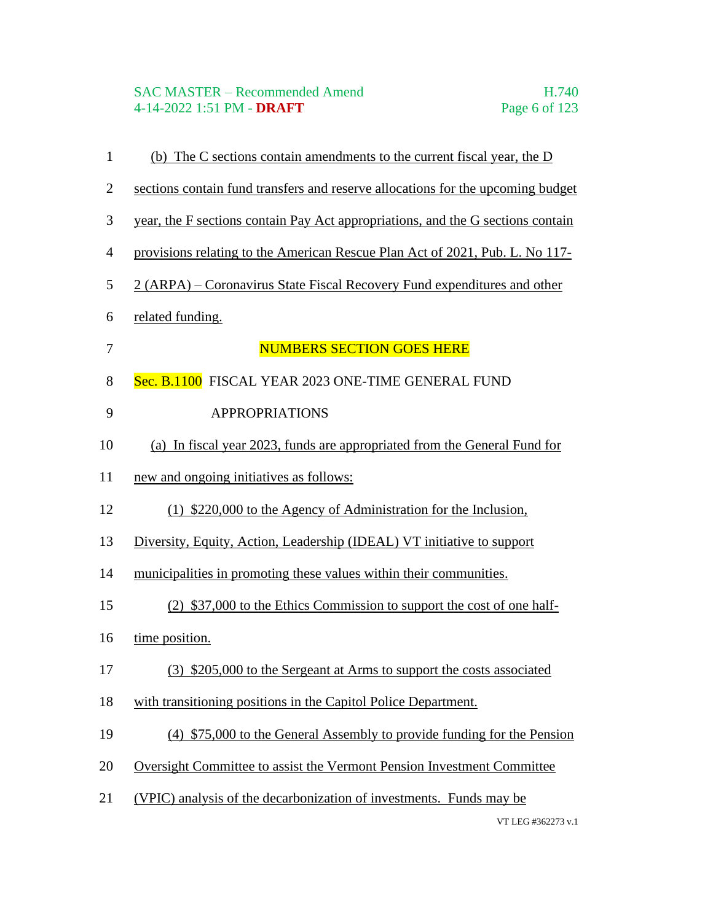#### SAC MASTER – Recommended Amend H.740 4-14-2022 1:51 PM - **DRAFT** Page 6 of 123

VT LEG #362273 v.1 (b) The C sections contain amendments to the current fiscal year, the D sections contain fund transfers and reserve allocations for the upcoming budget year, the F sections contain Pay Act appropriations, and the G sections contain provisions relating to the American Rescue Plan Act of 2021, Pub. L. No 117- 2 (ARPA) – Coronavirus State Fiscal Recovery Fund expenditures and other related funding. 7 NUMBERS SECTION GOES HERE 8 Sec. B.1100 FISCAL YEAR 2023 ONE-TIME GENERAL FUND 9 APPROPRIATIONS (a) In fiscal year 2023, funds are appropriated from the General Fund for new and ongoing initiatives as follows: (1) \$220,000 to the Agency of Administration for the Inclusion, Diversity, Equity, Action, Leadership (IDEAL) VT initiative to support municipalities in promoting these values within their communities. (2) \$37,000 to the Ethics Commission to support the cost of one half-16 time position. (3) \$205,000 to the Sergeant at Arms to support the costs associated with transitioning positions in the Capitol Police Department. (4) \$75,000 to the General Assembly to provide funding for the Pension Oversight Committee to assist the Vermont Pension Investment Committee (VPIC) analysis of the decarbonization of investments. Funds may be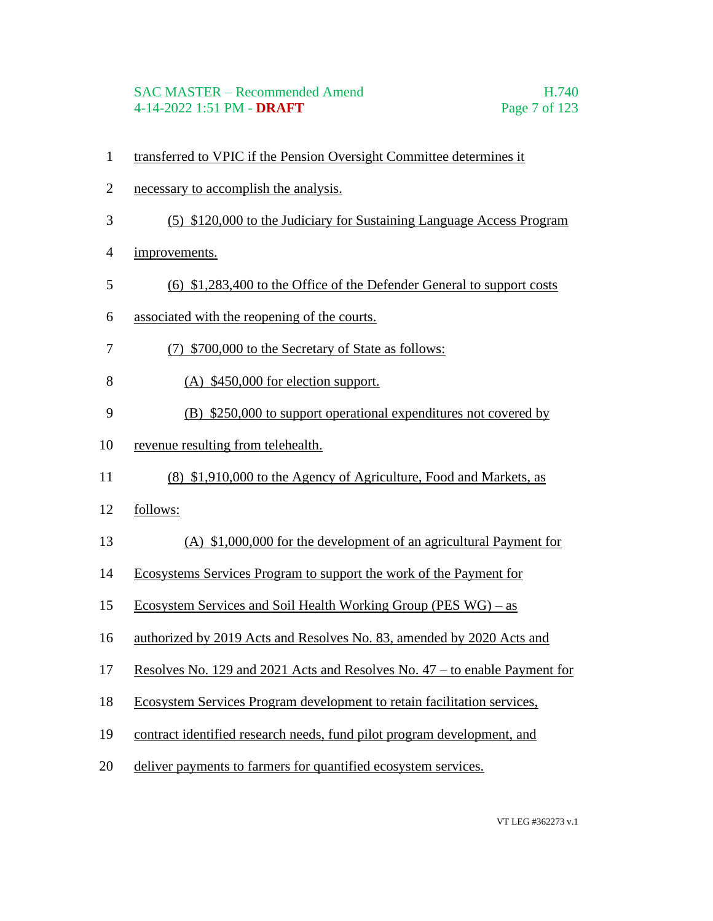#### SAC MASTER – Recommended Amend H.740 4-14-2022 1:51 PM - **DRAFT** Page 7 of 123

- transferred to VPIC if the Pension Oversight Committee determines it
- necessary to accomplish the analysis.
- (5) \$120,000 to the Judiciary for Sustaining Language Access Program
- improvements.
- (6) \$1,283,400 to the Office of the Defender General to support costs
- associated with the reopening of the courts.
- (7) \$700,000 to the Secretary of State as follows:
- (A) \$450,000 for election support.
- (B) \$250,000 to support operational expenditures not covered by
- revenue resulting from telehealth.
- (8) \$1,910,000 to the Agency of Agriculture, Food and Markets, as
- follows:
- (A) \$1,000,000 for the development of an agricultural Payment for
- Ecosystems Services Program to support the work of the Payment for
- Ecosystem Services and Soil Health Working Group (PES WG) as
- authorized by 2019 Acts and Resolves No. 83, amended by 2020 Acts and
- Resolves No. 129 and 2021 Acts and Resolves No. 47 to enable Payment for
- Ecosystem Services Program development to retain facilitation services,
- contract identified research needs, fund pilot program development, and
- deliver payments to farmers for quantified ecosystem services.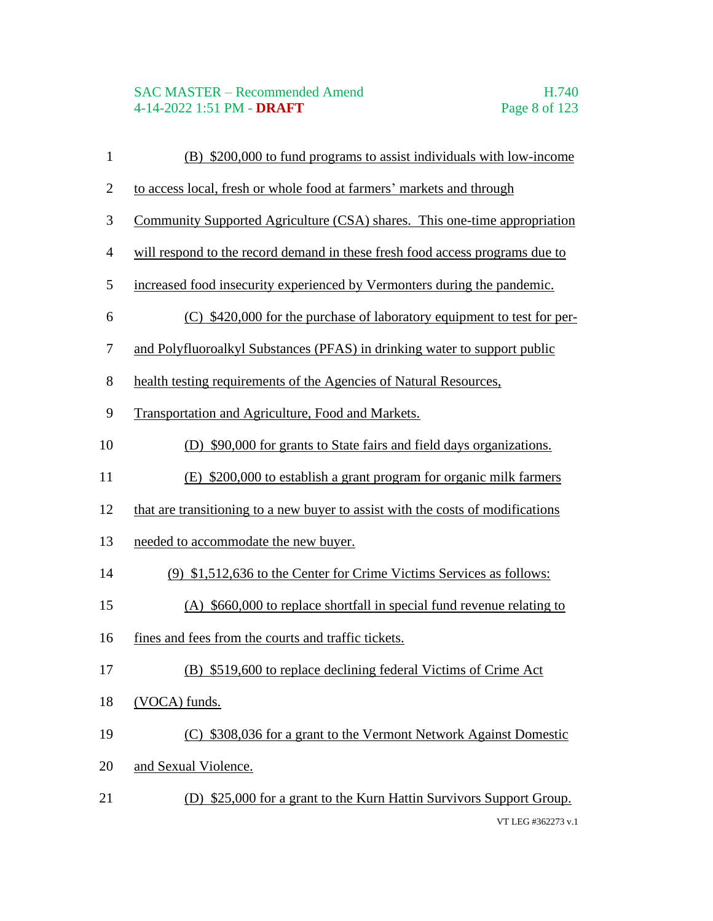## SAC MASTER – Recommended Amend<br>4-14-2022 1:51 PM - **DRAFT** Page 8 of 123 4-14-2022 1:51 PM - **DRAFT**

| $\mathbf{1}$   | (B) \$200,000 to fund programs to assist individuals with low-income            |
|----------------|---------------------------------------------------------------------------------|
| $\overline{2}$ | to access local, fresh or whole food at farmers' markets and through            |
| 3              | Community Supported Agriculture (CSA) shares. This one-time appropriation       |
| $\overline{4}$ | will respond to the record demand in these fresh food access programs due to    |
| 5              | increased food insecurity experienced by Vermonters during the pandemic.        |
| 6              | (C) \$420,000 for the purchase of laboratory equipment to test for per-         |
| $\tau$         | and Polyfluoroalkyl Substances (PFAS) in drinking water to support public       |
| $8\,$          | health testing requirements of the Agencies of Natural Resources,               |
| 9              | Transportation and Agriculture, Food and Markets.                               |
| 10             | (D) \$90,000 for grants to State fairs and field days organizations.            |
| 11             | (E) \$200,000 to establish a grant program for organic milk farmers             |
| 12             | that are transitioning to a new buyer to assist with the costs of modifications |
| 13             | needed to accommodate the new buyer.                                            |
| 14             | (9) \$1,512,636 to the Center for Crime Victims Services as follows:            |
| 15             | (A) \$660,000 to replace shortfall in special fund revenue relating to          |
| 16             | fines and fees from the courts and traffic tickets.                             |
| 17             | (B) \$519,600 to replace declining federal Victims of Crime Act                 |
| 18             | (VOCA) funds.                                                                   |
| 19             | (C) \$308,036 for a grant to the Vermont Network Against Domestic               |
| 20             | and Sexual Violence.                                                            |
| 21             | (D) \$25,000 for a grant to the Kurn Hattin Survivors Support Group.            |
|                | VT LEG #362273 v.1                                                              |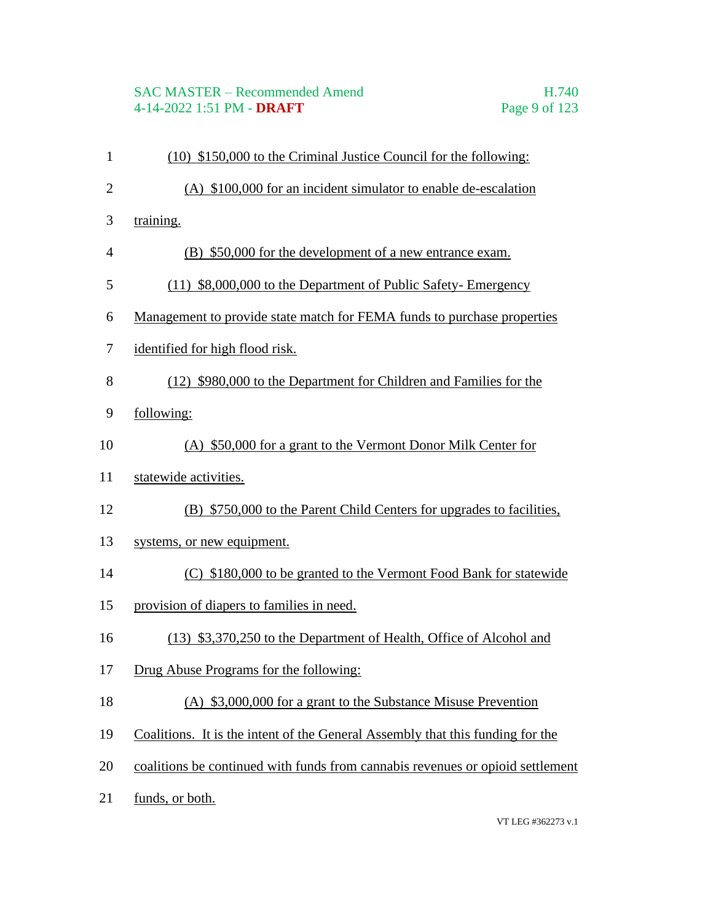# SAC MASTER – Recommended Amend<br>4-14-2022 1:51 PM - **DRAFT** Page 9 of 123 4-14-2022 1:51 PM - **DRAFT**

| $\mathbf{1}$   | (10) \$150,000 to the Criminal Justice Council for the following:              |
|----------------|--------------------------------------------------------------------------------|
| $\overline{2}$ | (A) \$100,000 for an incident simulator to enable de-escalation                |
| 3              | training.                                                                      |
| $\overline{4}$ | (B) \$50,000 for the development of a new entrance exam.                       |
| 5              | (11) \$8,000,000 to the Department of Public Safety-Emergency                  |
| 6              | Management to provide state match for FEMA funds to purchase properties        |
| $\tau$         | identified for high flood risk.                                                |
| 8              | (12) \$980,000 to the Department for Children and Families for the             |
| 9              | following:                                                                     |
| 10             | (A) \$50,000 for a grant to the Vermont Donor Milk Center for                  |
| 11             | statewide activities.                                                          |
| 12             | (B) \$750,000 to the Parent Child Centers for upgrades to facilities,          |
| 13             | systems, or new equipment.                                                     |
| 14             | (C) \$180,000 to be granted to the Vermont Food Bank for statewide             |
| 15             | provision of diapers to families in need.                                      |
| 16             | (13) \$3,370,250 to the Department of Health, Office of Alcohol and            |
| 17             | Drug Abuse Programs for the following:                                         |
| 18             | (A) \$3,000,000 for a grant to the Substance Misuse Prevention                 |
| 19             | Coalitions. It is the intent of the General Assembly that this funding for the |
| 20             | coalitions be continued with funds from cannabis revenues or opioid settlement |
| 21             | funds, or both.                                                                |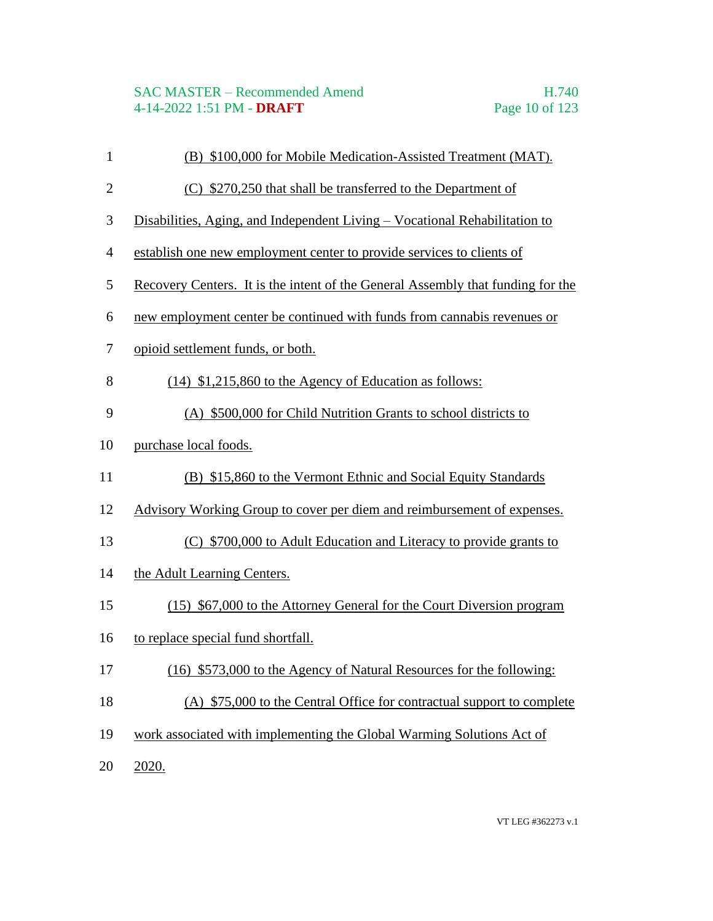# SAC MASTER – Recommended Amend<br>4-14-2022 1:51 PM - DRAFT Page 10 of 123 4-14-2022 1:51 PM - **DRAFT**

| $\mathbf{1}$   | (B) \$100,000 for Mobile Medication-Assisted Treatment (MAT).                   |
|----------------|---------------------------------------------------------------------------------|
| $\overline{2}$ | (C) \$270,250 that shall be transferred to the Department of                    |
| 3              | Disabilities, Aging, and Independent Living – Vocational Rehabilitation to      |
| $\overline{4}$ | establish one new employment center to provide services to clients of           |
| 5              | Recovery Centers. It is the intent of the General Assembly that funding for the |
| 6              | new employment center be continued with funds from cannabis revenues or         |
| $\tau$         | opioid settlement funds, or both.                                               |
| 8              | $(14)$ \$1,215,860 to the Agency of Education as follows:                       |
| 9              | (A) \$500,000 for Child Nutrition Grants to school districts to                 |
| 10             | purchase local foods.                                                           |
| 11             | (B) \$15,860 to the Vermont Ethnic and Social Equity Standards                  |
| 12             | Advisory Working Group to cover per diem and reimbursement of expenses.         |
| 13             | (C) \$700,000 to Adult Education and Literacy to provide grants to              |
| 14             | the Adult Learning Centers.                                                     |
| 15             | (15) \$67,000 to the Attorney General for the Court Diversion program           |
| 16             | to replace special fund shortfall.                                              |
| 17             | (16) \$573,000 to the Agency of Natural Resources for the following:            |
| 18             | (A) \$75,000 to the Central Office for contractual support to complete          |
| 19             | work associated with implementing the Global Warming Solutions Act of           |
| 20             | 2020.                                                                           |
|                |                                                                                 |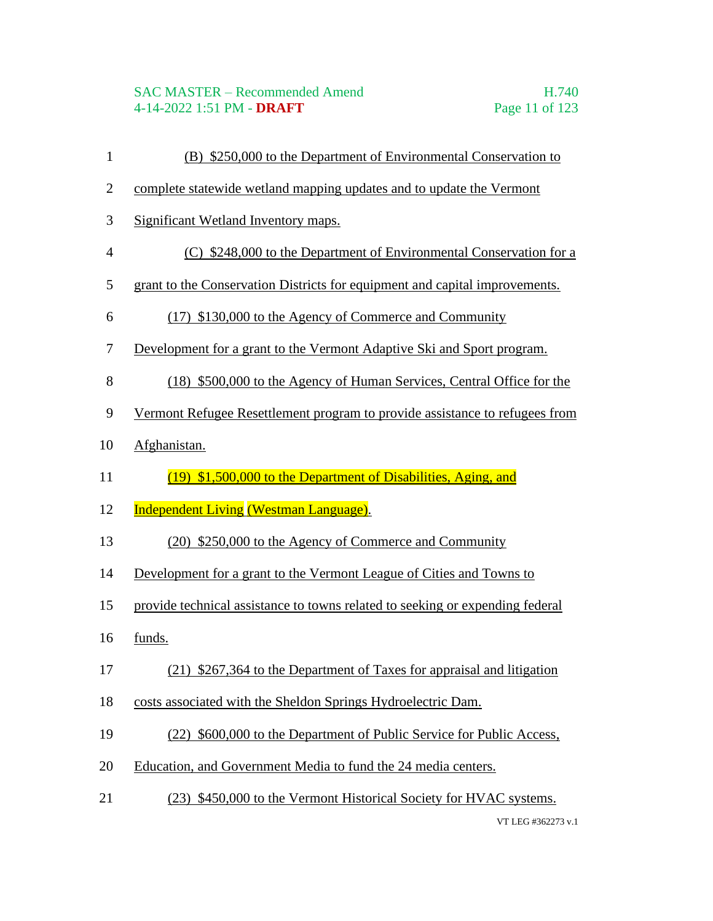#### SAC MASTER – Recommended Amend H.740 4-14-2022 1:51 PM - **DRAFT** Page 11 of 123

- (B) \$250,000 to the Department of Environmental Conservation to
- complete statewide wetland mapping updates and to update the Vermont
- Significant Wetland Inventory maps.
- (C) \$248,000 to the Department of Environmental Conservation for a
- grant to the Conservation Districts for equipment and capital improvements.
- (17) \$130,000 to the Agency of Commerce and Community
- Development for a grant to the Vermont Adaptive Ski and Sport program.
- (18) \$500,000 to the Agency of Human Services, Central Office for the
- Vermont Refugee Resettlement program to provide assistance to refugees from
- Afghanistan.
- (19) \$1,500,000 to the Department of Disabilities, Aging, and
- 12 Independent Living (Westman Language).
- (20) \$250,000 to the Agency of Commerce and Community
- Development for a grant to the Vermont League of Cities and Towns to
- provide technical assistance to towns related to seeking or expending federal
- funds.
- (21) \$267,364 to the Department of Taxes for appraisal and litigation
- costs associated with the Sheldon Springs Hydroelectric Dam.
- (22) \$600,000 to the Department of Public Service for Public Access,
- Education, and Government Media to fund the 24 media centers.
- (23) \$450,000 to the Vermont Historical Society for HVAC systems.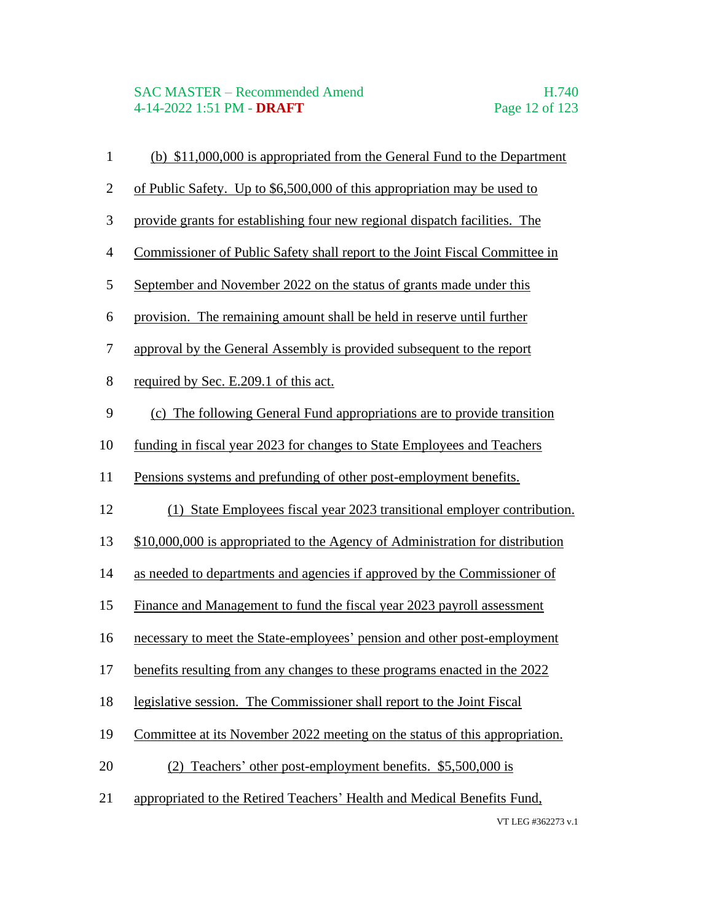| $\mathbf{1}$   | (b) \$11,000,000 is appropriated from the General Fund to the Department      |
|----------------|-------------------------------------------------------------------------------|
| $\overline{2}$ | of Public Safety. Up to \$6,500,000 of this appropriation may be used to      |
| 3              | provide grants for establishing four new regional dispatch facilities. The    |
| $\overline{4}$ | Commissioner of Public Safety shall report to the Joint Fiscal Committee in   |
| 5              | September and November 2022 on the status of grants made under this           |
| 6              | provision. The remaining amount shall be held in reserve until further        |
| 7              | approval by the General Assembly is provided subsequent to the report         |
| 8              | required by Sec. E.209.1 of this act.                                         |
| 9              | (c) The following General Fund appropriations are to provide transition       |
| 10             | funding in fiscal year 2023 for changes to State Employees and Teachers       |
| 11             | Pensions systems and prefunding of other post-employment benefits.            |
| 12             | (1) State Employees fiscal year 2023 transitional employer contribution.      |
| 13             | \$10,000,000 is appropriated to the Agency of Administration for distribution |
| 14             | as needed to departments and agencies if approved by the Commissioner of      |
| 15             | Finance and Management to fund the fiscal year 2023 payroll assessment        |
| 16             | necessary to meet the State-employees' pension and other post-employment      |
| 17             | benefits resulting from any changes to these programs enacted in the 2022     |
| 18             | legislative session. The Commissioner shall report to the Joint Fiscal        |
| 19             | Committee at its November 2022 meeting on the status of this appropriation.   |
| 20             | (2) Teachers' other post-employment benefits. \$5,500,000 is                  |
| 21             | appropriated to the Retired Teachers' Health and Medical Benefits Fund,       |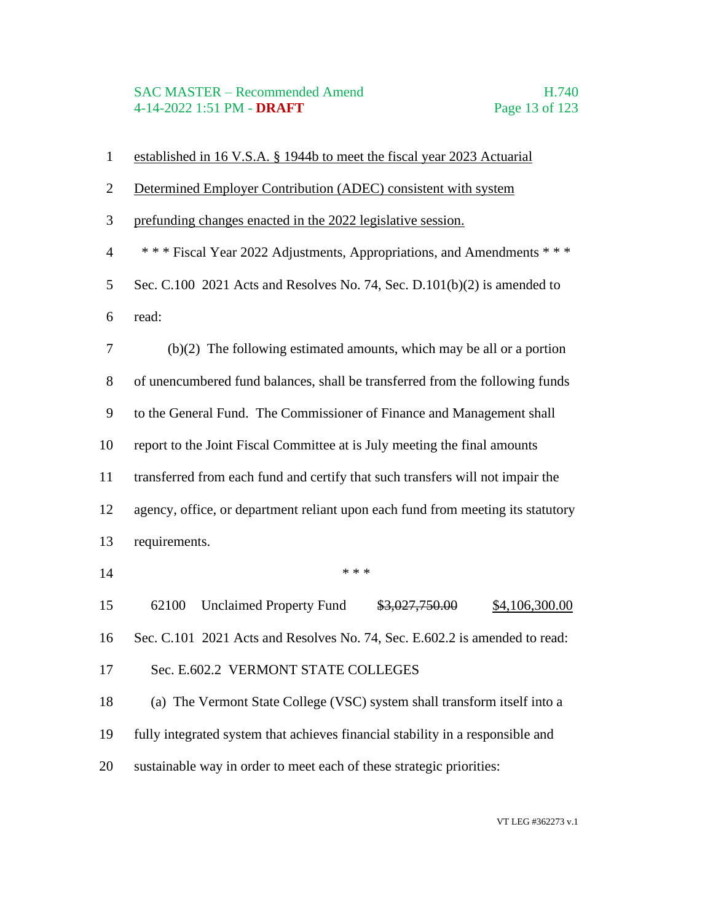| $\mathbf{1}$   | established in 16 V.S.A. § 1944b to meet the fiscal year 2023 Actuarial         |
|----------------|---------------------------------------------------------------------------------|
| $\overline{2}$ | Determined Employer Contribution (ADEC) consistent with system                  |
| 3              | prefunding changes enacted in the 2022 legislative session.                     |
| $\overline{4}$ | *** Fiscal Year 2022 Adjustments, Appropriations, and Amendments ***            |
| 5              | Sec. C.100 2021 Acts and Resolves No. 74, Sec. D.101(b)(2) is amended to        |
| 6              | read:                                                                           |
| 7              | $(b)(2)$ The following estimated amounts, which may be all or a portion         |
| $8\,$          | of unencumbered fund balances, shall be transferred from the following funds    |
| 9              | to the General Fund. The Commissioner of Finance and Management shall           |
| 10             | report to the Joint Fiscal Committee at is July meeting the final amounts       |
| 11             | transferred from each fund and certify that such transfers will not impair the  |
| 12             | agency, office, or department reliant upon each fund from meeting its statutory |
| 13             | requirements.                                                                   |
| 14             | * * *                                                                           |
| 15             | <b>Unclaimed Property Fund</b><br>62100<br>\$3,027,750.00<br>\$4,106,300.00     |
| 16             | Sec. C.101 2021 Acts and Resolves No. 74, Sec. E.602.2 is amended to read:      |
| 17             | Sec. E.602.2 VERMONT STATE COLLEGES                                             |
| 18             | (a) The Vermont State College (VSC) system shall transform itself into a        |
| 19             | fully integrated system that achieves financial stability in a responsible and  |
| 20             | sustainable way in order to meet each of these strategic priorities:            |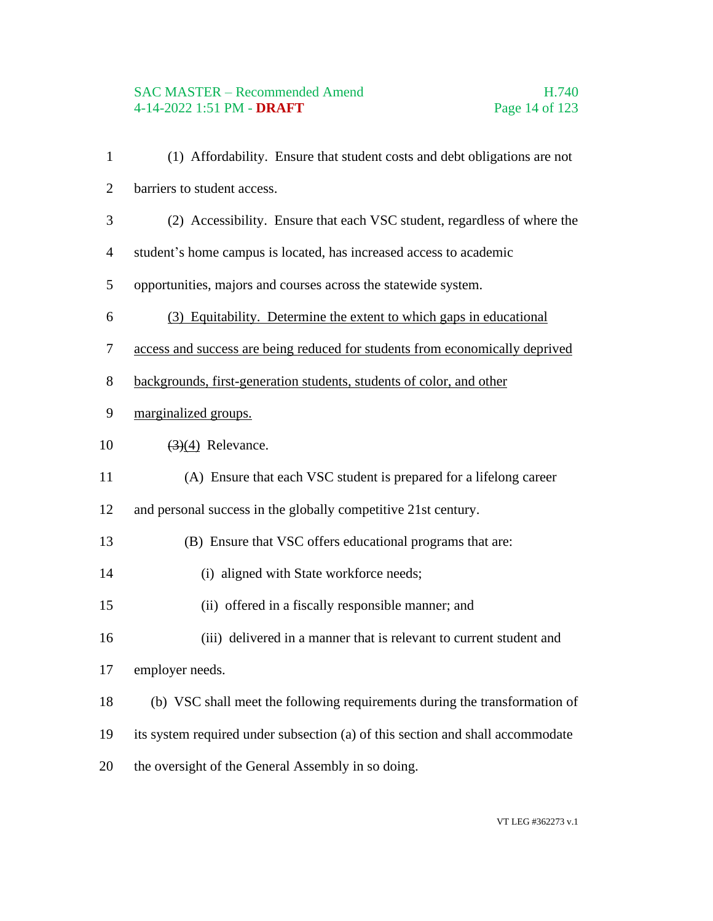# SAC MASTER – Recommended Amend<br>4-14-2022 1:51 PM - DRAFT Page 14 of 123 4-14-2022 1:51 PM - **DRAFT**

| $\mathbf{1}$   | (1) Affordability. Ensure that student costs and debt obligations are not      |
|----------------|--------------------------------------------------------------------------------|
| $\overline{2}$ | barriers to student access.                                                    |
| 3              | (2) Accessibility. Ensure that each VSC student, regardless of where the       |
| $\overline{4}$ | student's home campus is located, has increased access to academic             |
| 5              | opportunities, majors and courses across the statewide system.                 |
| 6              | (3) Equitability. Determine the extent to which gaps in educational            |
| 7              | access and success are being reduced for students from economically deprived   |
| $8\,$          | backgrounds, first-generation students, students of color, and other           |
| 9              | marginalized groups.                                                           |
| 10             | $\left(\frac{3}{4}\right)$ Relevance.                                          |
| 11             | (A) Ensure that each VSC student is prepared for a lifelong career             |
| 12             | and personal success in the globally competitive 21st century.                 |
| 13             | (B) Ensure that VSC offers educational programs that are:                      |
| 14             | (i) aligned with State workforce needs;                                        |
| 15             | (ii) offered in a fiscally responsible manner; and                             |
| 16             | (iii) delivered in a manner that is relevant to current student and            |
| 17             | employer needs.                                                                |
| 18             | (b) VSC shall meet the following requirements during the transformation of     |
| 19             | its system required under subsection (a) of this section and shall accommodate |
| 20             | the oversight of the General Assembly in so doing.                             |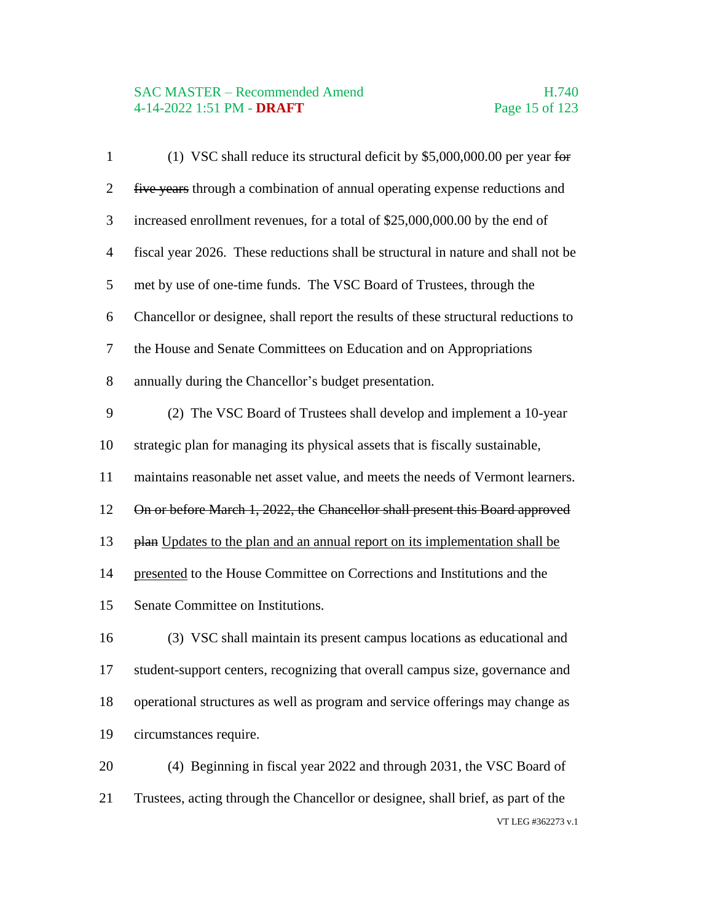# SAC MASTER – Recommended Amend<br>4-14-2022 1:51 PM - DRAFT Page 15 of 123 4-14-2022 1:51 PM - **DRAFT**

| $\mathbf{1}$   | (1) VSC shall reduce its structural deficit by $$5,000,000.00$ per year for        |
|----------------|------------------------------------------------------------------------------------|
| $\overline{2}$ | five years through a combination of annual operating expense reductions and        |
| 3              | increased enrollment revenues, for a total of \$25,000,000.00 by the end of        |
| $\overline{4}$ | fiscal year 2026. These reductions shall be structural in nature and shall not be  |
| 5              | met by use of one-time funds. The VSC Board of Trustees, through the               |
| 6              | Chancellor or designee, shall report the results of these structural reductions to |
| 7              | the House and Senate Committees on Education and on Appropriations                 |
| 8              | annually during the Chancellor's budget presentation.                              |
| 9              | (2) The VSC Board of Trustees shall develop and implement a 10-year                |
| 10             | strategic plan for managing its physical assets that is fiscally sustainable,      |
| 11             | maintains reasonable net asset value, and meets the needs of Vermont learners.     |
| 12             | On or before March 1, 2022, the Chancellor shall present this Board approved       |
| 13             | plan Updates to the plan and an annual report on its implementation shall be       |
| 14             | presented to the House Committee on Corrections and Institutions and the           |
| 15             | Senate Committee on Institutions.                                                  |
| 16             | (3) VSC shall maintain its present campus locations as educational and             |
| 17             | student-support centers, recognizing that overall campus size, governance and      |
| 18             | operational structures as well as program and service offerings may change as      |
| 19             | circumstances require.                                                             |
| 20             | (4) Beginning in fiscal year 2022 and through 2031, the VSC Board of               |
| 21             | Trustees, acting through the Chancellor or designee, shall brief, as part of the   |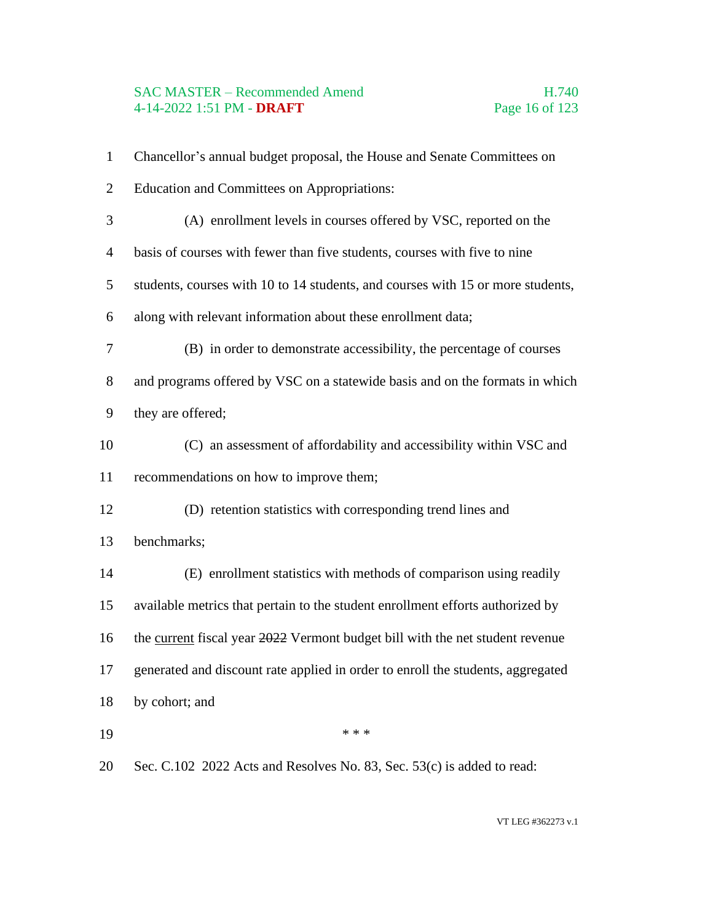#### SAC MASTER – Recommended Amend<br>
4-14-2022 1:51 PM - DRAFT<br>
Page 16 of 123 4-14-2022 1:51 PM - **DRAFT**

| $\mathbf{1}$   | Chancellor's annual budget proposal, the House and Senate Committees on         |
|----------------|---------------------------------------------------------------------------------|
| $\overline{2}$ | <b>Education and Committees on Appropriations:</b>                              |
| 3              | (A) enrollment levels in courses offered by VSC, reported on the                |
| $\overline{4}$ | basis of courses with fewer than five students, courses with five to nine       |
| 5              | students, courses with 10 to 14 students, and courses with 15 or more students, |
| 6              | along with relevant information about these enrollment data;                    |
| $\tau$         | (B) in order to demonstrate accessibility, the percentage of courses            |
| 8              | and programs offered by VSC on a statewide basis and on the formats in which    |
| 9              | they are offered;                                                               |
| 10             | (C) an assessment of affordability and accessibility within VSC and             |
| 11             | recommendations on how to improve them;                                         |
| 12             | (D) retention statistics with corresponding trend lines and                     |
| 13             | benchmarks;                                                                     |
| 14             | (E) enrollment statistics with methods of comparison using readily              |
| 15             | available metrics that pertain to the student enrollment efforts authorized by  |
| 16             | the current fiscal year 2022 Vermont budget bill with the net student revenue   |
| 17             | generated and discount rate applied in order to enroll the students, aggregated |
| 18             | by cohort; and                                                                  |
| 19             | * * *                                                                           |
| 20             | Sec. C.102 2022 Acts and Resolves No. 83, Sec. 53(c) is added to read:          |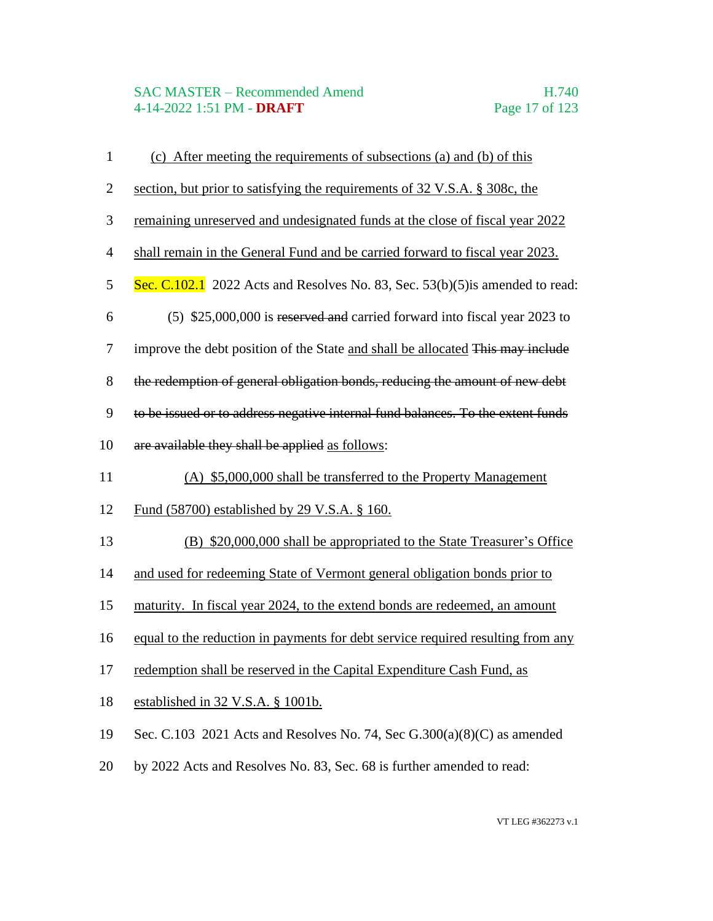# SAC MASTER – Recommended Amend<br>4-14-2022 1:51 PM - DRAFT Page 17 of 123 4-14-2022 1:51 PM - **DRAFT**

| $\mathbf{1}$   | (c) After meeting the requirements of subsections (a) and (b) of this           |
|----------------|---------------------------------------------------------------------------------|
| $\overline{2}$ | section, but prior to satisfying the requirements of 32 V.S.A. § 308c, the      |
| $\mathfrak{Z}$ | remaining unreserved and undesignated funds at the close of fiscal year 2022    |
| $\overline{4}$ | shall remain in the General Fund and be carried forward to fiscal year 2023.    |
| 5              | Sec. C.102.1 2022 Acts and Resolves No. 83, Sec. $53(b)(5)$ is amended to read: |
| 6              | (5) \$25,000,000 is reserved and carried forward into fiscal year 2023 to       |
| $\tau$         | improve the debt position of the State and shall be allocated This may include  |
| 8              | the redemption of general obligation bonds, reducing the amount of new debt     |
| $\mathbf{9}$   | to be issued or to address negative internal fund balances. To the extent funds |
| 10             | are available they shall be applied as follows:                                 |
| 11             | (A) \$5,000,000 shall be transferred to the Property Management                 |
| 12             | <u>Fund (58700) established by 29 V.S.A. § 160.</u>                             |
| 13             | (B) \$20,000,000 shall be appropriated to the State Treasurer's Office          |
| 14             | and used for redeeming State of Vermont general obligation bonds prior to       |
| 15             | maturity. In fiscal year 2024, to the extend bonds are redeemed, an amount      |
| 16             | equal to the reduction in payments for debt service required resulting from any |
| 17             | redemption shall be reserved in the Capital Expenditure Cash Fund, as           |
| 18             | established in 32 V.S.A. § 1001b.                                               |
| 19             | Sec. C.103 2021 Acts and Resolves No. 74, Sec $G.300(a)(8)(C)$ as amended       |
| 20             | by 2022 Acts and Resolves No. 83, Sec. 68 is further amended to read:           |
|                |                                                                                 |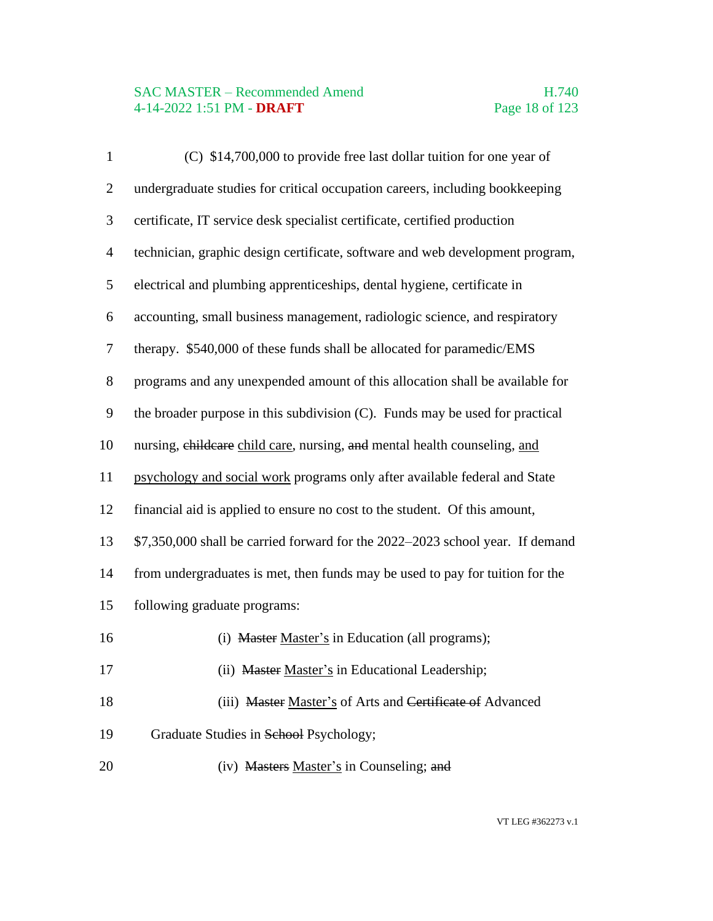# SAC MASTER – Recommended Amend<br>4-14-2022 1:51 PM - DRAFT Page 18 of 123 4-14-2022 1:51 PM - **DRAFT**

| $\mathbf{1}$             | (C) \$14,700,000 to provide free last dollar tuition for one year of          |
|--------------------------|-------------------------------------------------------------------------------|
| $\overline{c}$           | undergraduate studies for critical occupation careers, including bookkeeping  |
| 3                        | certificate, IT service desk specialist certificate, certified production     |
| $\overline{\mathcal{A}}$ | technician, graphic design certificate, software and web development program, |
| 5                        | electrical and plumbing apprenticeships, dental hygiene, certificate in       |
| 6                        | accounting, small business management, radiologic science, and respiratory    |
| 7                        | therapy. \$540,000 of these funds shall be allocated for paramedic/EMS        |
| 8                        | programs and any unexpended amount of this allocation shall be available for  |
| 9                        | the broader purpose in this subdivision (C). Funds may be used for practical  |
| 10                       | nursing, childcare child care, nursing, and mental health counseling, and     |
| 11                       | psychology and social work programs only after available federal and State    |
| 12                       | financial aid is applied to ensure no cost to the student. Of this amount,    |
| 13                       | \$7,350,000 shall be carried forward for the 2022–2023 school year. If demand |
| 14                       | from undergraduates is met, then funds may be used to pay for tuition for the |
| 15                       | following graduate programs:                                                  |
| 16                       | (i) Master Master's in Education (all programs);                              |
| 17                       | (ii) Master Master's in Educational Leadership;                               |
| 18                       | (iii) Master Master's of Arts and Certificate of Advanced                     |
| 19                       | Graduate Studies in School Psychology;                                        |
| 20                       | (iv) Masters Master's in Counseling; and                                      |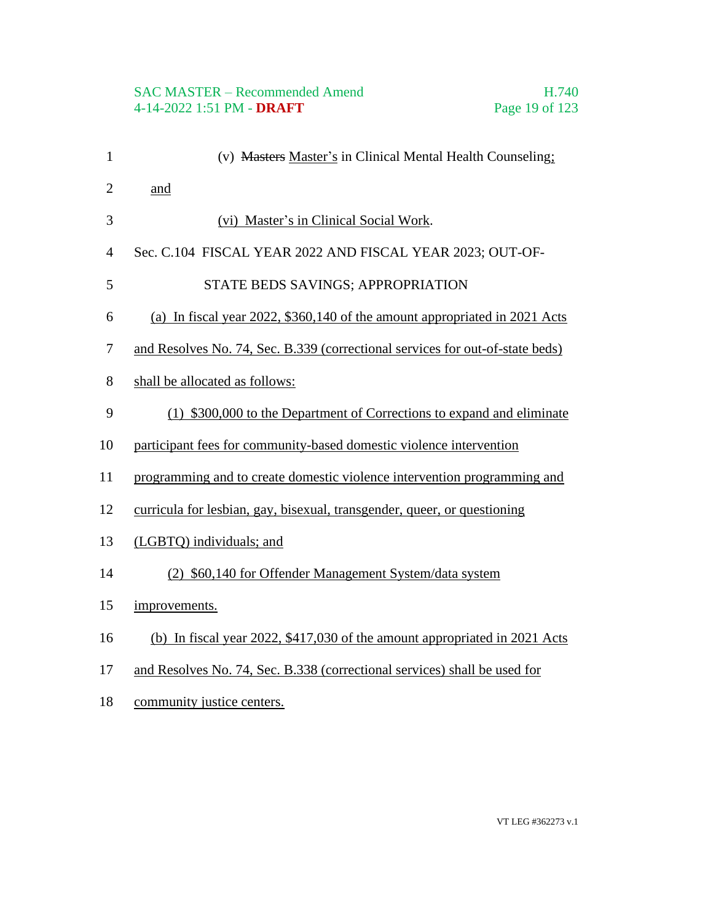# SAC MASTER – Recommended Amend<br>4-14-2022 1:51 PM - DRAFT Page 19 of 123 4-14-2022 1:51 PM - **DRAFT**

| $\mathbf{1}$   | (v) Masters Master's in Clinical Mental Health Counseling;                    |
|----------------|-------------------------------------------------------------------------------|
| $\overline{2}$ | and                                                                           |
| 3              | (vi) Master's in Clinical Social Work.                                        |
| $\overline{4}$ | Sec. C.104 FISCAL YEAR 2022 AND FISCAL YEAR 2023; OUT-OF-                     |
| 5              | STATE BEDS SAVINGS; APPROPRIATION                                             |
| 6              | (a) In fiscal year 2022, \$360,140 of the amount appropriated in 2021 Acts    |
| 7              | and Resolves No. 74, Sec. B.339 (correctional services for out-of-state beds) |
| 8              | shall be allocated as follows:                                                |
| 9              | (1) \$300,000 to the Department of Corrections to expand and eliminate        |
| 10             | participant fees for community-based domestic violence intervention           |
| 11             | programming and to create domestic violence intervention programming and      |
| 12             | curricula for lesbian, gay, bisexual, transgender, queer, or questioning      |
| 13             | (LGBTQ) individuals; and                                                      |
| 14             | (2) \$60,140 for Offender Management System/data system                       |
| 15             | improvements.                                                                 |
| 16             | (b) In fiscal year 2022, \$417,030 of the amount appropriated in 2021 Acts    |
| 17             | and Resolves No. 74, Sec. B.338 (correctional services) shall be used for     |

18 community justice centers.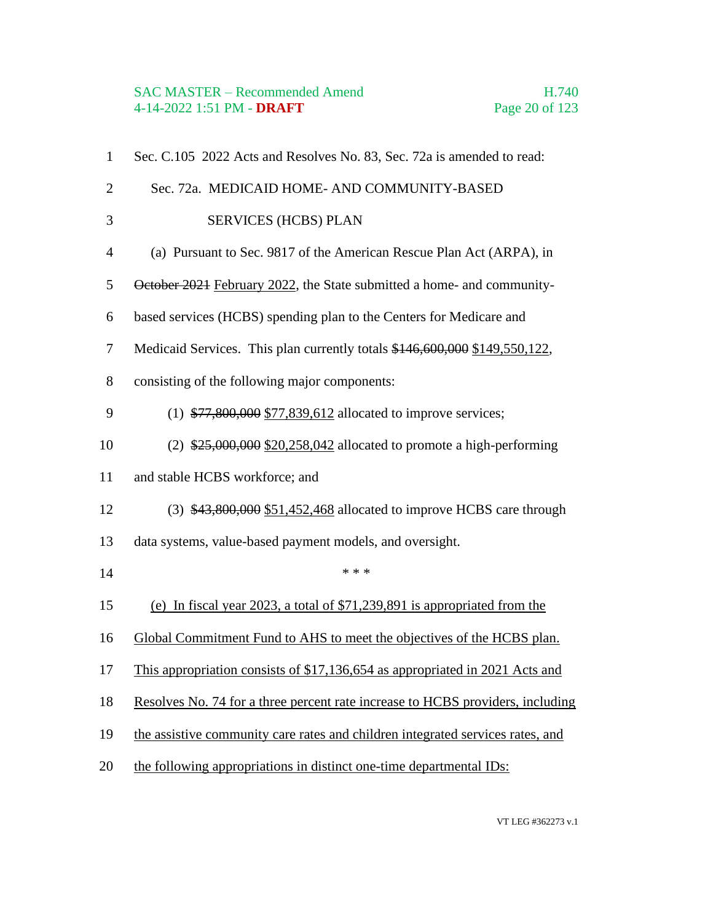# SAC MASTER – Recommended Amend<br>
4-14-2022 1:51 PM - **DRAFT** Page 20 of 123 4-14-2022 1:51 PM - **DRAFT**

| $\mathbf{1}$   | Sec. C.105 2022 Acts and Resolves No. 83, Sec. 72a is amended to read:         |
|----------------|--------------------------------------------------------------------------------|
| $\overline{2}$ | Sec. 72a. MEDICAID HOME- AND COMMUNITY-BASED                                   |
| 3              | <b>SERVICES (HCBS) PLAN</b>                                                    |
| $\overline{4}$ | (a) Pursuant to Sec. 9817 of the American Rescue Plan Act (ARPA), in           |
| 5              | October 2021 February 2022, the State submitted a home- and community-         |
| 6              | based services (HCBS) spending plan to the Centers for Medicare and            |
| $\tau$         | Medicaid Services. This plan currently totals \$146,600,000 \$149,550,122,     |
| 8              | consisting of the following major components:                                  |
| 9              | $(1)$ \$77,800,000 \$77,839,612 allocated to improve services;                 |
| 10             | $(2)$ \$25,000,000 \$20,258,042 allocated to promote a high-performing         |
| 11             | and stable HCBS workforce; and                                                 |
| 12             | $(3)$ \$43,800,000 \$51,452,468 allocated to improve HCBS care through         |
| 13             | data systems, value-based payment models, and oversight.                       |
| 14             | * * *                                                                          |
| 15             | (e) In fiscal year 2023, a total of $$71,239,891$ is appropriated from the     |
| 16             | Global Commitment Fund to AHS to meet the objectives of the HCBS plan.         |
| 17             | This appropriation consists of \$17,136,654 as appropriated in 2021 Acts and   |
| 18             | Resolves No. 74 for a three percent rate increase to HCBS providers, including |
| 19             | the assistive community care rates and children integrated services rates, and |
| 20             | the following appropriations in distinct one-time departmental IDs:            |
|                |                                                                                |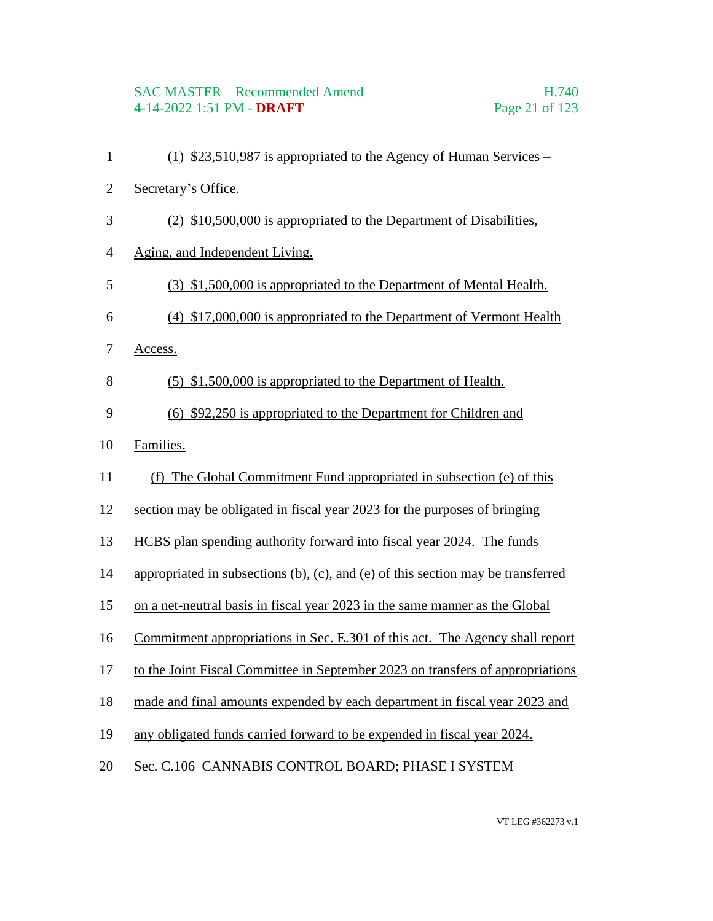- (1) \$23,510,987 is appropriated to the Agency of Human Services –
- Secretary's Office.
- (2) \$10,500,000 is appropriated to the Department of Disabilities,
- Aging, and Independent Living.
- (3) \$1,500,000 is appropriated to the Department of Mental Health.
- (4) \$17,000,000 is appropriated to the Department of Vermont Health
- Access.
- (5) \$1,500,000 is appropriated to the Department of Health.
- (6) \$92,250 is appropriated to the Department for Children and
- Families.
- (f) The Global Commitment Fund appropriated in subsection (e) of this
- section may be obligated in fiscal year 2023 for the purposes of bringing
- HCBS plan spending authority forward into fiscal year 2024. The funds
- appropriated in subsections (b), (c), and (e) of this section may be transferred
- on a net-neutral basis in fiscal year 2023 in the same manner as the Global
- Commitment appropriations in Sec. E.301 of this act. The Agency shall report
- to the Joint Fiscal Committee in September 2023 on transfers of appropriations
- made and final amounts expended by each department in fiscal year 2023 and
- any obligated funds carried forward to be expended in fiscal year 2024.
- Sec. C.106 CANNABIS CONTROL BOARD; PHASE I SYSTEM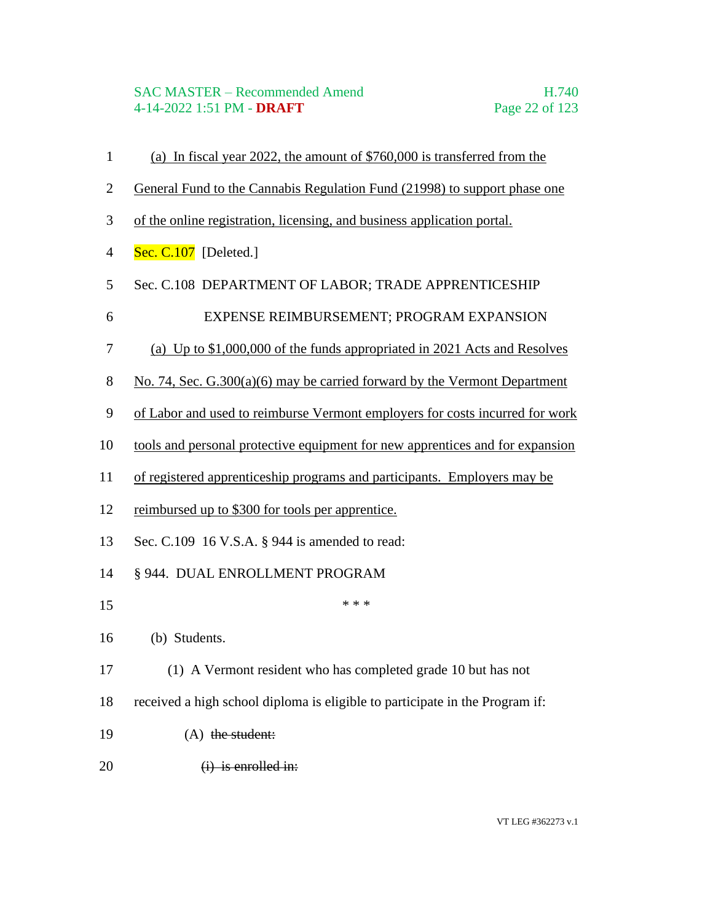#### SAC MASTER – Recommended Amend H.740 4-14-2022 1:51 PM - **DRAFT** Page 22 of 123

 General Fund to the Cannabis Regulation Fund (21998) to support phase one of the online registration, licensing, and business application portal. **Sec. C.107** [Deleted.] Sec. C.108 DEPARTMENT OF LABOR; TRADE APPRENTICESHIP 6 EXPENSE REIMBURSEMENT; PROGRAM EXPANSION (a) Up to \$1,000,000 of the funds appropriated in 2021 Acts and Resolves 8 No. 74, Sec. G.300(a)(6) may be carried forward by the Vermont Department of Labor and used to reimburse Vermont employers for costs incurred for work tools and personal protective equipment for new apprentices and for expansion of registered apprenticeship programs and participants. Employers may be reimbursed up to \$300 for tools per apprentice. Sec. C.109 16 V.S.A. § 944 is amended to read: § 944. DUAL ENROLLMENT PROGRAM \*\*\* (b) Students. (1) A Vermont resident who has completed grade 10 but has not received a high school diploma is eligible to participate in the Program if: 19 (A) the student:  $(i)$  is enrolled in:

(a) In fiscal year 2022, the amount of \$760,000 is transferred from the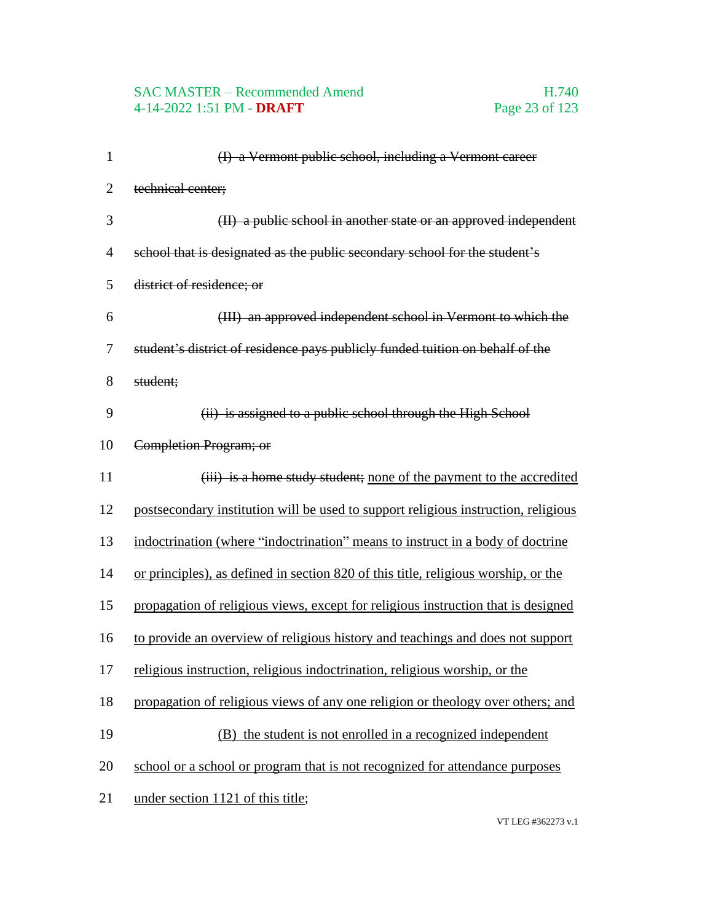# SAC MASTER – Recommended Amend<br>4-14-2022 1:51 PM - DRAFT<br>Page 23 of 123 4-14-2022 1:51 PM - **DRAFT**

| $\mathbf{1}$   | (I) a Vermont public school, including a Vermont career                            |
|----------------|------------------------------------------------------------------------------------|
| $\overline{2}$ | technical center;                                                                  |
| 3              | (II) a public school in another state or an approved independent                   |
| $\overline{4}$ | school that is designated as the public secondary school for the student's         |
| 5              | district of residence; or                                                          |
| 6              | (III) an approved independent school in Vermont to which the                       |
| 7              | student's district of residence pays publicly funded tuition on behalf of the      |
| 8              | student;                                                                           |
| 9              | (ii) is assigned to a public school through the High School                        |
| 10             | Completion Program; or                                                             |
| 11             | (iii) is a home study student; none of the payment to the accredited               |
| 12             | postsecondary institution will be used to support religious instruction, religious |
| 13             | indoctrination (where "indoctrination" means to instruct in a body of doctrine     |
| 14             | or principles), as defined in section 820 of this title, religious worship, or the |
| 15             | propagation of religious views, except for religious instruction that is designed  |
| 16             | to provide an overview of religious history and teachings and does not support     |
| 17             | religious instruction, religious indoctrination, religious worship, or the         |
| 18             | propagation of religious views of any one religion or theology over others; and    |
| 19             | (B) the student is not enrolled in a recognized independent                        |
| 20             | school or a school or program that is not recognized for attendance purposes       |
| 21             | under section 1121 of this title;                                                  |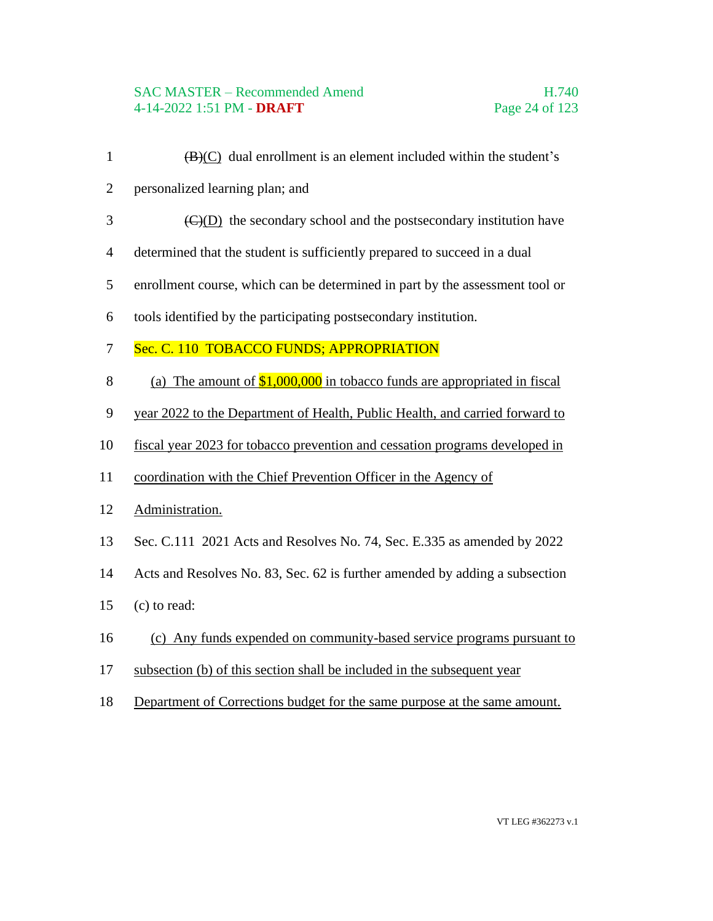#### SAC MASTER – Recommended Amend H.740 4-14-2022 1:51 PM - **DRAFT** Page 24 of 123

- 1  $(B)(C)$  dual enrollment is an element included within the student's
- personalized learning plan; and
- $\langle C \rangle$ (D) the secondary school and the postsecondary institution have
- determined that the student is sufficiently prepared to succeed in a dual
- enrollment course, which can be determined in part by the assessment tool or
- tools identified by the participating postsecondary institution.
- 7 Sec. C. 110 TOBACCO FUNDS; APPROPRIATION
- 8 (a) The amount of  $$1,000,000$  in tobacco funds are appropriated in fiscal
- year 2022 to the Department of Health, Public Health, and carried forward to
- fiscal year 2023 for tobacco prevention and cessation programs developed in
- coordination with the Chief Prevention Officer in the Agency of
- Administration.
- Sec. C.111 2021 Acts and Resolves No. 74, Sec. E.335 as amended by 2022
- Acts and Resolves No. 83, Sec. 62 is further amended by adding a subsection
- (c) to read:
- (c) Any funds expended on community-based service programs pursuant to
- subsection (b) of this section shall be included in the subsequent year
- Department of Corrections budget for the same purpose at the same amount.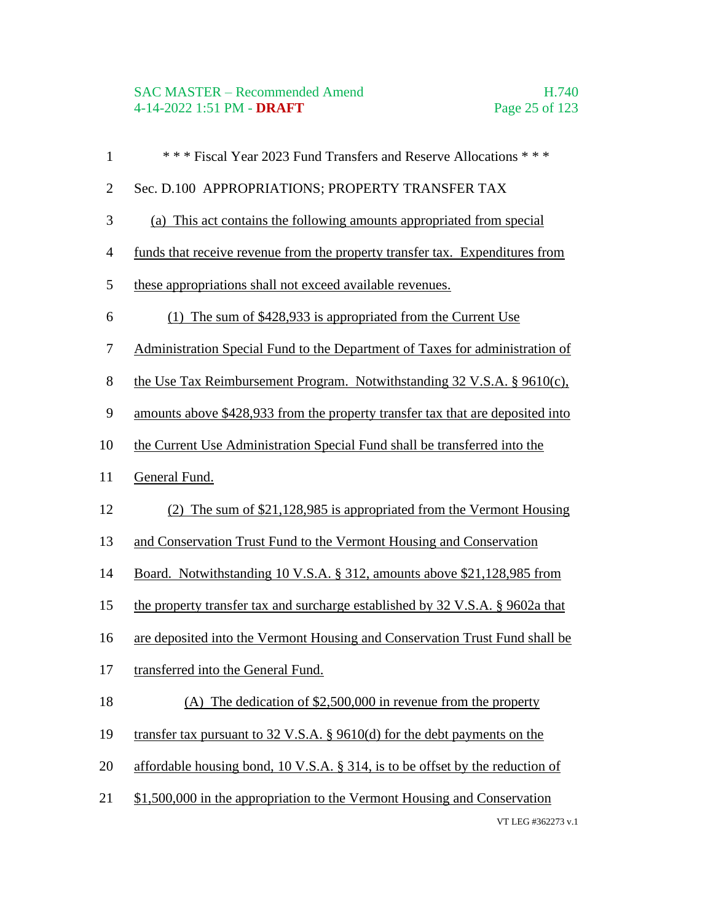# SAC MASTER – Recommended Amend<br>4-14-2022 1:51 PM - DRAFT<br>Page 25 of 123 4-14-2022 1:51 PM - **DRAFT**

| $\mathbf{1}$   | *** Fiscal Year 2023 Fund Transfers and Reserve Allocations ***                    |
|----------------|------------------------------------------------------------------------------------|
| $\mathbf{2}$   | Sec. D.100 APPROPRIATIONS; PROPERTY TRANSFER TAX                                   |
| 3              | (a) This act contains the following amounts appropriated from special              |
| $\overline{4}$ | funds that receive revenue from the property transfer tax. Expenditures from       |
| 5              | these appropriations shall not exceed available revenues.                          |
| 6              | The sum of \$428,933 is appropriated from the Current Use<br>(1)                   |
| 7              | Administration Special Fund to the Department of Taxes for administration of       |
| 8              | the Use Tax Reimbursement Program. Notwithstanding $32 \text{ V.S.A. }$ § 9610(c), |
| 9              | amounts above \$428,933 from the property transfer tax that are deposited into     |
| 10             | the Current Use Administration Special Fund shall be transferred into the          |
| 11             | General Fund.                                                                      |
| 12             | (2) The sum of $$21,128,985$ is appropriated from the Vermont Housing              |
| 13             | and Conservation Trust Fund to the Vermont Housing and Conservation                |
| 14             | Board. Notwithstanding 10 V.S.A. § 312, amounts above \$21,128,985 from            |
| 15             | the property transfer tax and surcharge established by 32 V.S.A. § 9602a that      |
| 16             | are deposited into the Vermont Housing and Conservation Trust Fund shall be        |
| 17             | transferred into the General Fund.                                                 |
| 18             | (A) The dedication of $$2,500,000$ in revenue from the property                    |
| 19             | transfer tax pursuant to $32$ V.S.A. § 9610(d) for the debt payments on the        |
| 20             | affordable housing bond, 10 V.S.A. § 314, is to be offset by the reduction of      |
| 21             | \$1,500,000 in the appropriation to the Vermont Housing and Conservation           |
|                | VT LEG #362273 v.1                                                                 |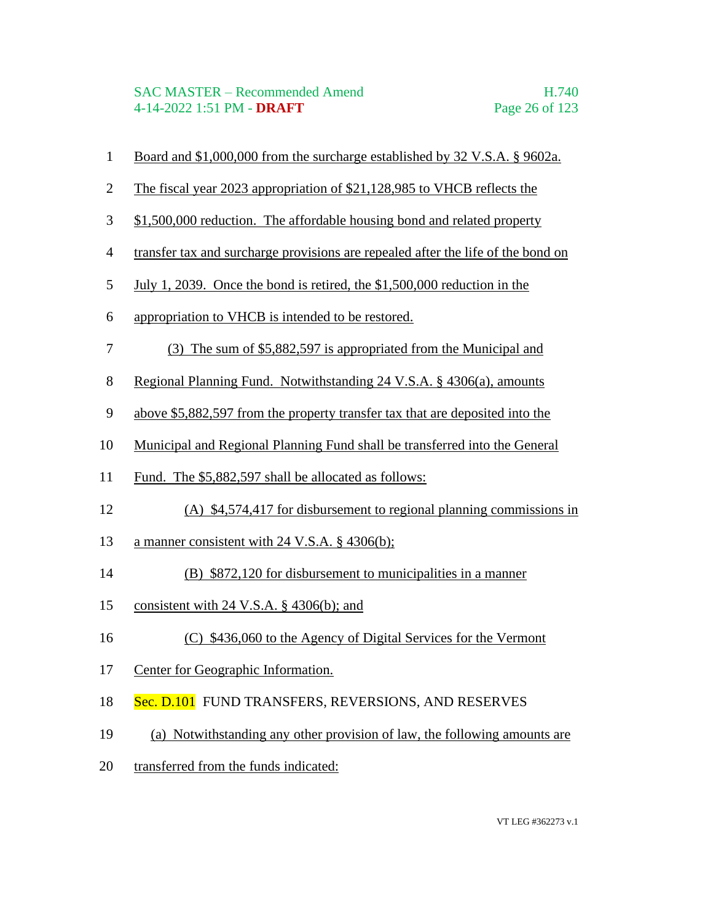- Board and \$1,000,000 from the surcharge established by 32 V.S.A. § 9602a.
- The fiscal year 2023 appropriation of \$21,128,985 to VHCB reflects the
- \$1,500,000 reduction. The affordable housing bond and related property
- transfer tax and surcharge provisions are repealed after the life of the bond on
- July 1, 2039. Once the bond is retired, the \$1,500,000 reduction in the
- appropriation to VHCB is intended to be restored.
- (3) The sum of \$5,882,597 is appropriated from the Municipal and
- Regional Planning Fund. Notwithstanding 24 V.S.A. § 4306(a), amounts
- above \$5,882,597 from the property transfer tax that are deposited into the
- Municipal and Regional Planning Fund shall be transferred into the General
- Fund. The \$5,882,597 shall be allocated as follows:
- (A) \$4,574,417 for disbursement to regional planning commissions in
- 13 a manner consistent with 24 V.S.A. § 4306(b);
- (B) \$872,120 for disbursement to municipalities in a manner
- consistent with 24 V.S.A. § 4306(b); and
- 16 (C) \$436,060 to the Agency of Digital Services for the Vermont
- Center for Geographic Information.
- 18 Sec. D.101 FUND TRANSFERS, REVERSIONS, AND RESERVES
- (a) Notwithstanding any other provision of law, the following amounts are
- transferred from the funds indicated: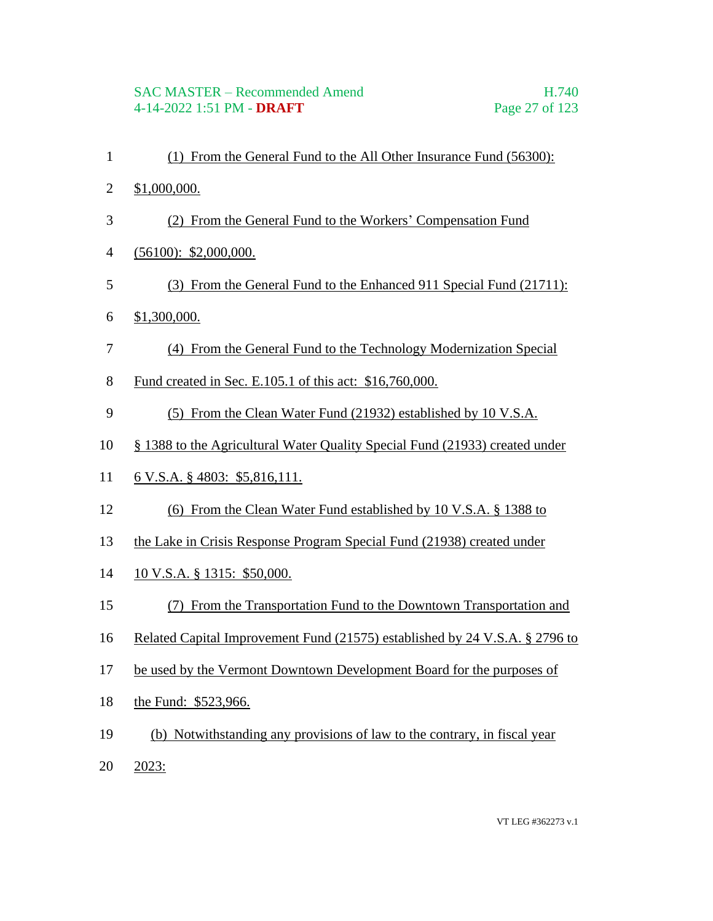- (1) From the General Fund to the All Other Insurance Fund (56300):
- \$1,000,000.
- (2) From the General Fund to the Workers' Compensation Fund
- (56100): \$2,000,000.
- (3) From the General Fund to the Enhanced 911 Special Fund (21711):
- \$1,300,000.
- (4) From the General Fund to the Technology Modernization Special
- Fund created in Sec. E.105.1 of this act: \$16,760,000.
- (5) From the Clean Water Fund (21932) established by 10 V.S.A.
- § 1388 to the Agricultural Water Quality Special Fund (21933) created under
- 6 V.S.A. § 4803: \$5,816,111.
- (6) From the Clean Water Fund established by 10 V.S.A. § 1388 to
- the Lake in Crisis Response Program Special Fund (21938) created under
- 10 V.S.A. § 1315: \$50,000.
- (7) From the Transportation Fund to the Downtown Transportation and
- Related Capital Improvement Fund (21575) established by 24 V.S.A. § 2796 to
- be used by the Vermont Downtown Development Board for the purposes of
- the Fund: \$523,966.
- (b) Notwithstanding any provisions of law to the contrary, in fiscal year
- 2023: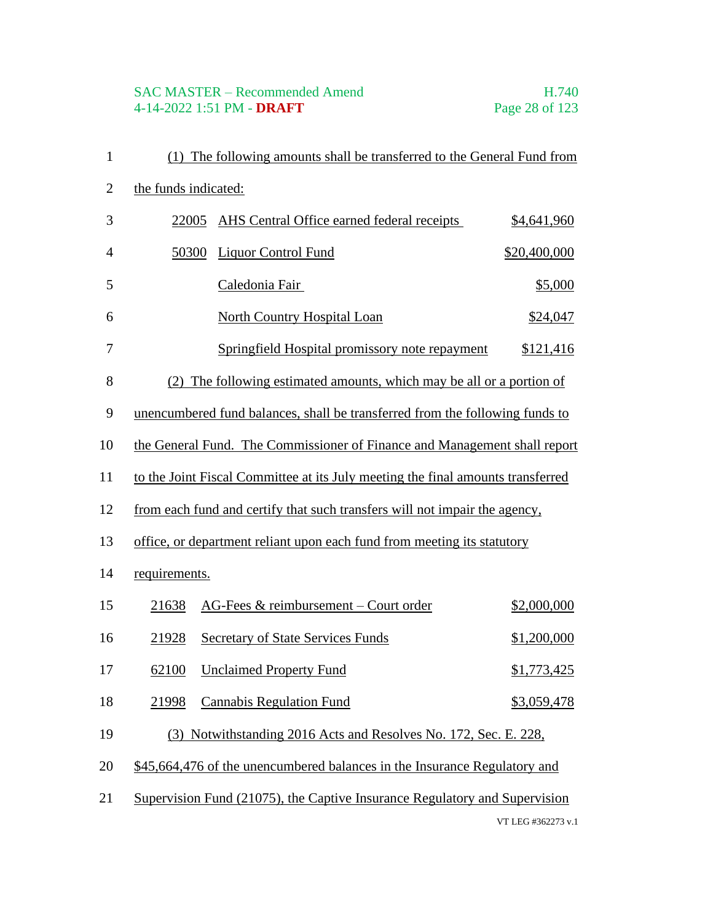# SAC MASTER – Recommended Amend<br>
4-14-2022 1:51 PM - DRAFT<br>
Page 28 of 123 4-14-2022 1:51 PM - **DRAFT**

| $\mathbf{1}$   |                      | (1) The following amounts shall be transferred to the General Fund from         |                    |
|----------------|----------------------|---------------------------------------------------------------------------------|--------------------|
| $\overline{2}$ | the funds indicated: |                                                                                 |                    |
| 3              | 22005                | AHS Central Office earned federal receipts                                      | \$4,641,960        |
| $\overline{4}$ | 50300                | <b>Liquor Control Fund</b>                                                      | \$20,400,000       |
| 5              |                      | Caledonia Fair                                                                  | \$5,000            |
| 6              |                      | <b>North Country Hospital Loan</b>                                              | \$24,047           |
| 7              |                      | Springfield Hospital promissory note repayment                                  | \$121,416          |
| 8              |                      | (2) The following estimated amounts, which may be all or a portion of           |                    |
| 9              |                      | unencumbered fund balances, shall be transferred from the following funds to    |                    |
| 10             |                      | the General Fund. The Commissioner of Finance and Management shall report       |                    |
| 11             |                      | to the Joint Fiscal Committee at its July meeting the final amounts transferred |                    |
| 12             |                      | from each fund and certify that such transfers will not impair the agency,      |                    |
| 13             |                      | office, or department reliant upon each fund from meeting its statutory         |                    |
| 14             | requirements.        |                                                                                 |                    |
| 15             | 21638                | AG-Fees & reimbursement - Court order                                           | \$2,000,000        |
| 16             | 21928                | <b>Secretary of State Services Funds</b>                                        | <u>\$1,200,000</u> |
| 17             |                      | 62100 Unclaimed Property Fund                                                   | \$1,773,425        |
| 18             | 21998                | <b>Cannabis Regulation Fund</b>                                                 | \$3,059,478        |
| 19             |                      | (3) Notwithstanding 2016 Acts and Resolves No. 172, Sec. E. 228,                |                    |
| 20             |                      | \$45,664,476 of the unencumbered balances in the Insurance Regulatory and       |                    |
| 21             |                      | Supervision Fund (21075), the Captive Insurance Regulatory and Supervision      |                    |
|                |                      |                                                                                 | VT LEG #362273 v.1 |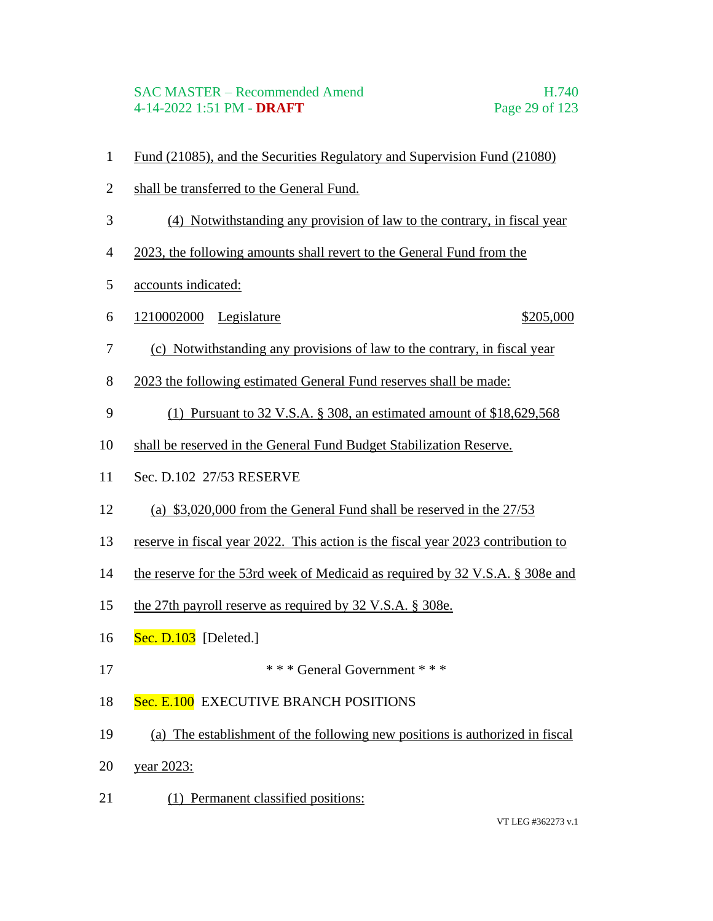#### SAC MASTER – Recommended Amend H.740 4-14-2022 1:51 PM - **DRAFT** Page 29 of 123

- Fund (21085), and the Securities Regulatory and Supervision Fund (21080)
- shall be transferred to the General Fund.
- (4) Notwithstanding any provision of law to the contrary, in fiscal year
- 2023, the following amounts shall revert to the General Fund from the
- accounts indicated:
- 6 1210002000 Legislature \$205,000

- (c) Notwithstanding any provisions of law to the contrary, in fiscal year
- 2023 the following estimated General Fund reserves shall be made:
- (1) Pursuant to 32 V.S.A. § 308, an estimated amount of \$18,629,568
- shall be reserved in the General Fund Budget Stabilization Reserve.
- Sec. D.102 27/53 RESERVE
- (a) \$3,020,000 from the General Fund shall be reserved in the 27/53
- reserve in fiscal year 2022. This action is the fiscal year 2023 contribution to
- the reserve for the 53rd week of Medicaid as required by 32 V.S.A. § 308e and
- the 27th payroll reserve as required by 32 V.S.A. § 308e.
- **Sec. D.103** [Deleted.]
- \* \* \* General Government \* \* \*
- 18 Sec. E.100 EXECUTIVE BRANCH POSITIONS
- (a) The establishment of the following new positions is authorized in fiscal
- year 2023:
- 21 (1) Permanent classified positions: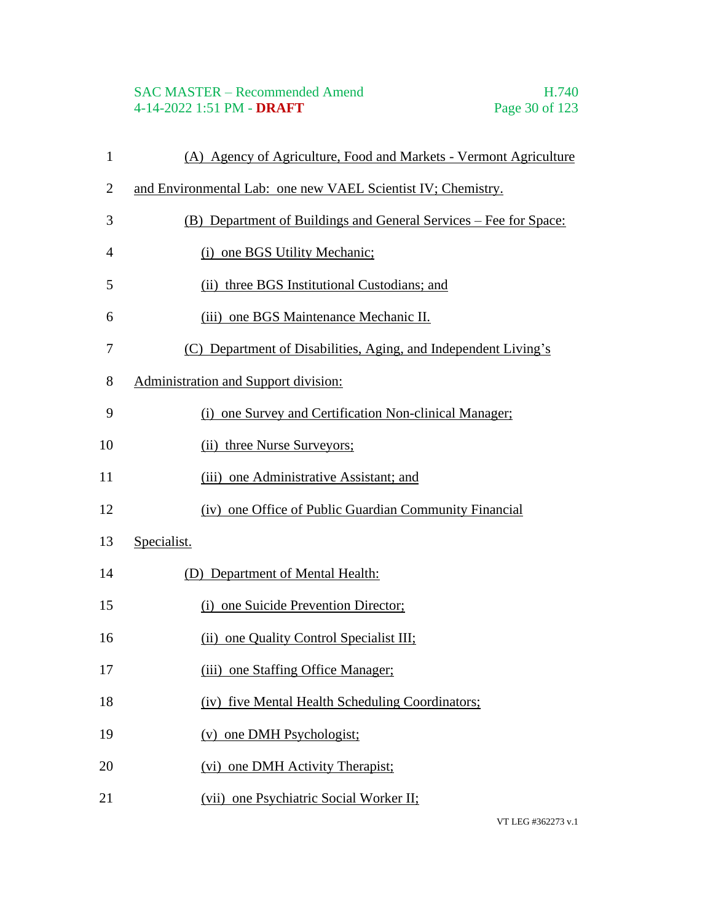# SAC MASTER – Recommended Amend<br>
4-14-2022 1:51 PM - **DRAFT** Page 30 of 123 4-14-2022 1:51 PM - **DRAFT**

| $\mathbf{1}$   | (A) Agency of Agriculture, Food and Markets - Vermont Agriculture |
|----------------|-------------------------------------------------------------------|
| $\overline{2}$ | and Environmental Lab: one new VAEL Scientist IV; Chemistry.      |
| 3              | (B) Department of Buildings and General Services – Fee for Space: |
| $\overline{4}$ | (i) one BGS Utility Mechanic;                                     |
| 5              | (ii) three BGS Institutional Custodians; and                      |
| 6              | (iii) one BGS Maintenance Mechanic II.                            |
| 7              | (C) Department of Disabilities, Aging, and Independent Living's   |
| 8              | Administration and Support division:                              |
| 9              | (i) one Survey and Certification Non-clinical Manager;            |
| 10             | (ii) three Nurse Surveyors;                                       |
| 11             | (iii) one Administrative Assistant; and                           |
| 12             | (iv) one Office of Public Guardian Community Financial            |
| 13             | Specialist.                                                       |
| 14             | (D) Department of Mental Health:                                  |
| 15             | (i) one Suicide Prevention Director;                              |
| 16             | (ii) one Quality Control Specialist III;                          |
| 17             | (iii) one Staffing Office Manager;                                |
| 18             | (iv) five Mental Health Scheduling Coordinators;                  |
| 19             | (v) one DMH Psychologist;                                         |
| 20             | (vi) one DMH Activity Therapist;                                  |
| 21             | (vii) one Psychiatric Social Worker II;                           |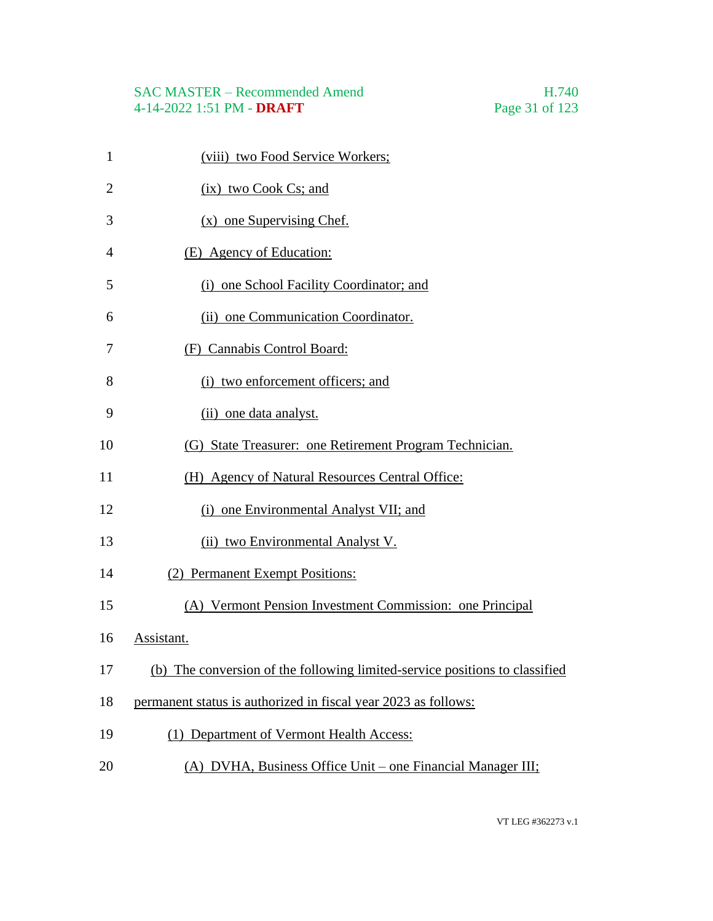# SAC MASTER – Recommended Amend<br>4-14-2022 1:51 PM - DRAFT Page 31 of 123 4-14-2022 1:51 PM - **DRAFT**

| $\mathbf{1}$   | (viii) two Food Service Workers;                                            |
|----------------|-----------------------------------------------------------------------------|
| $\overline{2}$ | $(ix)$ two Cook Cs; and                                                     |
| 3              | $(x)$ one Supervising Chef.                                                 |
| $\overline{4}$ | (E) Agency of Education:                                                    |
| 5              | (i) one School Facility Coordinator; and                                    |
| 6              | (ii) one Communication Coordinator.                                         |
| 7              | (F) Cannabis Control Board:                                                 |
| 8              | (i) two enforcement officers; and                                           |
| 9              | (ii) one data analyst.                                                      |
| 10             | (G) State Treasurer: one Retirement Program Technician.                     |
| 11             | (H) Agency of Natural Resources Central Office:                             |
| 12             | (i) one Environmental Analyst VII; and                                      |
| 13             | (ii) two Environmental Analyst V.                                           |
| 14             | (2) Permanent Exempt Positions:                                             |
| 15             | (A) Vermont Pension Investment Commission: one Principal                    |
| 16             | Assistant.                                                                  |
| 17             | (b) The conversion of the following limited-service positions to classified |
| 18             | permanent status is authorized in fiscal year 2023 as follows:              |
| 19             | (1) Department of Vermont Health Access:                                    |
| 20             | (A) DVHA, Business Office Unit – one Financial Manager III;                 |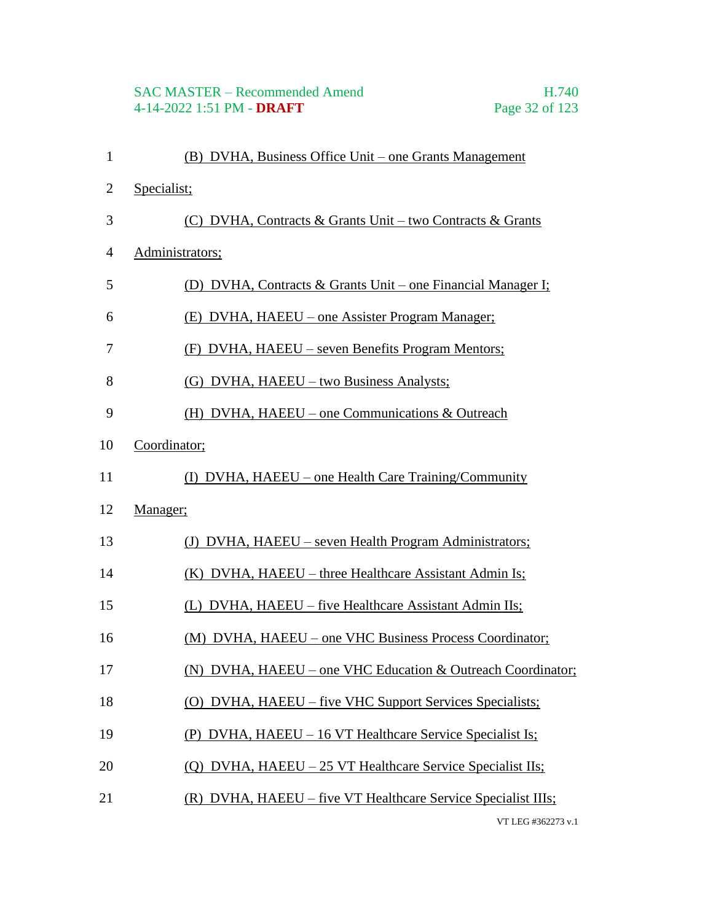# SAC MASTER – Recommended Amend<br>4-14-2022 1:51 PM - DRAFT Page 32 of 123 4-14-2022 1:51 PM - **DRAFT**

| $\mathbf{1}$   | (B) DVHA, Business Office Unit – one Grants Management        |
|----------------|---------------------------------------------------------------|
| $\overline{2}$ | Specialist;                                                   |
| 3              | (C) DVHA, Contracts & Grants Unit – two Contracts & Grants    |
| $\overline{4}$ | Administrators;                                               |
| 5              | (D) DVHA, Contracts & Grants Unit – one Financial Manager I;  |
| 6              | (E) DVHA, HAEEU – one Assister Program Manager;               |
| 7              | (F) DVHA, HAEEU – seven Benefits Program Mentors;             |
| 8              | (G) DVHA, HAEEU – two Business Analysts;                      |
| 9              | (H) DVHA, HAEEU – one Communications $&$ Outreach             |
| 10             | Coordinator;                                                  |
| 11             | (I) DVHA, HAEEU – one Health Care Training/Community          |
| 12             | Manager;                                                      |
| 13             | (J) DVHA, HAEEU – seven Health Program Administrators;        |
| 14             | (K) DVHA, HAEEU – three Healthcare Assistant Admin Is;        |
| 15             | (L) DVHA, HAEEU – five Healthcare Assistant Admin IIs;        |
| 16             | (M) DVHA, HAEEU – one VHC Business Process Coordinator;       |
| 17             | (N) DVHA, HAEEU – one VHC Education & Outreach Coordinator;   |
| 18             | (O) DVHA, HAEEU – five VHC Support Services Specialists;      |
| 19             | (P) DVHA, HAEEU – 16 VT Healthcare Service Specialist Is;     |
| 20             | (Q) DVHA, HAEEU – 25 VT Healthcare Service Specialist IIs;    |
| 21             | (R) DVHA, HAEEU – five VT Healthcare Service Specialist IIIs; |
|                | VT LEG #362273 v.1                                            |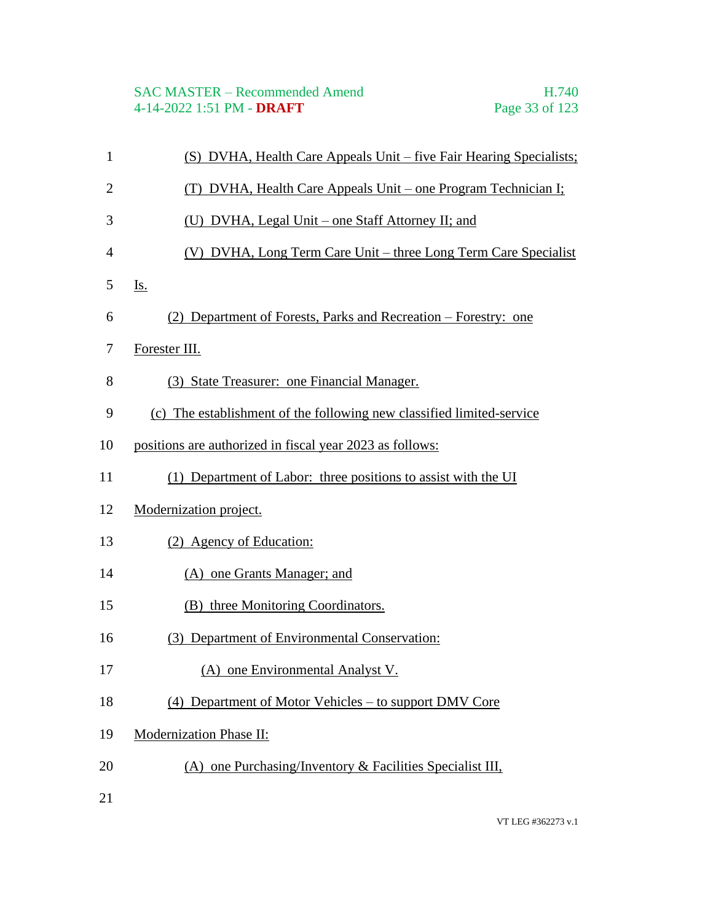| $\mathbf{1}$   | (S) DVHA, Health Care Appeals Unit – five Fair Hearing Specialists;   |
|----------------|-----------------------------------------------------------------------|
| $\overline{2}$ | (T) DVHA, Health Care Appeals Unit – one Program Technician I;        |
| 3              | (U) DVHA, Legal Unit – one Staff Attorney II; and                     |
| 4              | (V) DVHA, Long Term Care Unit – three Long Term Care Specialist       |
| 5              | Is.                                                                   |
| 6              | (2) Department of Forests, Parks and Recreation – Forestry: one       |
| 7              | Forester III.                                                         |
| 8              | (3) State Treasurer: one Financial Manager.                           |
| 9              | (c) The establishment of the following new classified limited-service |
| 10             | positions are authorized in fiscal year 2023 as follows:              |
| 11             | (1) Department of Labor: three positions to assist with the UI        |
| 12             | Modernization project.                                                |
| 13             | (2) Agency of Education:                                              |
| 14             | (A) one Grants Manager; and                                           |
| 15             | (B) three Monitoring Coordinators.                                    |
| 16             | (3) Department of Environmental Conservation:                         |
| 17             | (A) one Environmental Analyst V.                                      |
| 18             | (4) Department of Motor Vehicles – to support DMV Core                |
| 19             | <b>Modernization Phase II:</b>                                        |
| 20             | (A) one Purchasing/Inventory $\&$ Facilities Specialist III,          |
| 21             |                                                                       |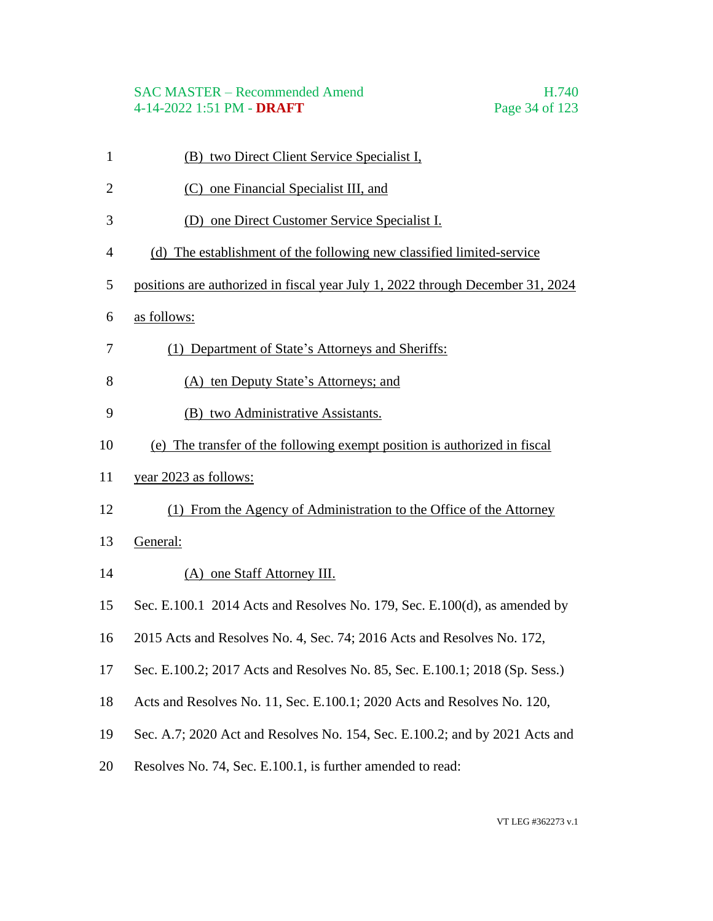#### SAC MASTER – Recommended Amend H.740 4-14-2022 1:51 PM - **DRAFT** Page 34 of 123

 (B) two Direct Client Service Specialist I, (C) one Financial Specialist III, and (D) one Direct Customer Service Specialist I. (d) The establishment of the following new classified limited-service positions are authorized in fiscal year July 1, 2022 through December 31, 2024 as follows: (1) Department of State's Attorneys and Sheriffs: (A) ten Deputy State's Attorneys; and (B) two Administrative Assistants. (e) The transfer of the following exempt position is authorized in fiscal year 2023 as follows: (1) From the Agency of Administration to the Office of the Attorney General: (A) one Staff Attorney III. Sec. E.100.1 2014 Acts and Resolves No. 179, Sec. E.100(d), as amended by 2015 Acts and Resolves No. 4, Sec. 74; 2016 Acts and Resolves No. 172, Sec. E.100.2; 2017 Acts and Resolves No. 85, Sec. E.100.1; 2018 (Sp. Sess.) Acts and Resolves No. 11, Sec. E.100.1; 2020 Acts and Resolves No. 120, Sec. A.7; 2020 Act and Resolves No. 154, Sec. E.100.2; and by 2021 Acts and Resolves No. 74, Sec. E.100.1, is further amended to read: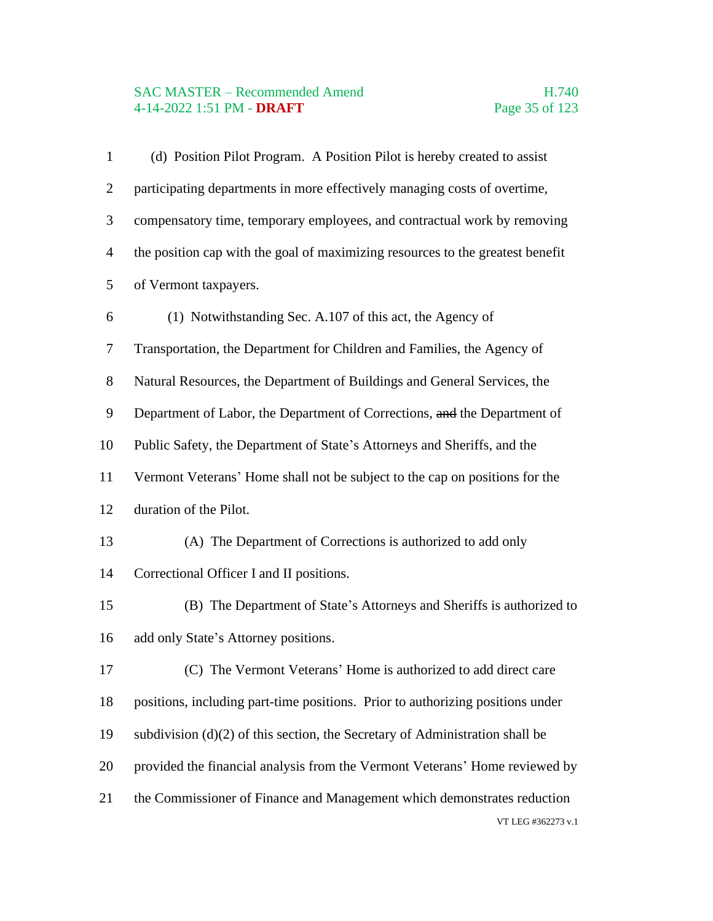# SAC MASTER – Recommended Amend<br>4-14-2022 1:51 PM - DRAFT Page 35 of 123 4-14-2022 1:51 PM - **DRAFT**

| $\mathbf{1}$   | (d) Position Pilot Program. A Position Pilot is hereby created to assist       |
|----------------|--------------------------------------------------------------------------------|
| $\overline{2}$ | participating departments in more effectively managing costs of overtime,      |
| 3              | compensatory time, temporary employees, and contractual work by removing       |
| $\overline{4}$ | the position cap with the goal of maximizing resources to the greatest benefit |
| 5              | of Vermont taxpayers.                                                          |
| 6              | (1) Notwithstanding Sec. A.107 of this act, the Agency of                      |
| $\tau$         | Transportation, the Department for Children and Families, the Agency of        |
| 8              | Natural Resources, the Department of Buildings and General Services, the       |
| 9              | Department of Labor, the Department of Corrections, and the Department of      |
| 10             | Public Safety, the Department of State's Attorneys and Sheriffs, and the       |
| 11             | Vermont Veterans' Home shall not be subject to the cap on positions for the    |
| 12             | duration of the Pilot.                                                         |
| 13             | (A) The Department of Corrections is authorized to add only                    |
| 14             | Correctional Officer I and II positions.                                       |
| 15             | (B) The Department of State's Attorneys and Sheriffs is authorized to          |
| 16             | add only State's Attorney positions.                                           |
| 17             | (C) The Vermont Veterans' Home is authorized to add direct care                |
| 18             | positions, including part-time positions. Prior to authorizing positions under |
| 19             | subdivision $(d)(2)$ of this section, the Secretary of Administration shall be |
| 20             | provided the financial analysis from the Vermont Veterans' Home reviewed by    |
| 21             | the Commissioner of Finance and Management which demonstrates reduction        |
|                | VT LEG #362273 v.1                                                             |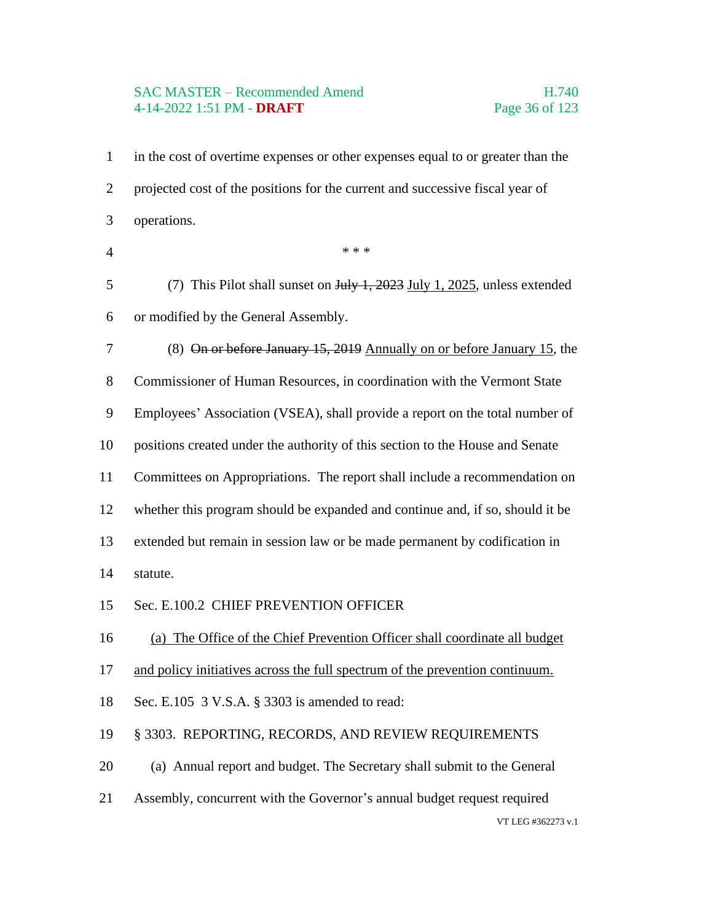#### SAC MASTER – Recommended Amend H.740 4-14-2022 1:51 PM - **DRAFT** Page 36 of 123

VT LEG #362273 v.1 in the cost of overtime expenses or other expenses equal to or greater than the projected cost of the positions for the current and successive fiscal year of operations.  $***$  (7) This Pilot shall sunset on July 1, 2023 July 1, 2025, unless extended or modified by the General Assembly. (8) On or before January 15, 2019 Annually on or before January 15, the Commissioner of Human Resources, in coordination with the Vermont State Employees' Association (VSEA), shall provide a report on the total number of positions created under the authority of this section to the House and Senate Committees on Appropriations. The report shall include a recommendation on whether this program should be expanded and continue and, if so, should it be extended but remain in session law or be made permanent by codification in statute. Sec. E.100.2 CHIEF PREVENTION OFFICER (a) The Office of the Chief Prevention Officer shall coordinate all budget and policy initiatives across the full spectrum of the prevention continuum. Sec. E.105 3 V.S.A. § 3303 is amended to read: § 3303. REPORTING, RECORDS, AND REVIEW REQUIREMENTS (a) Annual report and budget. The Secretary shall submit to the General Assembly, concurrent with the Governor's annual budget request required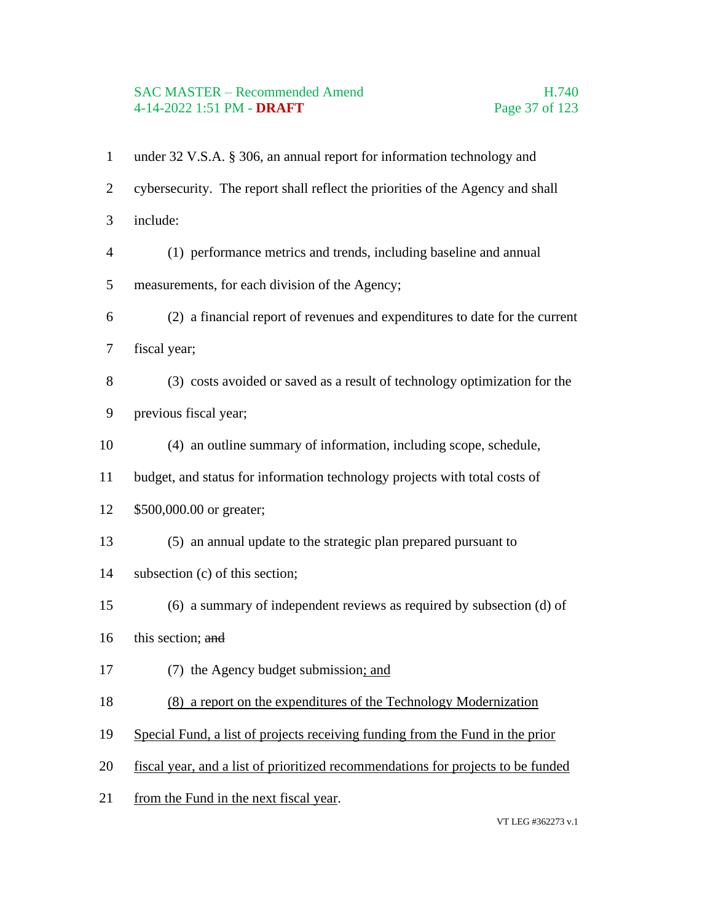# SAC MASTER – Recommended Amend<br>4-14-2022 1:51 PM - DRAFT Page 37 of 123 4-14-2022 1:51 PM - **DRAFT**

| $\mathbf{1}$   | under 32 V.S.A. § 306, an annual report for information technology and           |
|----------------|----------------------------------------------------------------------------------|
| $\overline{2}$ | cybersecurity. The report shall reflect the priorities of the Agency and shall   |
| 3              | include:                                                                         |
| $\overline{4}$ | (1) performance metrics and trends, including baseline and annual                |
| 5              | measurements, for each division of the Agency;                                   |
| 6              | (2) a financial report of revenues and expenditures to date for the current      |
| 7              | fiscal year;                                                                     |
| 8              | (3) costs avoided or saved as a result of technology optimization for the        |
| 9              | previous fiscal year;                                                            |
| 10             | (4) an outline summary of information, including scope, schedule,                |
| 11             | budget, and status for information technology projects with total costs of       |
| 12             | \$500,000.00 or greater;                                                         |
| 13             | (5) an annual update to the strategic plan prepared pursuant to                  |
| 14             | subsection (c) of this section;                                                  |
| 15             | (6) a summary of independent reviews as required by subsection (d) of            |
| 16             | this section; and                                                                |
| 17             | (7) the Agency budget submission; and                                            |
| 18             | (8) a report on the expenditures of the Technology Modernization                 |
| 19             | Special Fund, a list of projects receiving funding from the Fund in the prior    |
| 20             | fiscal year, and a list of prioritized recommendations for projects to be funded |
| 21             | from the Fund in the next fiscal year.                                           |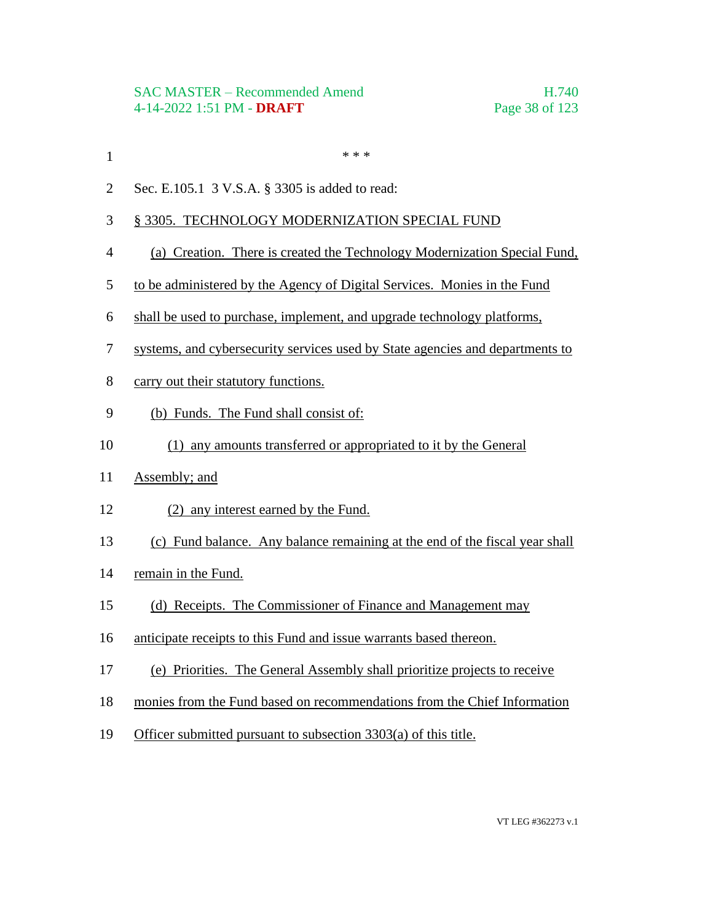- $***$
- Sec. E.105.1 3 V.S.A. § 3305 is added to read:

# § 3305. TECHNOLOGY MODERNIZATION SPECIAL FUND

- (a) Creation. There is created the Technology Modernization Special Fund,
- to be administered by the Agency of Digital Services. Monies in the Fund
- shall be used to purchase, implement, and upgrade technology platforms,
- systems, and cybersecurity services used by State agencies and departments to
- carry out their statutory functions.
- (b) Funds. The Fund shall consist of:
- (1) any amounts transferred or appropriated to it by the General
- Assembly; and
- (2) any interest earned by the Fund.
- (c) Fund balance. Any balance remaining at the end of the fiscal year shall
- remain in the Fund.
- (d) Receipts. The Commissioner of Finance and Management may
- anticipate receipts to this Fund and issue warrants based thereon.
- (e) Priorities. The General Assembly shall prioritize projects to receive
- monies from the Fund based on recommendations from the Chief Information
- Officer submitted pursuant to subsection 3303(a) of this title.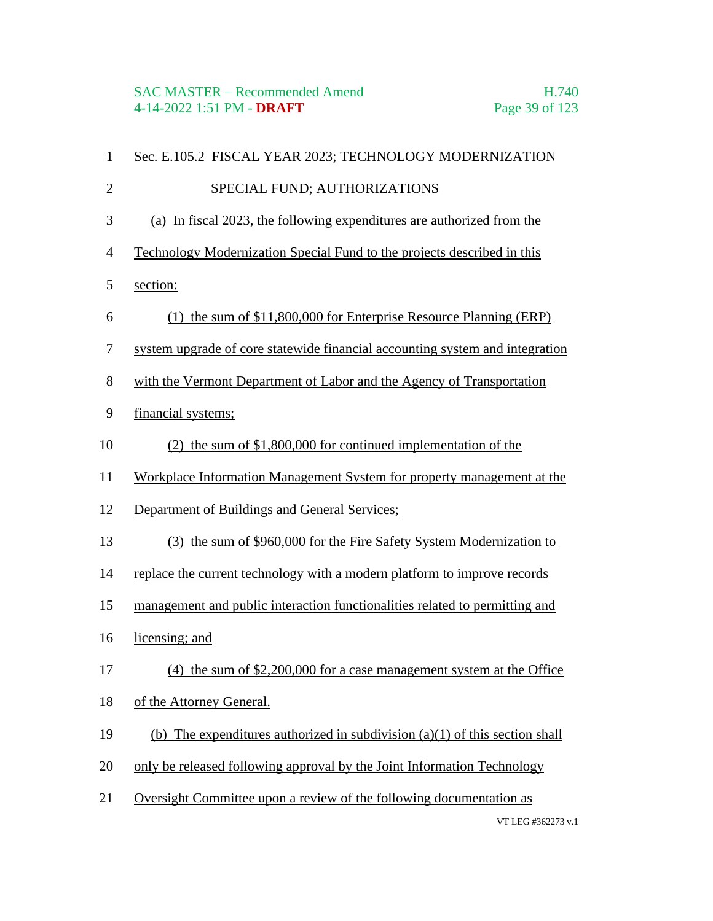| $\mathbf{1}$   | Sec. E.105.2 FISCAL YEAR 2023; TECHNOLOGY MODERNIZATION                       |
|----------------|-------------------------------------------------------------------------------|
| $\overline{2}$ | SPECIAL FUND; AUTHORIZATIONS                                                  |
| $\mathfrak{Z}$ | (a) In fiscal 2023, the following expenditures are authorized from the        |
| $\overline{4}$ | Technology Modernization Special Fund to the projects described in this       |
| 5              | section:                                                                      |
| 6              | (1) the sum of \$11,800,000 for Enterprise Resource Planning (ERP)            |
| $\tau$         | system upgrade of core statewide financial accounting system and integration  |
| $8\,$          | with the Vermont Department of Labor and the Agency of Transportation         |
| 9              | financial systems;                                                            |
| 10             | $(2)$ the sum of \$1,800,000 for continued implementation of the              |
| 11             | Workplace Information Management System for property management at the        |
| 12             | Department of Buildings and General Services;                                 |
| 13             | (3) the sum of \$960,000 for the Fire Safety System Modernization to          |
| 14             | replace the current technology with a modern platform to improve records      |
| 15             | management and public interaction functionalities related to permitting and   |
| 16             | licensing; and                                                                |
| 17             | $(4)$ the sum of \$2,200,000 for a case management system at the Office       |
| 18             | of the Attorney General.                                                      |
| 19             | (b) The expenditures authorized in subdivision $(a)(1)$ of this section shall |
| 20             | only be released following approval by the Joint Information Technology       |
| 21             | Oversight Committee upon a review of the following documentation as           |
|                | VT LEG #362273 v.1                                                            |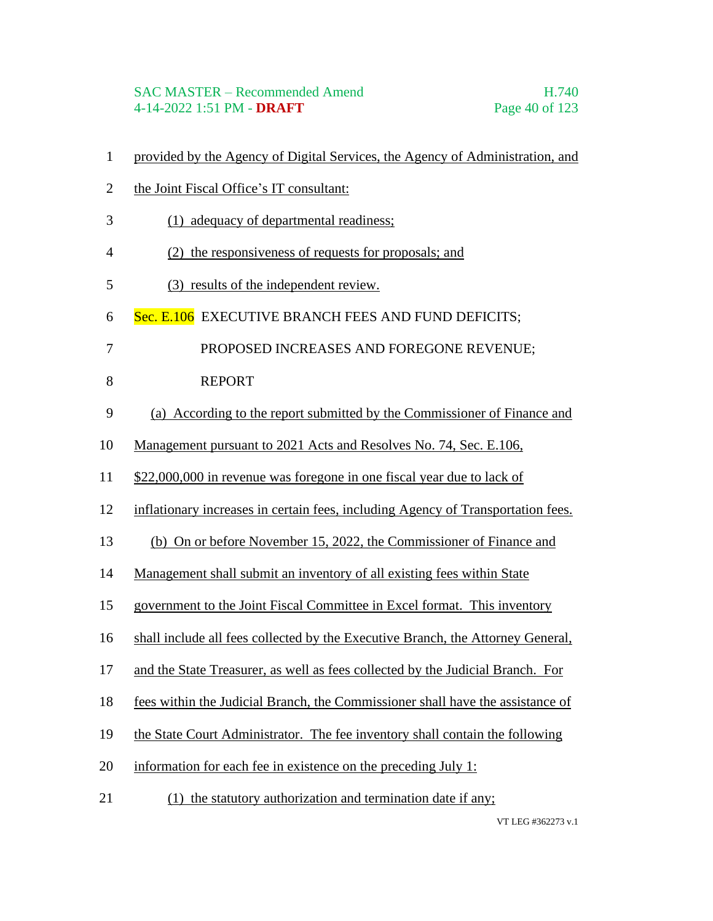## SAC MASTER – Recommended Amend H.740 4-14-2022 1:51 PM - **DRAFT** Page 40 of 123

- provided by the Agency of Digital Services, the Agency of Administration, and
- the Joint Fiscal Office's IT consultant:
- (1) adequacy of departmental readiness;
- (2) the responsiveness of requests for proposals; and
- (3) results of the independent review.
- 6 Sec. E.106 EXECUTIVE BRANCH FEES AND FUND DEFICITS;
- 7 PROPOSED INCREASES AND FOREGONE REVENUE;
- 8 REPORT
- (a) According to the report submitted by the Commissioner of Finance and
- Management pursuant to 2021 Acts and Resolves No. 74, Sec. E.106,
- \$22,000,000 in revenue was foregone in one fiscal year due to lack of
- inflationary increases in certain fees, including Agency of Transportation fees.
- (b) On or before November 15, 2022, the Commissioner of Finance and
- Management shall submit an inventory of all existing fees within State
- government to the Joint Fiscal Committee in Excel format. This inventory
- shall include all fees collected by the Executive Branch, the Attorney General,
- and the State Treasurer, as well as fees collected by the Judicial Branch. For
- fees within the Judicial Branch, the Commissioner shall have the assistance of
- the State Court Administrator. The fee inventory shall contain the following
- information for each fee in existence on the preceding July 1:
- 21 (1) the statutory authorization and termination date if any;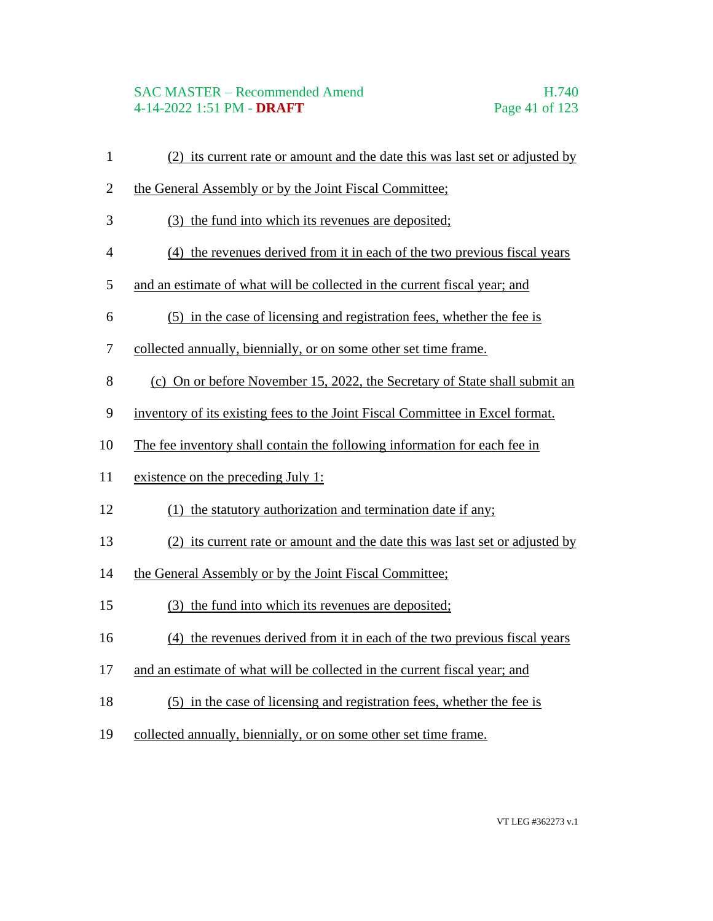# SAC MASTER – Recommended Amend H.740 4-14-2022 1:51 PM - **DRAFT** Page 41 of 123

 (2) its current rate or amount and the date this was last set or adjusted by 2 the General Assembly or by the Joint Fiscal Committee; (3) the fund into which its revenues are deposited; (4) the revenues derived from it in each of the two previous fiscal years and an estimate of what will be collected in the current fiscal year; and (5) in the case of licensing and registration fees, whether the fee is collected annually, biennially, or on some other set time frame. (c) On or before November 15, 2022, the Secretary of State shall submit an inventory of its existing fees to the Joint Fiscal Committee in Excel format. The fee inventory shall contain the following information for each fee in existence on the preceding July 1: 12 (1) the statutory authorization and termination date if any; (2) its current rate or amount and the date this was last set or adjusted by the General Assembly or by the Joint Fiscal Committee; (3) the fund into which its revenues are deposited; (4) the revenues derived from it in each of the two previous fiscal years and an estimate of what will be collected in the current fiscal year; and (5) in the case of licensing and registration fees, whether the fee is collected annually, biennially, or on some other set time frame.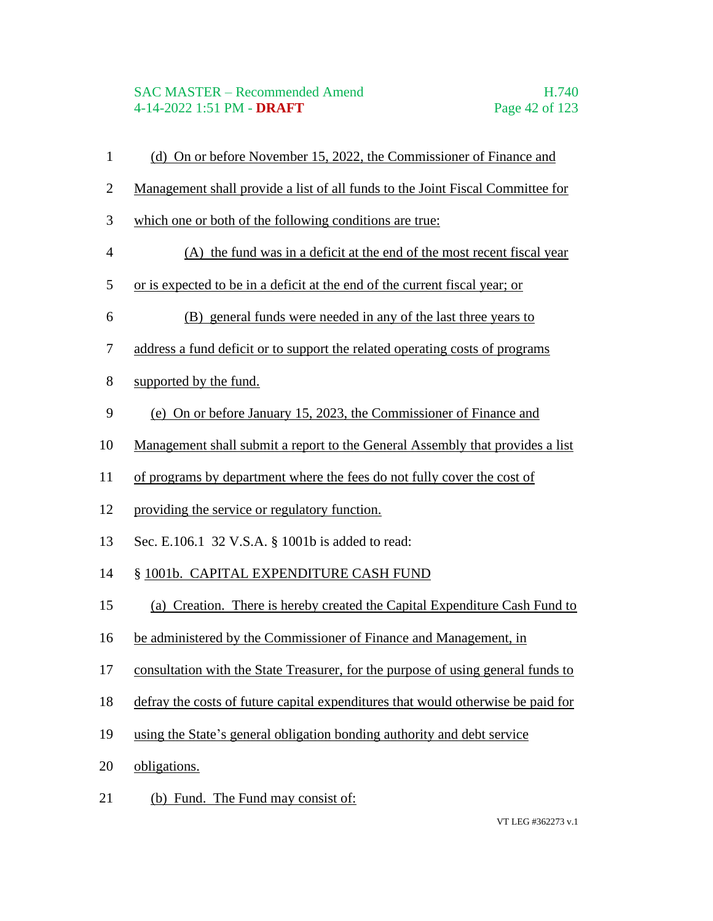# SAC MASTER – Recommended Amend H.740 4-14-2022 1:51 PM - **DRAFT** Page 42 of 123

- (d) On or before November 15, 2022, the Commissioner of Finance and
- Management shall provide a list of all funds to the Joint Fiscal Committee for
- which one or both of the following conditions are true:
- (A) the fund was in a deficit at the end of the most recent fiscal year
- or is expected to be in a deficit at the end of the current fiscal year; or
- (B) general funds were needed in any of the last three years to
- address a fund deficit or to support the related operating costs of programs
- supported by the fund.
- (e) On or before January 15, 2023, the Commissioner of Finance and
- Management shall submit a report to the General Assembly that provides a list
- of programs by department where the fees do not fully cover the cost of
- providing the service or regulatory function.
- Sec. E.106.1 32 V.S.A. § 1001b is added to read:
- § 1001b. CAPITAL EXPENDITURE CASH FUND
- (a) Creation. There is hereby created the Capital Expenditure Cash Fund to
- be administered by the Commissioner of Finance and Management, in
- consultation with the State Treasurer, for the purpose of using general funds to
- defray the costs of future capital expenditures that would otherwise be paid for
- using the State's general obligation bonding authority and debt service
- obligations.
- 21 (b) Fund. The Fund may consist of: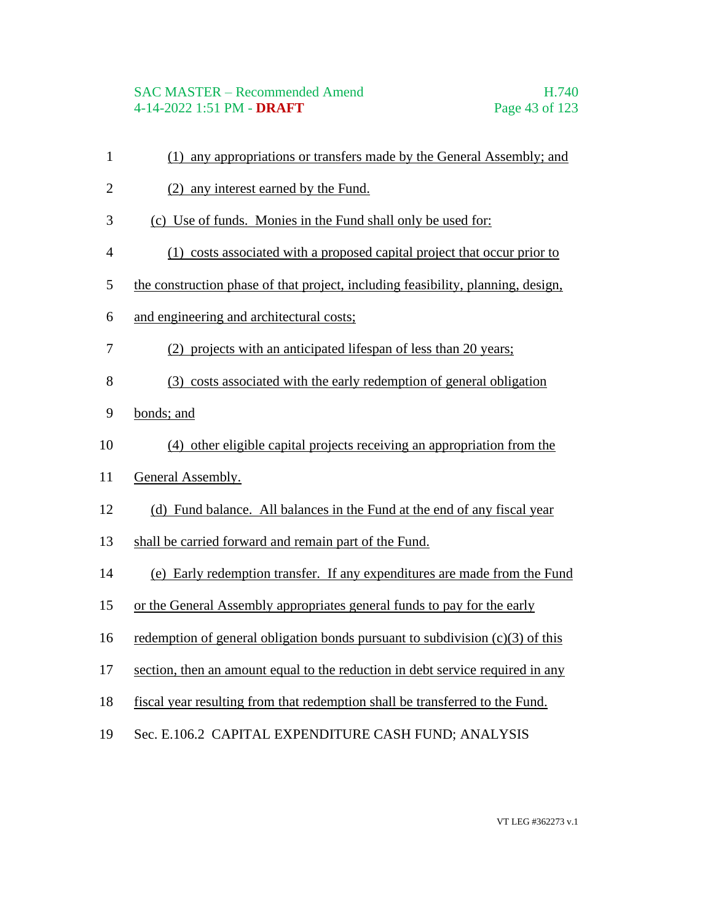# SAC MASTER – Recommended Amend H.740 4-14-2022 1:51 PM - **DRAFT** Page 43 of 123

- (1) any appropriations or transfers made by the General Assembly; and
- (2) any interest earned by the Fund.
- (c) Use of funds. Monies in the Fund shall only be used for:
- (1) costs associated with a proposed capital project that occur prior to
- the construction phase of that project, including feasibility, planning, design,
- and engineering and architectural costs;
- (2) projects with an anticipated lifespan of less than 20 years;
- (3) costs associated with the early redemption of general obligation
- bonds; and
- (4) other eligible capital projects receiving an appropriation from the
- General Assembly.
- (d) Fund balance. All balances in the Fund at the end of any fiscal year
- shall be carried forward and remain part of the Fund.
- (e) Early redemption transfer. If any expenditures are made from the Fund
- or the General Assembly appropriates general funds to pay for the early
- 16 redemption of general obligation bonds pursuant to subdivision  $(c)(3)$  of this
- section, then an amount equal to the reduction in debt service required in any
- fiscal year resulting from that redemption shall be transferred to the Fund.
- Sec. E.106.2 CAPITAL EXPENDITURE CASH FUND; ANALYSIS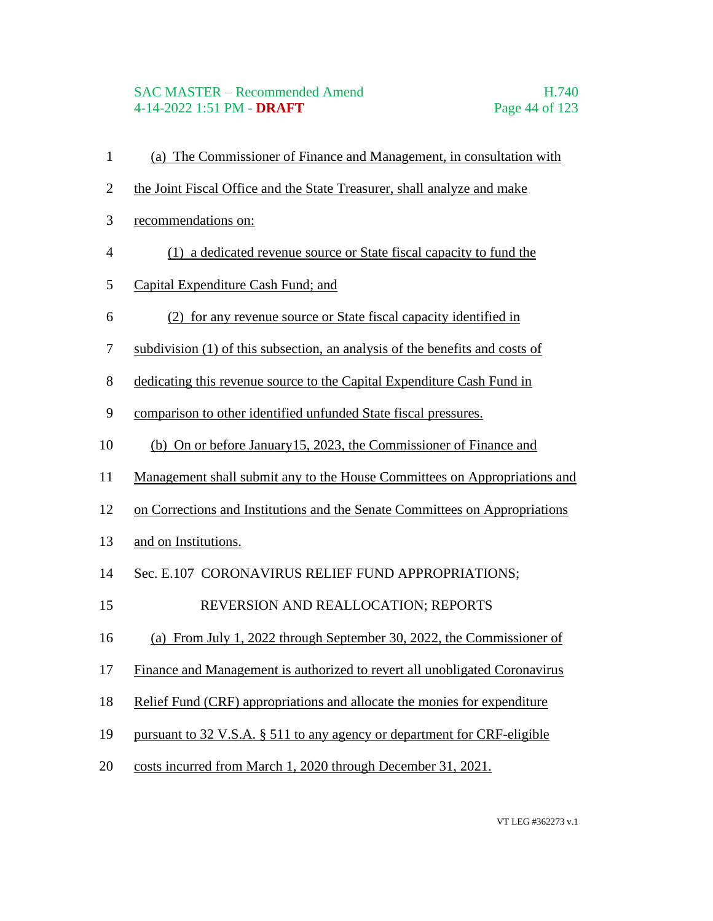# SAC MASTER – Recommended Amend H.740 4-14-2022 1:51 PM - **DRAFT** Page 44 of 123

- (a) The Commissioner of Finance and Management, in consultation with
- the Joint Fiscal Office and the State Treasurer, shall analyze and make
- recommendations on:
- (1) a dedicated revenue source or State fiscal capacity to fund the
- Capital Expenditure Cash Fund; and
- (2) for any revenue source or State fiscal capacity identified in
- subdivision (1) of this subsection, an analysis of the benefits and costs of
- dedicating this revenue source to the Capital Expenditure Cash Fund in
- comparison to other identified unfunded State fiscal pressures.
- (b) On or before January15, 2023, the Commissioner of Finance and
- Management shall submit any to the House Committees on Appropriations and
- on Corrections and Institutions and the Senate Committees on Appropriations
- and on Institutions.
- 14 Sec. E.107 CORONAVIRUS RELIEF FUND APPROPRIATIONS;
- 15 REVERSION AND REALLOCATION; REPORTS
- (a) From July 1, 2022 through September 30, 2022, the Commissioner of
- Finance and Management is authorized to revert all unobligated Coronavirus
- Relief Fund (CRF) appropriations and allocate the monies for expenditure
- pursuant to 32 V.S.A. § 511 to any agency or department for CRF-eligible
- costs incurred from March 1, 2020 through December 31, 2021.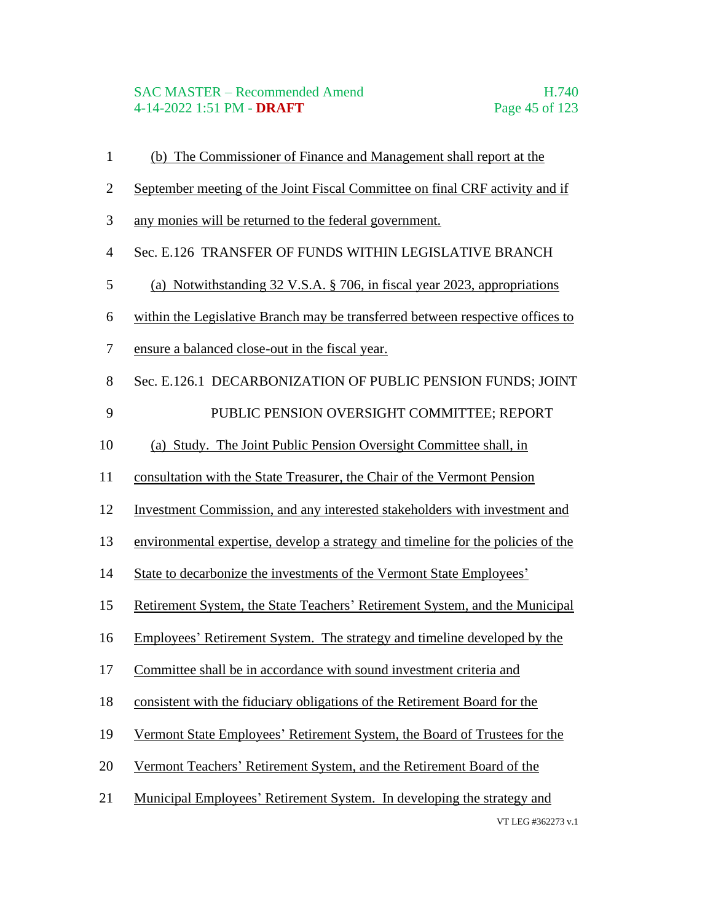### SAC MASTER – Recommended Amend H.740 4-14-2022 1:51 PM - **DRAFT** Page 45 of 123

- (b) The Commissioner of Finance and Management shall report at the
- September meeting of the Joint Fiscal Committee on final CRF activity and if
- any monies will be returned to the federal government.
- Sec. E.126 TRANSFER OF FUNDS WITHIN LEGISLATIVE BRANCH
- (a) Notwithstanding 32 V.S.A. § 706, in fiscal year 2023, appropriations
- within the Legislative Branch may be transferred between respective offices to
- ensure a balanced close-out in the fiscal year.
- Sec. E.126.1 DECARBONIZATION OF PUBLIC PENSION FUNDS; JOINT 9 PUBLIC PENSION OVERSIGHT COMMITTEE; REPORT
- (a) Study. The Joint Public Pension Oversight Committee shall, in
- consultation with the State Treasurer, the Chair of the Vermont Pension
- Investment Commission, and any interested stakeholders with investment and
- environmental expertise, develop a strategy and timeline for the policies of the
- State to decarbonize the investments of the Vermont State Employees'
- Retirement System, the State Teachers' Retirement System, and the Municipal
- Employees' Retirement System. The strategy and timeline developed by the
- Committee shall be in accordance with sound investment criteria and
- consistent with the fiduciary obligations of the Retirement Board for the
- Vermont State Employees' Retirement System, the Board of Trustees for the
- Vermont Teachers' Retirement System, and the Retirement Board of the
- Municipal Employees' Retirement System. In developing the strategy and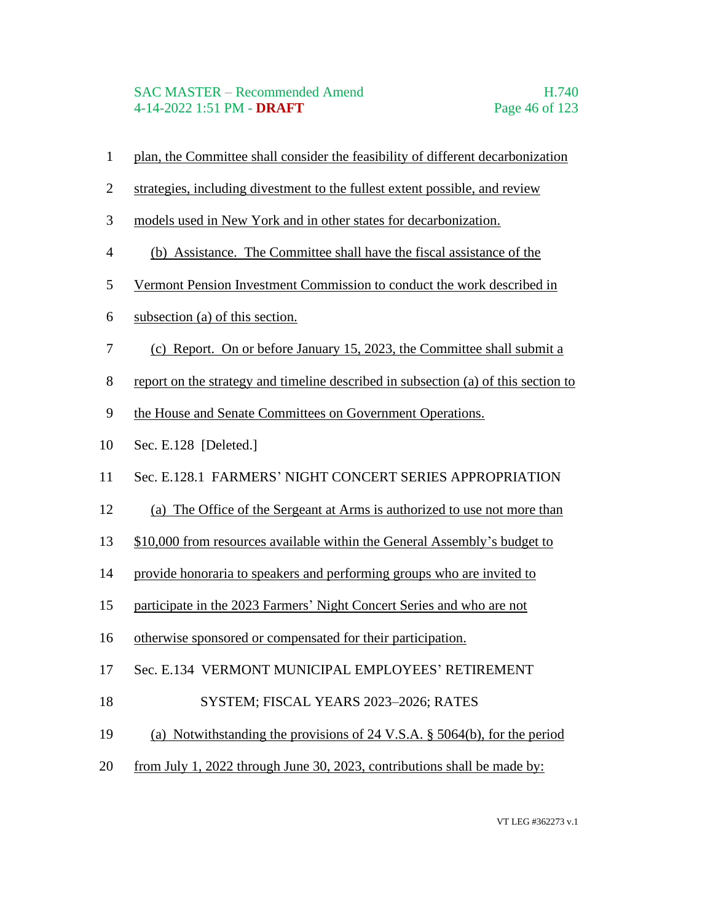### SAC MASTER – Recommended Amend H.740 4-14-2022 1:51 PM - **DRAFT** Page 46 of 123

- plan, the Committee shall consider the feasibility of different decarbonization
- strategies, including divestment to the fullest extent possible, and review
- models used in New York and in other states for decarbonization.
- (b) Assistance. The Committee shall have the fiscal assistance of the
- Vermont Pension Investment Commission to conduct the work described in
- subsection (a) of this section.
- (c) Report. On or before January 15, 2023, the Committee shall submit a
- report on the strategy and timeline described in subsection (a) of this section to
- the House and Senate Committees on Government Operations.
- Sec. E.128 [Deleted.]
- Sec. E.128.1 FARMERS' NIGHT CONCERT SERIES APPROPRIATION
- (a) The Office of the Sergeant at Arms is authorized to use not more than
- \$10,000 from resources available within the General Assembly's budget to
- provide honoraria to speakers and performing groups who are invited to
- participate in the 2023 Farmers' Night Concert Series and who are not
- otherwise sponsored or compensated for their participation.
- Sec. E.134 VERMONT MUNICIPAL EMPLOYEES' RETIREMENT
- 18 SYSTEM; FISCAL YEARS 2023–2026; RATES
- (a) Notwithstanding the provisions of 24 V.S.A. § 5064(b), for the period
- from July 1, 2022 through June 30, 2023, contributions shall be made by: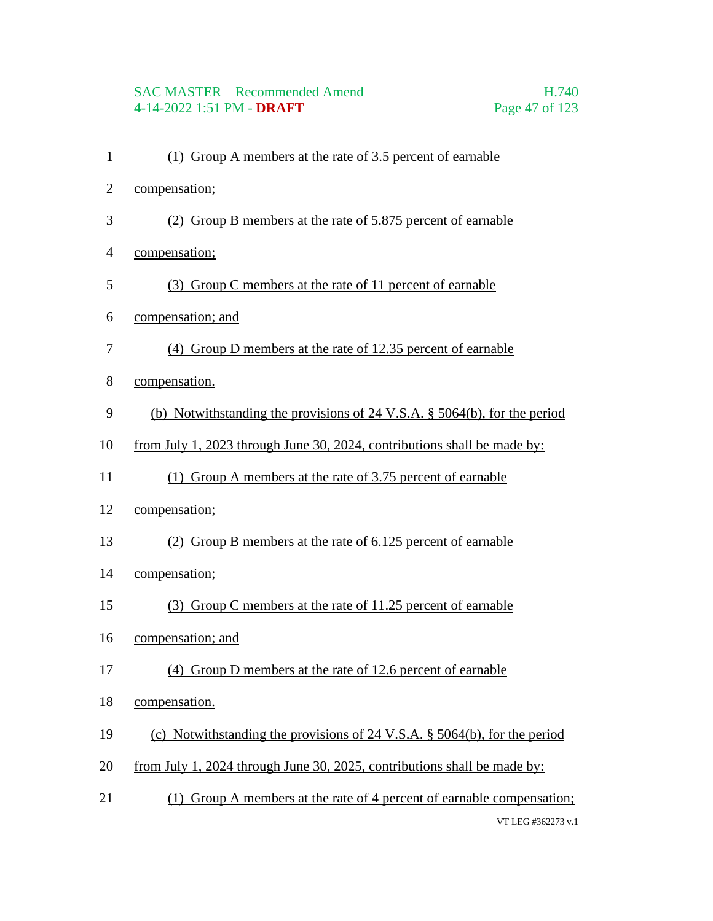# SAC MASTER – Recommended Amend H.740 4-14-2022 1:51 PM - **DRAFT** Page 47 of 123

- (1) Group A members at the rate of 3.5 percent of earnable
- compensation;
- (2) Group B members at the rate of 5.875 percent of earnable
- compensation;
- (3) Group C members at the rate of 11 percent of earnable
- compensation; and
- (4) Group D members at the rate of 12.35 percent of earnable
- compensation.
- (b) Notwithstanding the provisions of 24 V.S.A. § 5064(b), for the period
- from July 1, 2023 through June 30, 2024, contributions shall be made by:
- (1) Group A members at the rate of 3.75 percent of earnable
- compensation;
- (2) Group B members at the rate of 6.125 percent of earnable
- compensation;
- (3) Group C members at the rate of 11.25 percent of earnable
- compensation; and
- (4) Group D members at the rate of 12.6 percent of earnable
- compensation.
- (c) Notwithstanding the provisions of 24 V.S.A. § 5064(b), for the period
- from July 1, 2024 through June 30, 2025, contributions shall be made by:
- VT LEG #362273 v.1 21 (1) Group A members at the rate of 4 percent of earnable compensation;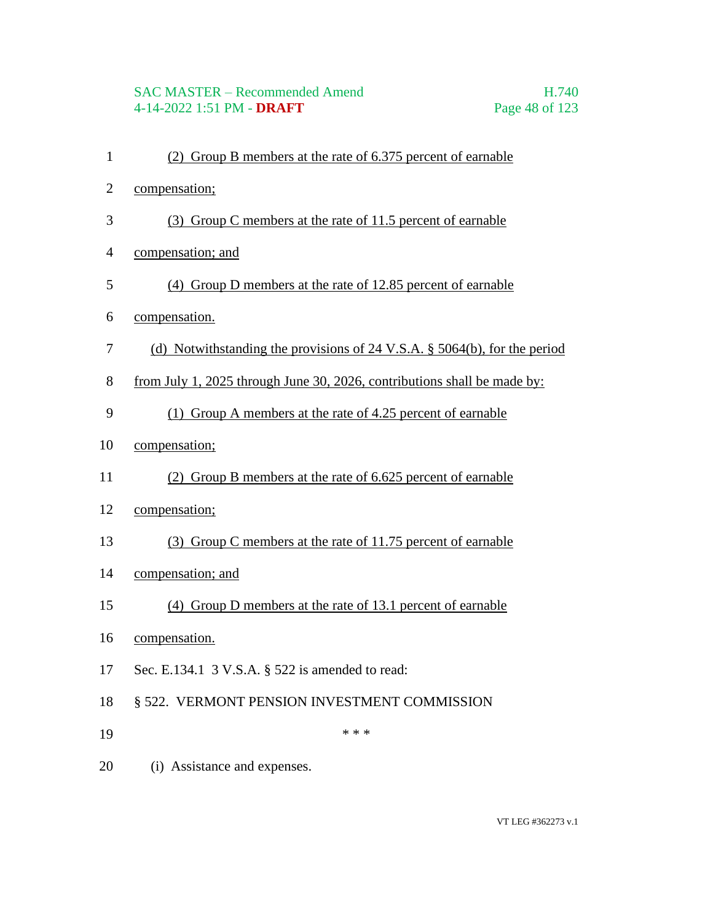# SAC MASTER – Recommended Amend H.740 4-14-2022 1:51 PM - **DRAFT** Page 48 of 123

- (2) Group B members at the rate of 6.375 percent of earnable
- compensation;
- (3) Group C members at the rate of 11.5 percent of earnable
- compensation; and
- (4) Group D members at the rate of 12.85 percent of earnable
- compensation.
- (d) Notwithstanding the provisions of 24 V.S.A. § 5064(b), for the period
- from July 1, 2025 through June 30, 2026, contributions shall be made by:
- (1) Group A members at the rate of 4.25 percent of earnable
- compensation;
- (2) Group B members at the rate of 6.625 percent of earnable
- compensation;
- (3) Group C members at the rate of 11.75 percent of earnable
- compensation; and
- (4) Group D members at the rate of 13.1 percent of earnable
- compensation.
- Sec. E.134.1 3 V.S.A. § 522 is amended to read:
- § 522. VERMONT PENSION INVESTMENT COMMISSION
- \*\*\*
- (i) Assistance and expenses.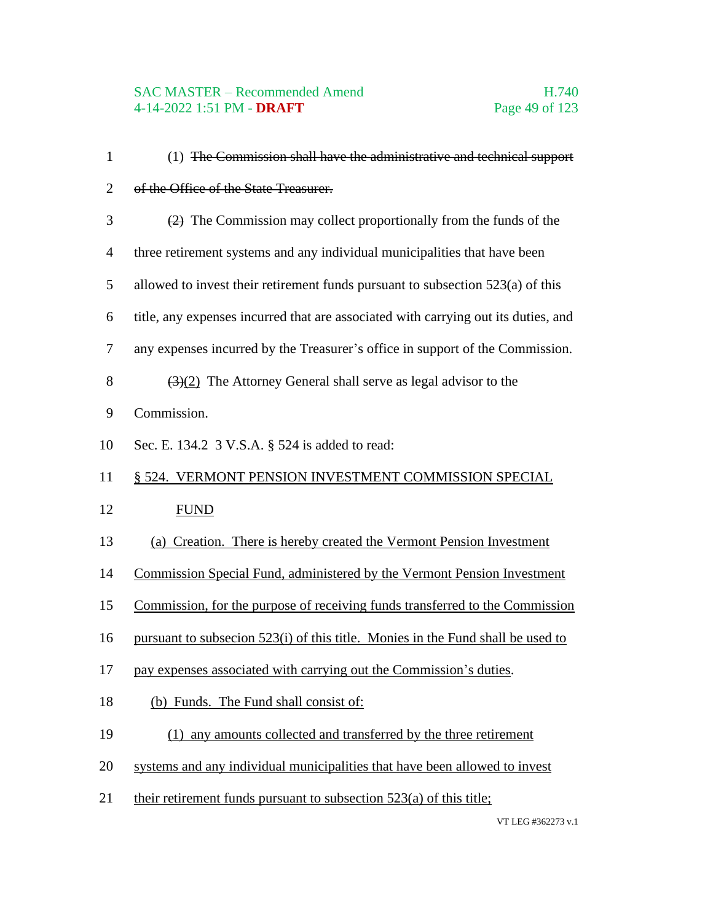| $\mathbf{1}$   | (1) The Commission shall have the administrative and technical support                       |
|----------------|----------------------------------------------------------------------------------------------|
| $\mathbf{2}$   | of the Office of the State Treasurer.                                                        |
| 3              | $\left( \frac{2}{2} \right)$ The Commission may collect proportionally from the funds of the |
| $\overline{4}$ | three retirement systems and any individual municipalities that have been                    |
| 5              | allowed to invest their retirement funds pursuant to subsection $523(a)$ of this             |
| 6              | title, any expenses incurred that are associated with carrying out its duties, and           |
| 7              | any expenses incurred by the Treasurer's office in support of the Commission.                |
| 8              | $(3)(2)$ The Attorney General shall serve as legal advisor to the                            |
| 9              | Commission.                                                                                  |
| 10             | Sec. E. 134.2 3 V.S.A. § 524 is added to read:                                               |
| 11             | § 524. VERMONT PENSION INVESTMENT COMMISSION SPECIAL                                         |
| 12             | <b>FUND</b>                                                                                  |
| 13             | (a) Creation. There is hereby created the Vermont Pension Investment                         |
| 14             | Commission Special Fund, administered by the Vermont Pension Investment                      |
| 15             | Commission, for the purpose of receiving funds transferred to the Commission                 |
| 16             | pursuant to subsection 523(i) of this title. Monies in the Fund shall be used to             |
| 17             | pay expenses associated with carrying out the Commission's duties.                           |
| 18             | (b) Funds. The Fund shall consist of:                                                        |
| 19             | (1) any amounts collected and transferred by the three retirement                            |
| 20             | systems and any individual municipalities that have been allowed to invest                   |
| 21             | their retirement funds pursuant to subsection 523(a) of this title;                          |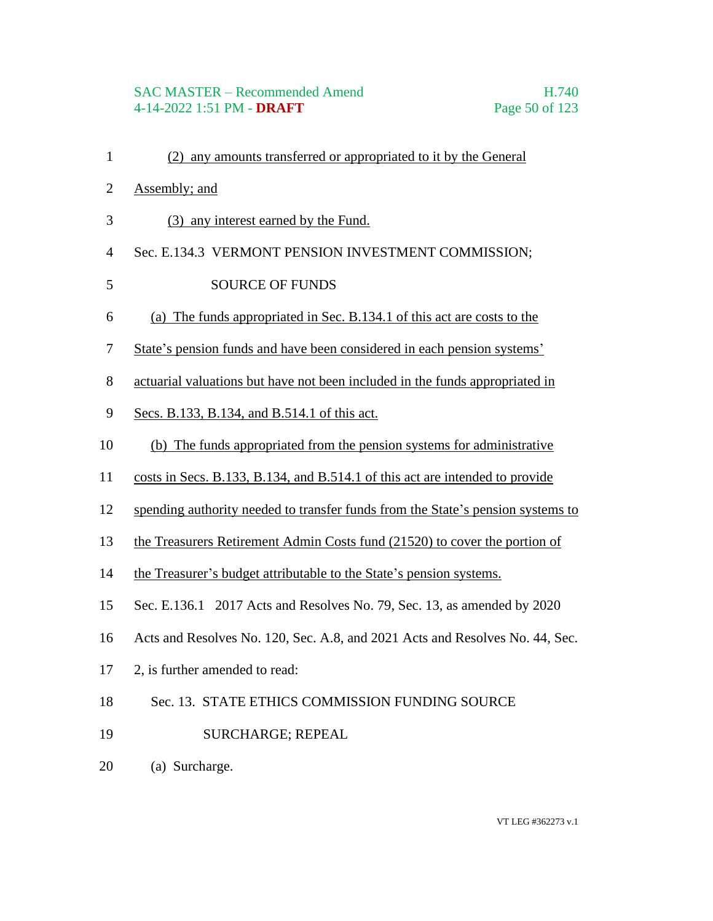# SAC MASTER – Recommended Amend H.740 4-14-2022 1:51 PM - **DRAFT** Page 50 of 123

- (2) any amounts transferred or appropriated to it by the General
- Assembly; and
- (3) any interest earned by the Fund.
- Sec. E.134.3 VERMONT PENSION INVESTMENT COMMISSION;

#### 5 SOURCE OF FUNDS

- (a) The funds appropriated in Sec. B.134.1 of this act are costs to the
- State's pension funds and have been considered in each pension systems'
- actuarial valuations but have not been included in the funds appropriated in
- Secs. B.133, B.134, and B.514.1 of this act.
- (b) The funds appropriated from the pension systems for administrative
- costs in Secs. B.133, B.134, and B.514.1 of this act are intended to provide
- spending authority needed to transfer funds from the State's pension systems to
- the Treasurers Retirement Admin Costs fund (21520) to cover the portion of
- the Treasurer's budget attributable to the State's pension systems.
- Sec. E.136.1 2017 Acts and Resolves No. 79, Sec. 13, as amended by 2020
- Acts and Resolves No. 120, Sec. A.8, and 2021 Acts and Resolves No. 44, Sec.
- 2, is further amended to read:
- Sec. 13. STATE ETHICS COMMISSION FUNDING SOURCE
- 19 SURCHARGE; REPEAL
- (a) Surcharge.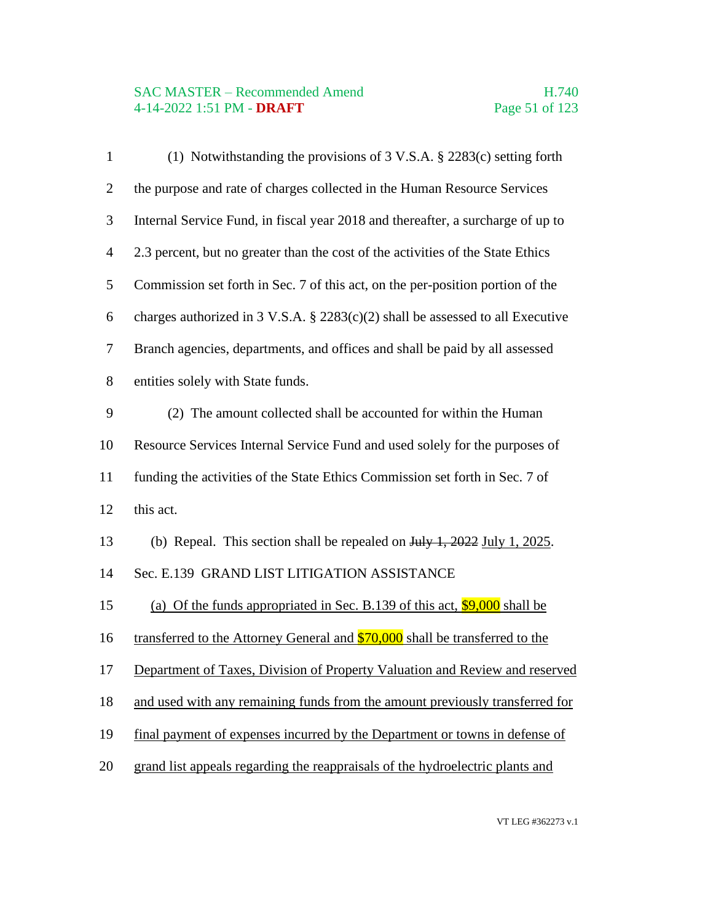# SAC MASTER – Recommended Amend<br>4-14-2022 1:51 PM - DRAFT Page 51 of 123 4-14-2022 1:51 PM - **DRAFT**

| $\mathbf{1}$   | (1) Notwithstanding the provisions of 3 V.S.A. § 2283(c) setting forth            |
|----------------|-----------------------------------------------------------------------------------|
| $\overline{2}$ | the purpose and rate of charges collected in the Human Resource Services          |
| 3              | Internal Service Fund, in fiscal year 2018 and thereafter, a surcharge of up to   |
| $\overline{4}$ | 2.3 percent, but no greater than the cost of the activities of the State Ethics   |
| 5              | Commission set forth in Sec. 7 of this act, on the per-position portion of the    |
| 6              | charges authorized in 3 V.S.A. $\S$ 2283(c)(2) shall be assessed to all Executive |
| 7              | Branch agencies, departments, and offices and shall be paid by all assessed       |
| $8\,$          | entities solely with State funds.                                                 |
| 9              | (2) The amount collected shall be accounted for within the Human                  |
| 10             | Resource Services Internal Service Fund and used solely for the purposes of       |
| 11             | funding the activities of the State Ethics Commission set forth in Sec. 7 of      |
| 12             | this act.                                                                         |
| 13             | (b) Repeal. This section shall be repealed on $Juy$ 1, 2022 July 1, 2025.         |
| 14             | Sec. E.139 GRAND LIST LITIGATION ASSISTANCE                                       |
| 15             | (a) Of the funds appropriated in Sec. B.139 of this act, $$9,000$ shall be        |
| 16             | transferred to the Attorney General and \$70,000 shall be transferred to the      |
| 17             | Department of Taxes, Division of Property Valuation and Review and reserved       |
| 18             | and used with any remaining funds from the amount previously transferred for      |
| 19             | final payment of expenses incurred by the Department or towns in defense of       |
| 20             | grand list appeals regarding the reappraisals of the hydroelectric plants and     |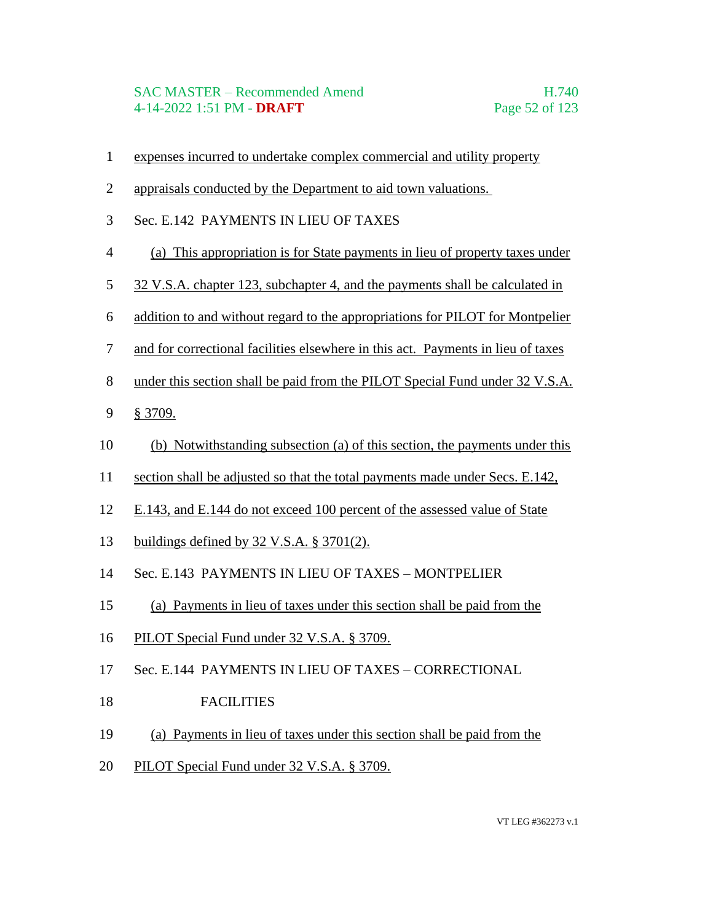### SAC MASTER – Recommended Amend H.740 4-14-2022 1:51 PM - **DRAFT** Page 52 of 123

- expenses incurred to undertake complex commercial and utility property
- appraisals conducted by the Department to aid town valuations.
- Sec. E.142 PAYMENTS IN LIEU OF TAXES
- (a) This appropriation is for State payments in lieu of property taxes under
- 32 V.S.A. chapter 123, subchapter 4, and the payments shall be calculated in
- addition to and without regard to the appropriations for PILOT for Montpelier
- and for correctional facilities elsewhere in this act. Payments in lieu of taxes
- under this section shall be paid from the PILOT Special Fund under 32 V.S.A.
- § 3709.
- (b) Notwithstanding subsection (a) of this section, the payments under this
- section shall be adjusted so that the total payments made under Secs. E.142,
- E.143, and E.144 do not exceed 100 percent of the assessed value of State
- buildings defined by 32 V.S.A. § 3701(2).
- Sec. E.143 PAYMENTS IN LIEU OF TAXES MONTPELIER
- (a) Payments in lieu of taxes under this section shall be paid from the
- 16 PILOT Special Fund under 32 V.S.A. § 3709.
- Sec. E.144 PAYMENTS IN LIEU OF TAXES CORRECTIONAL
- 18 FACILITIES
- (a) Payments in lieu of taxes under this section shall be paid from the
- PILOT Special Fund under 32 V.S.A. § 3709.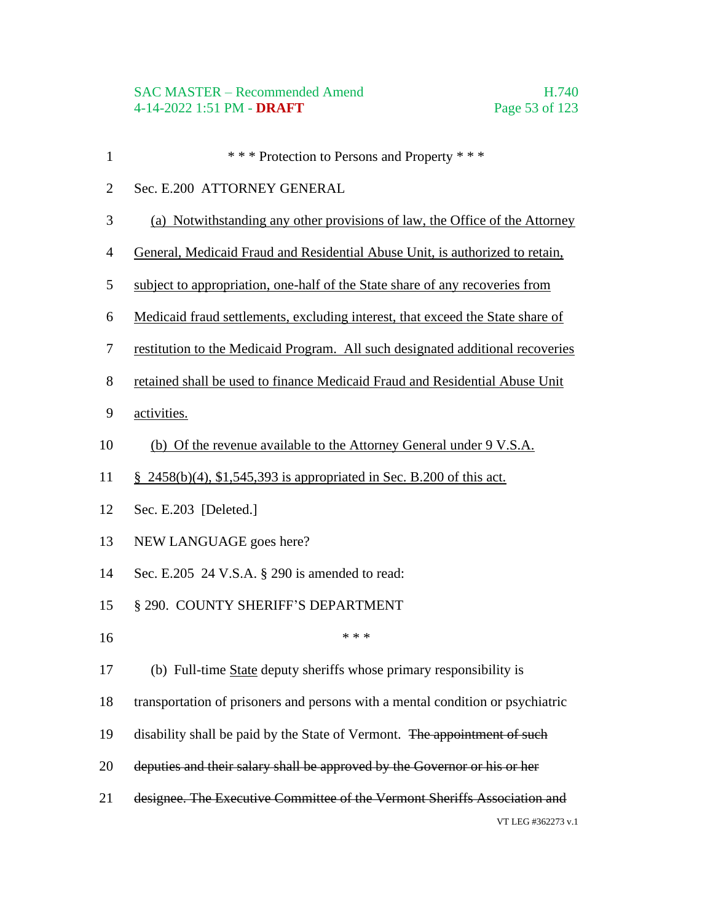- **\*\*\*\*** Protection to Persons and Property \*\*\*
- Sec. E.200 ATTORNEY GENERAL
- (a) Notwithstanding any other provisions of law, the Office of the Attorney
- General, Medicaid Fraud and Residential Abuse Unit, is authorized to retain,
- subject to appropriation, one-half of the State share of any recoveries from
- Medicaid fraud settlements, excluding interest, that exceed the State share of
- restitution to the Medicaid Program. All such designated additional recoveries
- retained shall be used to finance Medicaid Fraud and Residential Abuse Unit
- activities.
- (b) Of the revenue available to the Attorney General under 9 V.S.A.
- § 2458(b)(4), \$1,545,393 is appropriated in Sec. B.200 of this act.
- Sec. E.203 [Deleted.]
- NEW LANGUAGE goes here?
- Sec. E.205 24 V.S.A. § 290 is amended to read:
- 15 § 290. COUNTY SHERIFF'S DEPARTMENT
- \*\*\*
- (b) Full-time State deputy sheriffs whose primary responsibility is
- transportation of prisoners and persons with a mental condition or psychiatric
- 19 disability shall be paid by the State of Vermont. The appointment of such
- deputies and their salary shall be approved by the Governor or his or her
- designee. The Executive Committee of the Vermont Sheriffs Association and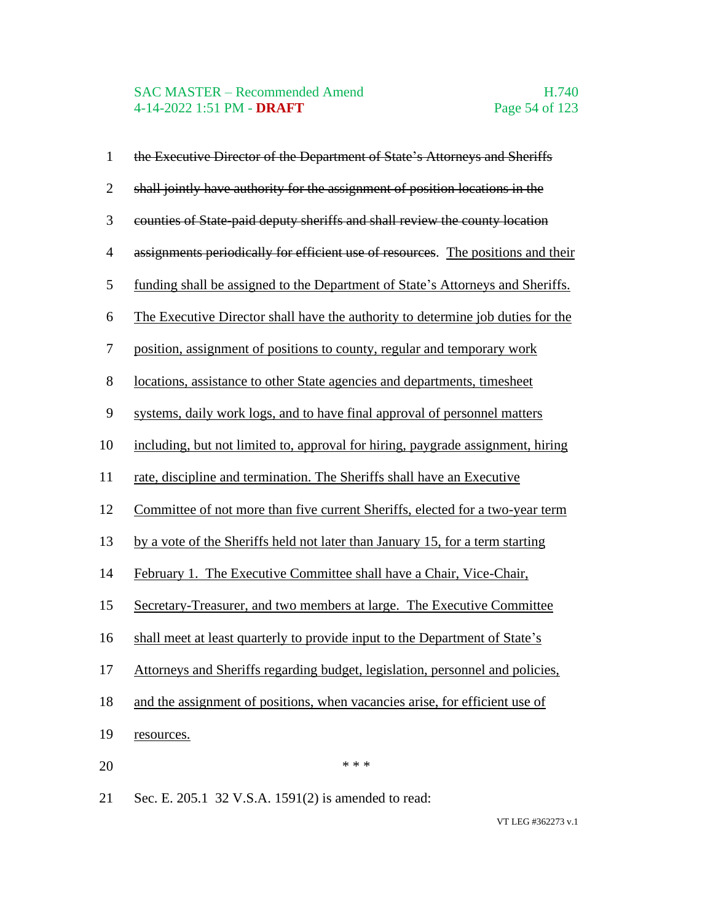# SAC MASTER – Recommended Amend<br>4-14-2022 1:51 PM - DRAFT Page 54 of 123 4-14-2022 1:51 PM - **DRAFT**

| $\mathbf{1}$   | the Executive Director of the Department of State's Attorneys and Sheriffs       |
|----------------|----------------------------------------------------------------------------------|
| $\mathbf{2}$   | shall jointly have authority for the assignment of position locations in the     |
| 3              | counties of State paid deputy sheriffs and shall review the county location      |
| $\overline{4}$ | assignments periodically for efficient use of resources. The positions and their |
| 5              | funding shall be assigned to the Department of State's Attorneys and Sheriffs.   |
| 6              | The Executive Director shall have the authority to determine job duties for the  |
| 7              | position, assignment of positions to county, regular and temporary work          |
| 8              | locations, assistance to other State agencies and departments, timesheet         |
| 9              | systems, daily work logs, and to have final approval of personnel matters        |
| 10             | including, but not limited to, approval for hiring, paygrade assignment, hiring  |
| 11             | rate, discipline and termination. The Sheriffs shall have an Executive           |
| 12             | Committee of not more than five current Sheriffs, elected for a two-year term    |
| 13             | by a vote of the Sheriffs held not later than January 15, for a term starting    |
| 14             | February 1. The Executive Committee shall have a Chair, Vice-Chair,              |
| 15             | Secretary-Treasurer, and two members at large. The Executive Committee           |
| 16             | shall meet at least quarterly to provide input to the Department of State's      |
| 17             | Attorneys and Sheriffs regarding budget, legislation, personnel and policies,    |
| 18             | and the assignment of positions, when vacancies arise, for efficient use of      |
| 19             | resources.                                                                       |
| 20             | * * *                                                                            |
| 21             | Sec. E. 205.1 32 V.S.A. 1591(2) is amended to read:                              |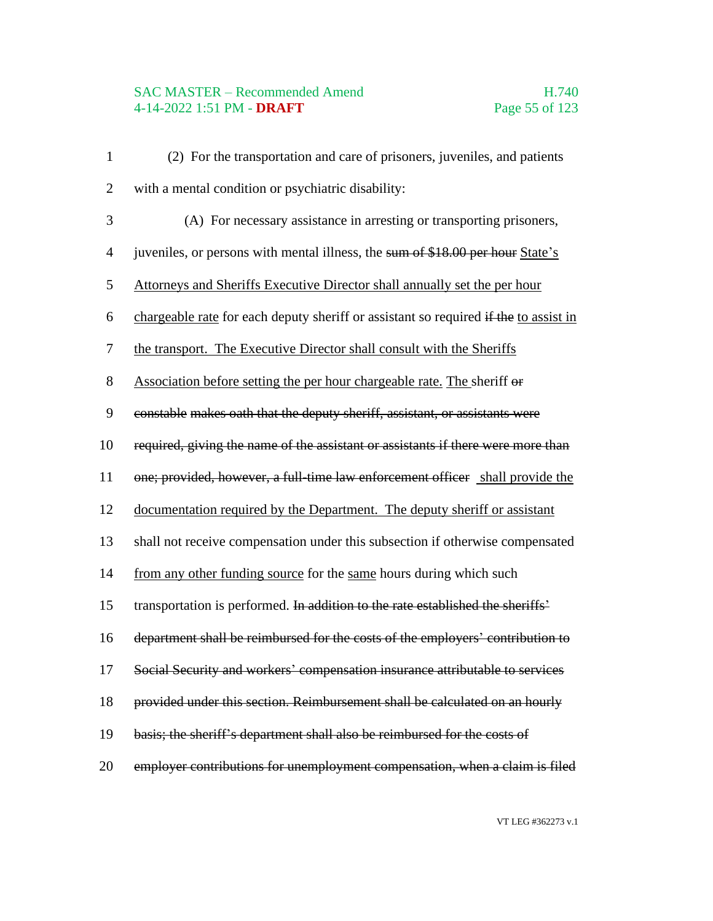# SAC MASTER – Recommended Amend<br>4-14-2022 1:51 PM - **DRAFT** Page 55 of 123 4-14-2022 1:51 PM - **DRAFT**

| $\mathbf{1}$   | (2) For the transportation and care of prisoners, juveniles, and patients            |
|----------------|--------------------------------------------------------------------------------------|
| $\overline{2}$ | with a mental condition or psychiatric disability:                                   |
| 3              | (A) For necessary assistance in arresting or transporting prisoners,                 |
| $\overline{4}$ | juveniles, or persons with mental illness, the sum of \$18.00 per hour State's       |
| 5              | Attorneys and Sheriffs Executive Director shall annually set the per hour            |
| 6              | chargeable rate for each deputy sheriff or assistant so required if the to assist in |
| 7              | the transport. The Executive Director shall consult with the Sheriffs                |
| $8\,$          | Association before setting the per hour chargeable rate. The sheriff or              |
| 9              | constable makes oath that the deputy sheriff, assistant, or assistants were          |
| 10             | required, giving the name of the assistant or assistants if there were more than     |
| 11             | one; provided, however, a full-time law enforcement officer shall provide the        |
| 12             | documentation required by the Department. The deputy sheriff or assistant            |
| 13             | shall not receive compensation under this subsection if otherwise compensated        |
| 14             | from any other funding source for the same hours during which such                   |
| 15             | transportation is performed. In addition to the rate established the sheriffs'       |
| 16             | department shall be reimbursed for the costs of the employers' contribution to       |
| 17             | Social Security and workers' compensation insurance attributable to services         |
| 18             | provided under this section. Reimbursement shall be calculated on an hourly          |
| 19             | basis; the sheriff's department shall also be reimbursed for the costs of            |
| 20             | employer contributions for unemployment compensation, when a claim is filed          |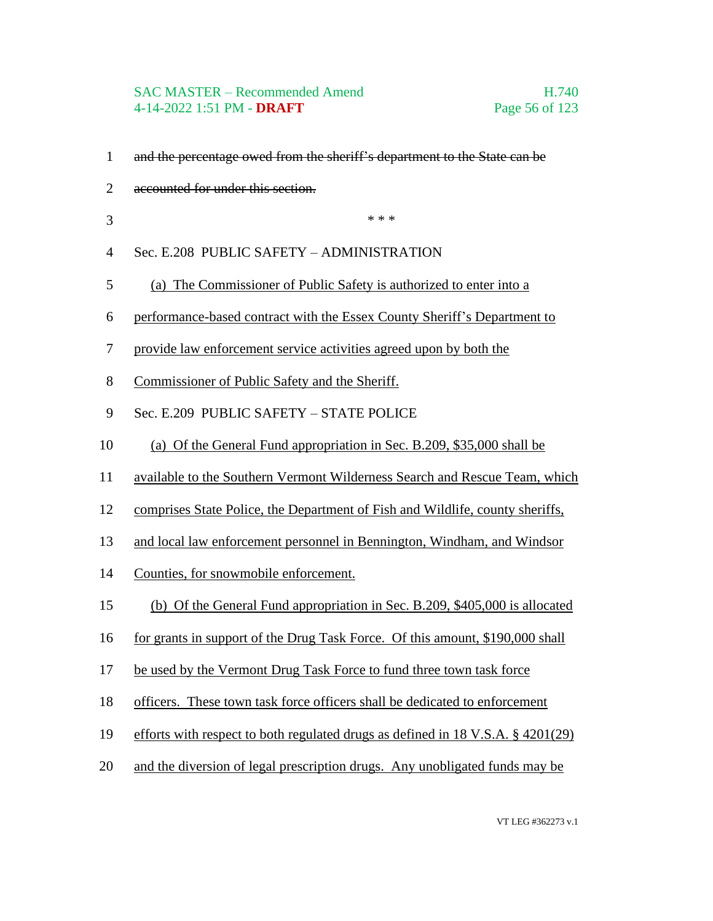### SAC MASTER – Recommended Amend H.740 4-14-2022 1:51 PM - **DRAFT** Page 56 of 123

- and the percentage owed from the sheriff's department to the State can be
- accounted for under this section.
- $***$
- Sec. E.208 PUBLIC SAFETY ADMINISTRATION
- (a) The Commissioner of Public Safety is authorized to enter into a
- performance-based contract with the Essex County Sheriff's Department to
- provide law enforcement service activities agreed upon by both the
- Commissioner of Public Safety and the Sheriff.
- Sec. E.209 PUBLIC SAFETY STATE POLICE
- (a) Of the General Fund appropriation in Sec. B.209, \$35,000 shall be
- available to the Southern Vermont Wilderness Search and Rescue Team, which
- comprises State Police, the Department of Fish and Wildlife, county sheriffs,
- and local law enforcement personnel in Bennington, Windham, and Windsor
- Counties, for snowmobile enforcement.
- (b) Of the General Fund appropriation in Sec. B.209, \$405,000 is allocated
- 16 for grants in support of the Drug Task Force. Of this amount, \$190,000 shall
- be used by the Vermont Drug Task Force to fund three town task force
- officers. These town task force officers shall be dedicated to enforcement
- efforts with respect to both regulated drugs as defined in 18 V.S.A. § 4201(29)
- and the diversion of legal prescription drugs. Any unobligated funds may be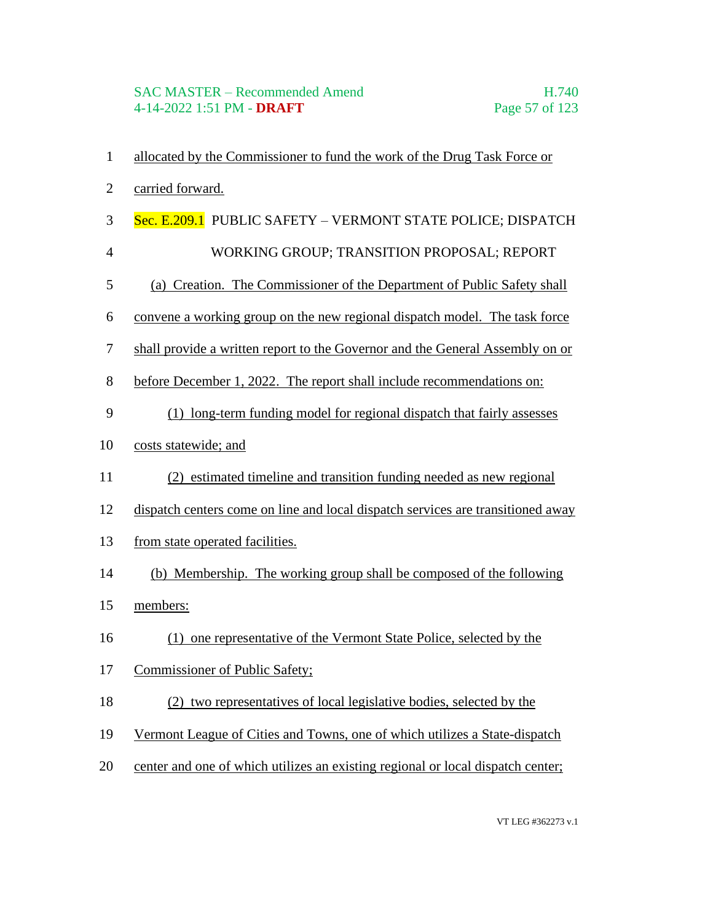- allocated by the Commissioner to fund the work of the Drug Task Force or
- carried forward.
- 3 Sec. E.209.1 PUBLIC SAFETY VERMONT STATE POLICE; DISPATCH
- 4 WORKING GROUP; TRANSITION PROPOSAL; REPORT
- (a) Creation. The Commissioner of the Department of Public Safety shall
- convene a working group on the new regional dispatch model. The task force
- shall provide a written report to the Governor and the General Assembly on or
- before December 1, 2022. The report shall include recommendations on:
- (1) long-term funding model for regional dispatch that fairly assesses
- costs statewide; and
- (2) estimated timeline and transition funding needed as new regional
- dispatch centers come on line and local dispatch services are transitioned away
- from state operated facilities.
- (b) Membership. The working group shall be composed of the following
- members:
- (1) one representative of the Vermont State Police, selected by the
- Commissioner of Public Safety;
- (2) two representatives of local legislative bodies, selected by the
- Vermont League of Cities and Towns, one of which utilizes a State-dispatch
- center and one of which utilizes an existing regional or local dispatch center;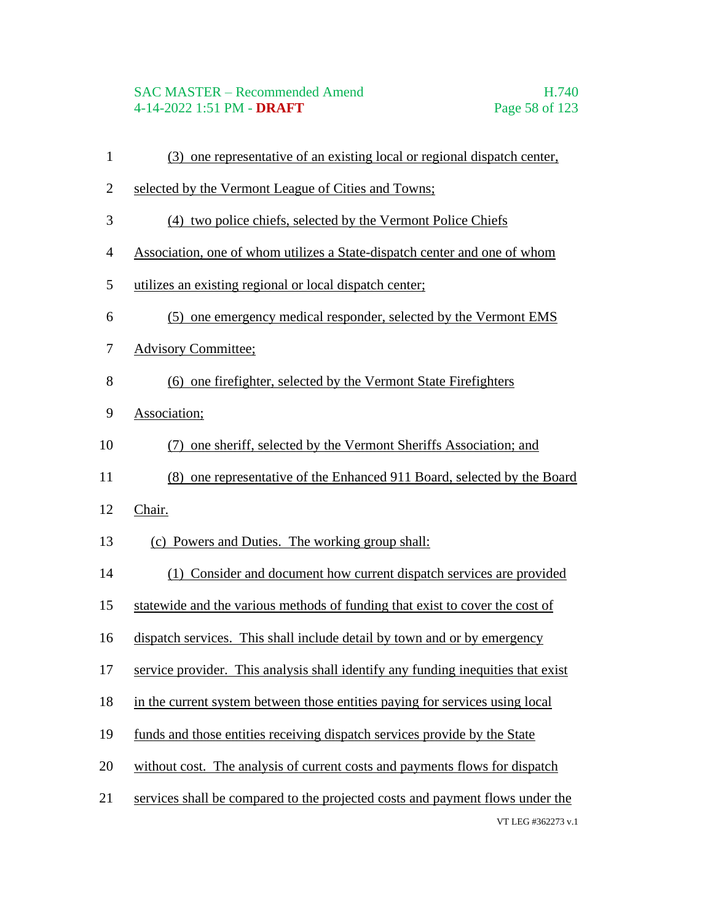# SAC MASTER – Recommended Amend H.740 4-14-2022 1:51 PM - **DRAFT** Page 58 of 123

- (3) one representative of an existing local or regional dispatch center,
- selected by the Vermont League of Cities and Towns;
- (4) two police chiefs, selected by the Vermont Police Chiefs
- Association, one of whom utilizes a State-dispatch center and one of whom
- utilizes an existing regional or local dispatch center;
- (5) one emergency medical responder, selected by the Vermont EMS
- Advisory Committee;
- (6) one firefighter, selected by the Vermont State Firefighters
- Association;
- (7) one sheriff, selected by the Vermont Sheriffs Association; and
- (8) one representative of the Enhanced 911 Board, selected by the Board
- Chair.
- (c) Powers and Duties. The working group shall:
- (1) Consider and document how current dispatch services are provided
- statewide and the various methods of funding that exist to cover the cost of
- dispatch services. This shall include detail by town and or by emergency
- service provider. This analysis shall identify any funding inequities that exist
- in the current system between those entities paying for services using local
- funds and those entities receiving dispatch services provide by the State
- without cost. The analysis of current costs and payments flows for dispatch
- services shall be compared to the projected costs and payment flows under the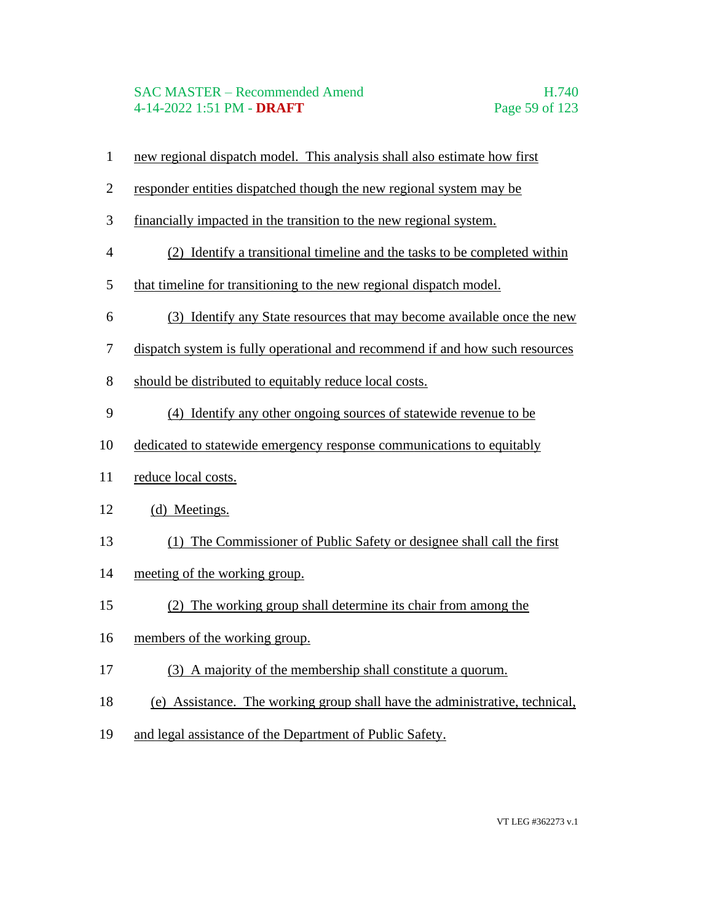## SAC MASTER – Recommended Amend H.740 4-14-2022 1:51 PM - **DRAFT** Page 59 of 123

- new regional dispatch model. This analysis shall also estimate how first
- responder entities dispatched though the new regional system may be
- financially impacted in the transition to the new regional system.
- (2) Identify a transitional timeline and the tasks to be completed within
- that timeline for transitioning to the new regional dispatch model.
- (3) Identify any State resources that may become available once the new
- dispatch system is fully operational and recommend if and how such resources
- should be distributed to equitably reduce local costs.
- (4) Identify any other ongoing sources of statewide revenue to be
- dedicated to statewide emergency response communications to equitably
- reduce local costs.
- (d) Meetings.
- (1) The Commissioner of Public Safety or designee shall call the first
- meeting of the working group.
- (2) The working group shall determine its chair from among the
- members of the working group.
- (3) A majority of the membership shall constitute a quorum.
- (e) Assistance. The working group shall have the administrative, technical,
- and legal assistance of the Department of Public Safety.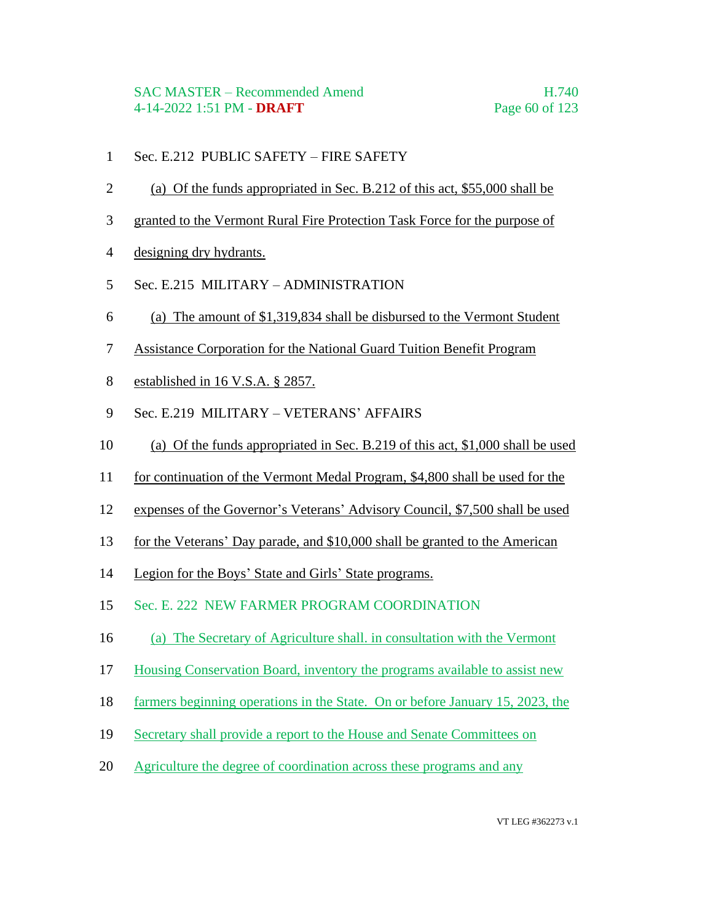- Sec. E.212 PUBLIC SAFETY FIRE SAFETY
- (a) Of the funds appropriated in Sec. B.212 of this act, \$55,000 shall be
- granted to the Vermont Rural Fire Protection Task Force for the purpose of
- designing dry hydrants.
- Sec. E.215 MILITARY ADMINISTRATION
- (a) The amount of \$1,319,834 shall be disbursed to the Vermont Student
- Assistance Corporation for the National Guard Tuition Benefit Program
- established in 16 V.S.A. § 2857.
- Sec. E.219 MILITARY VETERANS' AFFAIRS
- (a) Of the funds appropriated in Sec. B.219 of this act, \$1,000 shall be used
- for continuation of the Vermont Medal Program, \$4,800 shall be used for the
- expenses of the Governor's Veterans' Advisory Council, \$7,500 shall be used
- for the Veterans' Day parade, and \$10,000 shall be granted to the American
- Legion for the Boys' State and Girls' State programs.
- Sec. E. 222 NEW FARMER PROGRAM COORDINATION
- (a) The Secretary of Agriculture shall. in consultation with the Vermont
- Housing Conservation Board, inventory the programs available to assist new
- farmers beginning operations in the State. On or before January 15, 2023, the
- Secretary shall provide a report to the House and Senate Committees on
- Agriculture the degree of coordination across these programs and any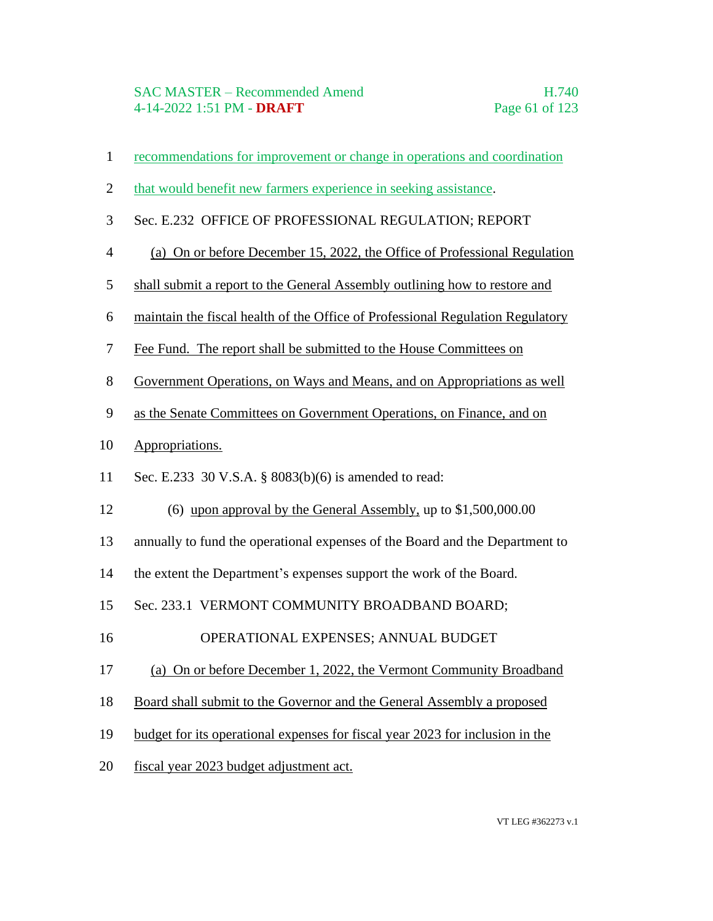- recommendations for improvement or change in operations and coordination
- that would benefit new farmers experience in seeking assistance.
- Sec. E.232 OFFICE OF PROFESSIONAL REGULATION; REPORT
- (a) On or before December 15, 2022, the Office of Professional Regulation
- shall submit a report to the General Assembly outlining how to restore and
- maintain the fiscal health of the Office of Professional Regulation Regulatory
- Fee Fund. The report shall be submitted to the House Committees on
- Government Operations, on Ways and Means, and on Appropriations as well
- as the Senate Committees on Government Operations, on Finance, and on
- Appropriations.
- Sec. E.233 30 V.S.A. § 8083(b)(6) is amended to read:
- (6) upon approval by the General Assembly, up to \$1,500,000.00
- annually to fund the operational expenses of the Board and the Department to
- the extent the Department's expenses support the work of the Board.
- Sec. 233.1 VERMONT COMMUNITY BROADBAND BOARD;
- 16 OPERATIONAL EXPENSES; ANNUAL BUDGET
- (a) On or before December 1, 2022, the Vermont Community Broadband
- Board shall submit to the Governor and the General Assembly a proposed
- budget for its operational expenses for fiscal year 2023 for inclusion in the
- fiscal year 2023 budget adjustment act.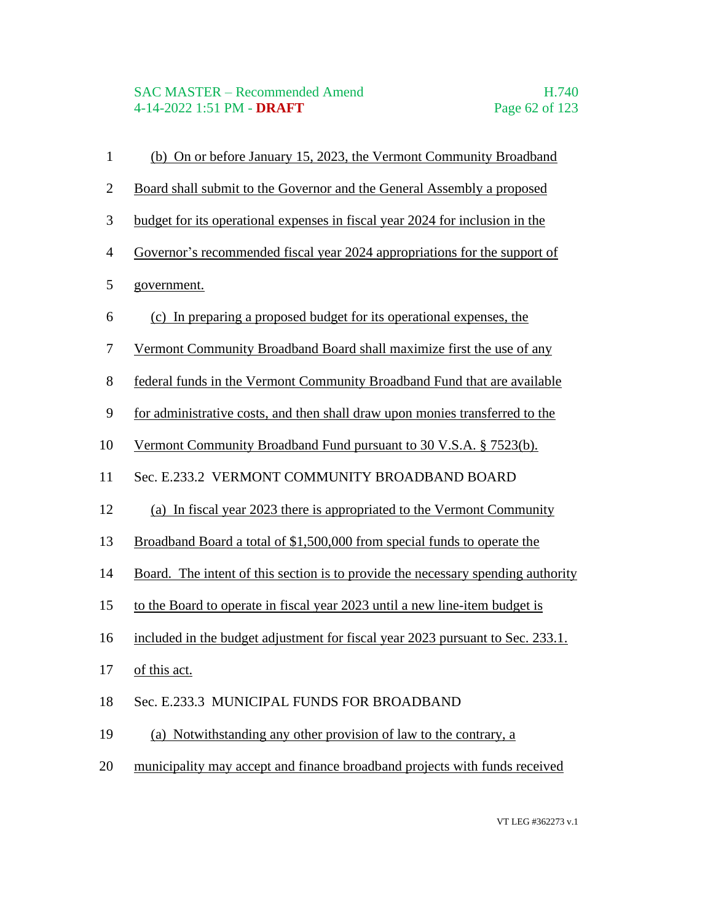## SAC MASTER – Recommended Amend H.740 4-14-2022 1:51 PM - **DRAFT** Page 62 of 123

 (b) On or before January 15, 2023, the Vermont Community Broadband Board shall submit to the Governor and the General Assembly a proposed budget for its operational expenses in fiscal year 2024 for inclusion in the Governor's recommended fiscal year 2024 appropriations for the support of government. (c) In preparing a proposed budget for its operational expenses, the Vermont Community Broadband Board shall maximize first the use of any federal funds in the Vermont Community Broadband Fund that are available for administrative costs, and then shall draw upon monies transferred to the Vermont Community Broadband Fund pursuant to 30 V.S.A. § 7523(b). Sec. E.233.2 VERMONT COMMUNITY BROADBAND BOARD (a) In fiscal year 2023 there is appropriated to the Vermont Community Broadband Board a total of \$1,500,000 from special funds to operate the Board. The intent of this section is to provide the necessary spending authority to the Board to operate in fiscal year 2023 until a new line-item budget is 16 included in the budget adjustment for fiscal year 2023 pursuant to Sec. 233.1. of this act. Sec. E.233.3 MUNICIPAL FUNDS FOR BROADBAND (a) Notwithstanding any other provision of law to the contrary, a municipality may accept and finance broadband projects with funds received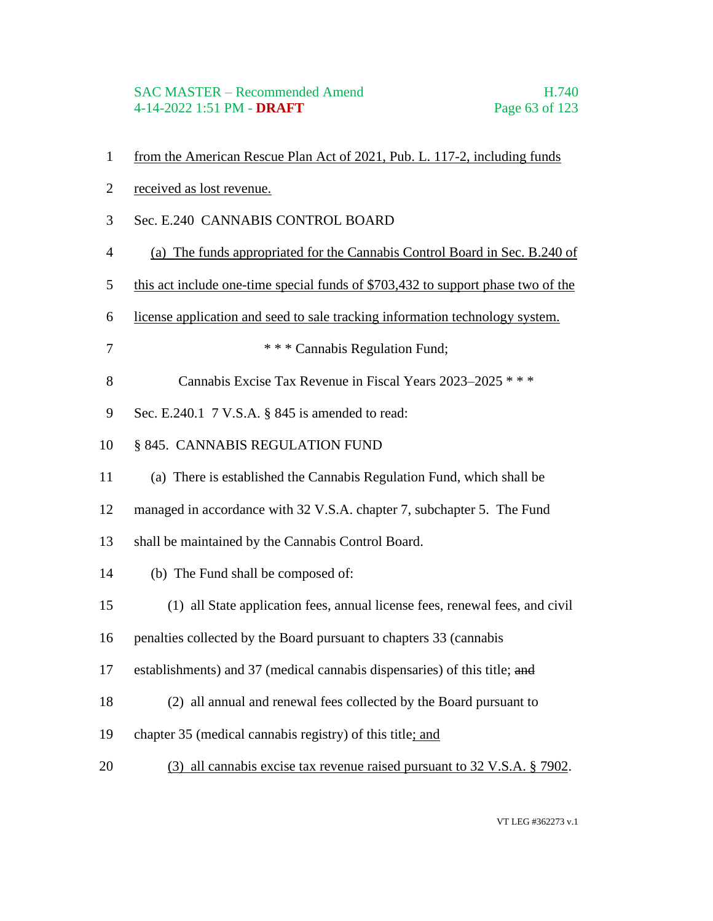- from the American Rescue Plan Act of 2021, Pub. L. 117-2, including funds
- received as lost revenue.
- Sec. E.240 CANNABIS CONTROL BOARD
- (a) The funds appropriated for the Cannabis Control Board in Sec. B.240 of
- this act include one-time special funds of \$703,432 to support phase two of the
- license application and seed to sale tracking information technology system.
- \* \* \* Cannabis Regulation Fund;
- Cannabis Excise Tax Revenue in Fiscal Years 2023–2025 \* \* \*
- Sec. E.240.1 7 V.S.A. § 845 is amended to read:
- § 845. CANNABIS REGULATION FUND
- (a) There is established the Cannabis Regulation Fund, which shall be
- managed in accordance with 32 V.S.A. chapter 7, subchapter 5. The Fund
- shall be maintained by the Cannabis Control Board.
- (b) The Fund shall be composed of:
- (1) all State application fees, annual license fees, renewal fees, and civil
- penalties collected by the Board pursuant to chapters 33 (cannabis
- establishments) and 37 (medical cannabis dispensaries) of this title; and
- (2) all annual and renewal fees collected by the Board pursuant to
- chapter 35 (medical cannabis registry) of this title; and
- (3) all cannabis excise tax revenue raised pursuant to 32 V.S.A. § 7902.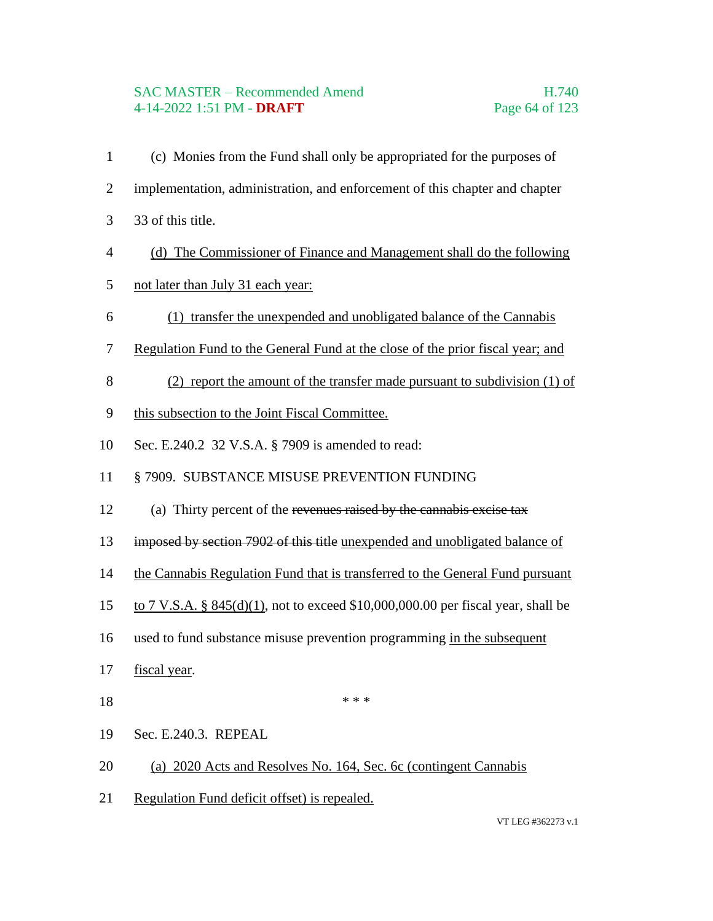# SAC MASTER – Recommended Amend H.740 4-14-2022 1:51 PM - **DRAFT** Page 64 of 123

- (c) Monies from the Fund shall only be appropriated for the purposes of implementation, administration, and enforcement of this chapter and chapter 33 of this title.
- (d) The Commissioner of Finance and Management shall do the following
- not later than July 31 each year:
- (1) transfer the unexpended and unobligated balance of the Cannabis
- Regulation Fund to the General Fund at the close of the prior fiscal year; and
- (2) report the amount of the transfer made pursuant to subdivision (1) of
- this subsection to the Joint Fiscal Committee.
- Sec. E.240.2 32 V.S.A. § 7909 is amended to read:
- § 7909. SUBSTANCE MISUSE PREVENTION FUNDING
- (a) Thirty percent of the revenues raised by the cannabis excise tax
- imposed by section 7902 of this title unexpended and unobligated balance of
- 14 the Cannabis Regulation Fund that is transferred to the General Fund pursuant
- to 7 V.S.A. § 845(d)(1), not to exceed \$10,000,000.00 per fiscal year, shall be
- 16 used to fund substance misuse prevention programming in the subsequent
- fiscal year.
- \*\*\*
- Sec. E.240.3. REPEAL
- (a) 2020 Acts and Resolves No. 164, Sec. 6c (contingent Cannabis
- Regulation Fund deficit offset) is repealed.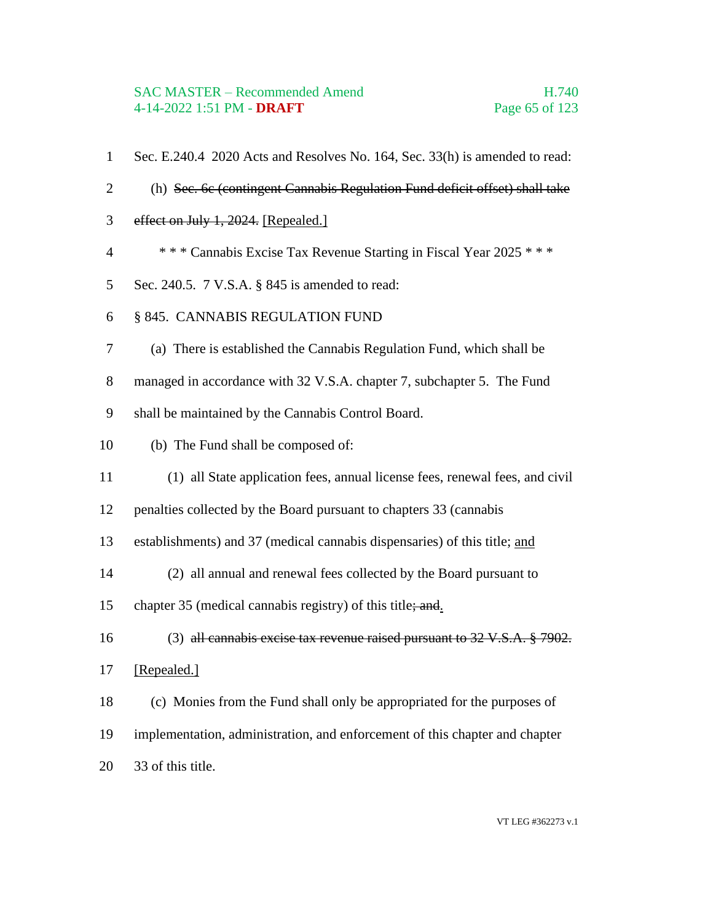### SAC MASTER – Recommended Amend H.740 4-14-2022 1:51 PM - **DRAFT** Page 65 of 123

- Sec. E.240.4 2020 Acts and Resolves No. 164, Sec. 33(h) is amended to read:
- (h) Sec. 6c (contingent Cannabis Regulation Fund deficit offset) shall take
- effect on July 1, 2024. [Repealed.]
- \* \* \* Cannabis Excise Tax Revenue Starting in Fiscal Year 2025 \* \* \*
- Sec. 240.5. 7 V.S.A. § 845 is amended to read:
- § 845. CANNABIS REGULATION FUND
- (a) There is established the Cannabis Regulation Fund, which shall be
- managed in accordance with 32 V.S.A. chapter 7, subchapter 5. The Fund
- shall be maintained by the Cannabis Control Board.
- (b) The Fund shall be composed of:
- (1) all State application fees, annual license fees, renewal fees, and civil
- penalties collected by the Board pursuant to chapters 33 (cannabis
- establishments) and 37 (medical cannabis dispensaries) of this title; and
- (2) all annual and renewal fees collected by the Board pursuant to
- 15 chapter 35 (medical cannabis registry) of this title; and.
- (3) all cannabis excise tax revenue raised pursuant to 32 V.S.A. § 7902.
- [Repealed.]
- (c) Monies from the Fund shall only be appropriated for the purposes of
- implementation, administration, and enforcement of this chapter and chapter
- 33 of this title.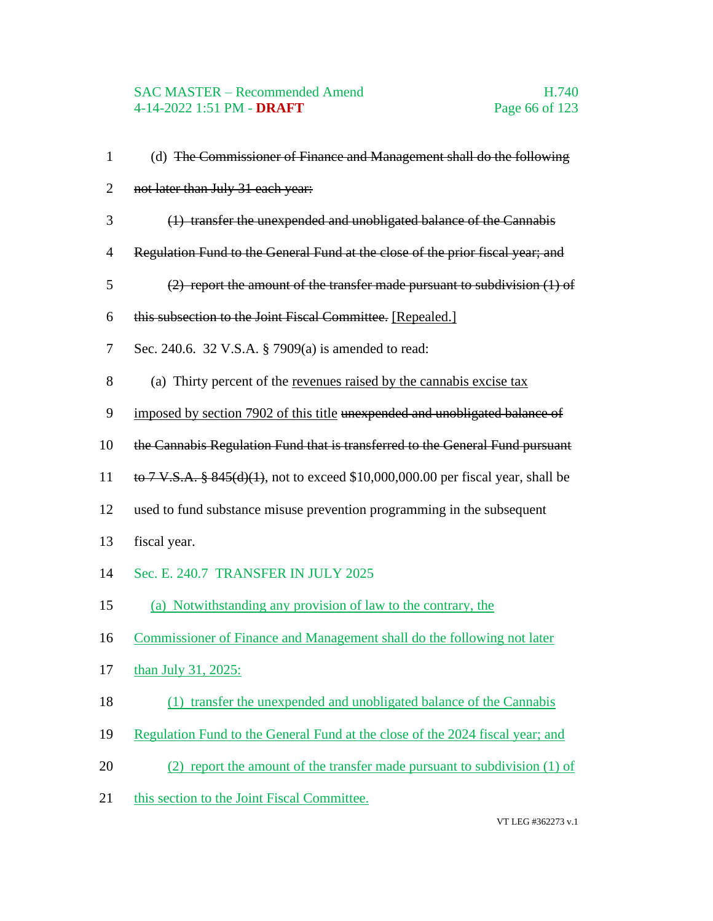### SAC MASTER – Recommended Amend H.740 4-14-2022 1:51 PM - **DRAFT** Page 66 of 123

 (d) The Commissioner of Finance and Management shall do the following 2 not later than July 31 each year: (1) transfer the unexpended and unobligated balance of the Cannabis Regulation Fund to the General Fund at the close of the prior fiscal year; and (2) report the amount of the transfer made pursuant to subdivision (1) of this subsection to the Joint Fiscal Committee. [Repealed.] Sec. 240.6. 32 V.S.A. § 7909(a) is amended to read: (a) Thirty percent of the revenues raised by the cannabis excise tax imposed by section 7902 of this title unexpended and unobligated balance of 10 the Cannabis Regulation Fund that is transferred to the General Fund pursuant 11 to 7 V.S.A. §  $845(d)(1)$ , not to exceed \$10,000,000.00 per fiscal year, shall be used to fund substance misuse prevention programming in the subsequent fiscal year. Sec. E. 240.7 TRANSFER IN JULY 2025 (a) Notwithstanding any provision of law to the contrary, the Commissioner of Finance and Management shall do the following not later than July 31, 2025: (1) transfer the unexpended and unobligated balance of the Cannabis Regulation Fund to the General Fund at the close of the 2024 fiscal year; and 20 (2) report the amount of the transfer made pursuant to subdivision (1) of 21 this section to the Joint Fiscal Committee.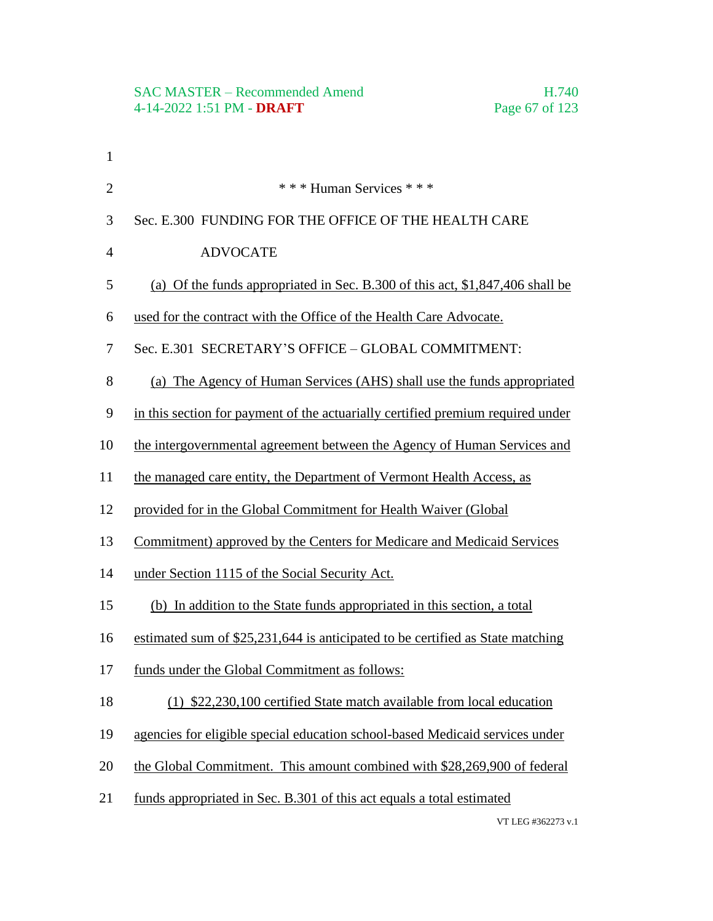| $\mathbf{1}$   |                                                                                 |
|----------------|---------------------------------------------------------------------------------|
| $\overline{2}$ | * * * Human Services * * *                                                      |
| 3              | Sec. E.300 FUNDING FOR THE OFFICE OF THE HEALTH CARE                            |
| $\overline{4}$ | <b>ADVOCATE</b>                                                                 |
| 5              | (a) Of the funds appropriated in Sec. B.300 of this act, \$1,847,406 shall be   |
| 6              | used for the contract with the Office of the Health Care Advocate.              |
| 7              | Sec. E.301 SECRETARY'S OFFICE - GLOBAL COMMITMENT:                              |
| 8              | (a) The Agency of Human Services (AHS) shall use the funds appropriated         |
| 9              | in this section for payment of the actuarially certified premium required under |
| 10             | the intergovernmental agreement between the Agency of Human Services and        |
| 11             | the managed care entity, the Department of Vermont Health Access, as            |
| 12             | provided for in the Global Commitment for Health Waiver (Global                 |
| 13             | Commitment) approved by the Centers for Medicare and Medicaid Services          |
| 14             | under Section 1115 of the Social Security Act.                                  |
| 15             | (b) In addition to the State funds appropriated in this section, a total        |
| 16             | estimated sum of \$25,231,644 is anticipated to be certified as State matching  |
| 17             | funds under the Global Commitment as follows:                                   |
| 18             | (1) \$22,230,100 certified State match available from local education           |
| 19             | agencies for eligible special education school-based Medicaid services under    |
| 20             | the Global Commitment. This amount combined with \$28,269,900 of federal        |
| 21             | funds appropriated in Sec. B.301 of this act equals a total estimated           |
|                |                                                                                 |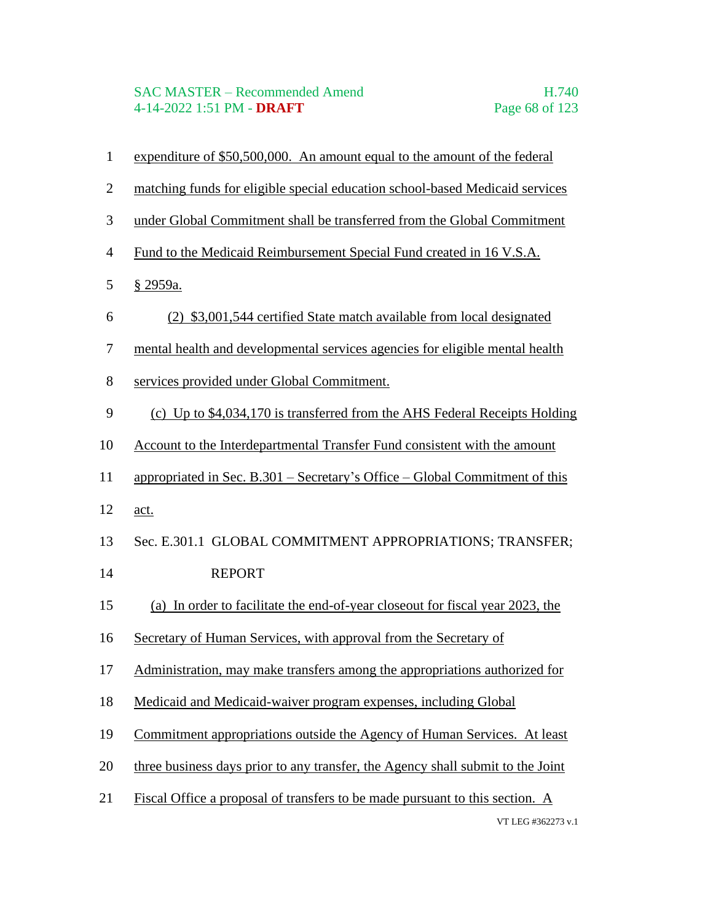### SAC MASTER – Recommended Amend H.740 4-14-2022 1:51 PM - **DRAFT** Page 68 of 123

- expenditure of \$50,500,000. An amount equal to the amount of the federal
- matching funds for eligible special education school-based Medicaid services
- under Global Commitment shall be transferred from the Global Commitment
- Fund to the Medicaid Reimbursement Special Fund created in 16 V.S.A.
- § 2959a.
- (2) \$3,001,544 certified State match available from local designated
- mental health and developmental services agencies for eligible mental health
- services provided under Global Commitment.
- (c) Up to \$4,034,170 is transferred from the AHS Federal Receipts Holding
- Account to the Interdepartmental Transfer Fund consistent with the amount
- appropriated in Sec. B.301 Secretary's Office Global Commitment of this
- act.
- Sec. E.301.1 GLOBAL COMMITMENT APPROPRIATIONS; TRANSFER;
- 14 REPORT
- (a) In order to facilitate the end-of-year closeout for fiscal year 2023, the
- Secretary of Human Services, with approval from the Secretary of
- Administration, may make transfers among the appropriations authorized for
- Medicaid and Medicaid-waiver program expenses, including Global
- Commitment appropriations outside the Agency of Human Services. At least
- three business days prior to any transfer, the Agency shall submit to the Joint
- VT LEG #362273 v.1 Fiscal Office a proposal of transfers to be made pursuant to this section. A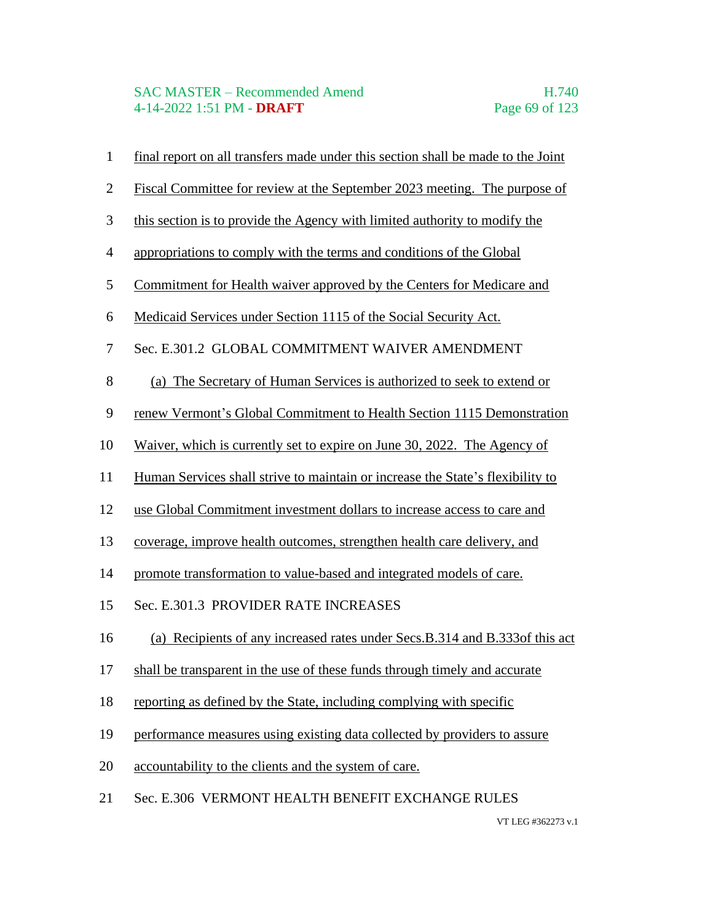## SAC MASTER – Recommended Amend H.740 4-14-2022 1:51 PM - **DRAFT** Page 69 of 123

- final report on all transfers made under this section shall be made to the Joint
- Fiscal Committee for review at the September 2023 meeting. The purpose of
- this section is to provide the Agency with limited authority to modify the
- appropriations to comply with the terms and conditions of the Global
- Commitment for Health waiver approved by the Centers for Medicare and
- Medicaid Services under Section 1115 of the Social Security Act.
- Sec. E.301.2 GLOBAL COMMITMENT WAIVER AMENDMENT
- (a) The Secretary of Human Services is authorized to seek to extend or
- renew Vermont's Global Commitment to Health Section 1115 Demonstration
- Waiver, which is currently set to expire on June 30, 2022. The Agency of
- Human Services shall strive to maintain or increase the State's flexibility to
- use Global Commitment investment dollars to increase access to care and
- coverage, improve health outcomes, strengthen health care delivery, and
- promote transformation to value-based and integrated models of care.
- Sec. E.301.3 PROVIDER RATE INCREASES
- (a) Recipients of any increased rates under Secs.B.314 and B.333of this act
- shall be transparent in the use of these funds through timely and accurate
- reporting as defined by the State, including complying with specific
- performance measures using existing data collected by providers to assure
- accountability to the clients and the system of care.
- Sec. E.306 VERMONT HEALTH BENEFIT EXCHANGE RULES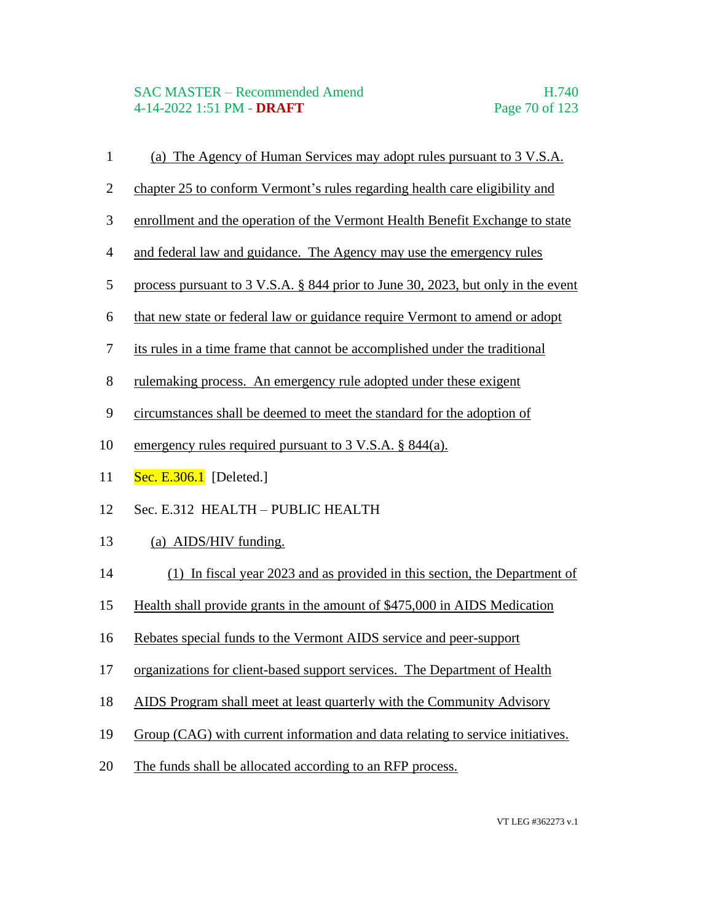## SAC MASTER – Recommended Amend H.740 4-14-2022 1:51 PM - **DRAFT** Page 70 of 123

- (a) The Agency of Human Services may adopt rules pursuant to 3 V.S.A.
- chapter 25 to conform Vermont's rules regarding health care eligibility and
- enrollment and the operation of the Vermont Health Benefit Exchange to state
- and federal law and guidance. The Agency may use the emergency rules
- process pursuant to 3 V.S.A. § 844 prior to June 30, 2023, but only in the event
- that new state or federal law or guidance require Vermont to amend or adopt
- its rules in a time frame that cannot be accomplished under the traditional
- rulemaking process. An emergency rule adopted under these exigent
- circumstances shall be deemed to meet the standard for the adoption of
- emergency rules required pursuant to 3 V.S.A. § 844(a).
- **Sec. E.306.1** [Deleted.]
- Sec. E.312 HEALTH PUBLIC HEALTH
- (a) AIDS/HIV funding.
- (1) In fiscal year 2023 and as provided in this section, the Department of
- Health shall provide grants in the amount of \$475,000 in AIDS Medication
- Rebates special funds to the Vermont AIDS service and peer-support
- organizations for client-based support services. The Department of Health
- AIDS Program shall meet at least quarterly with the Community Advisory
- Group (CAG) with current information and data relating to service initiatives.
- The funds shall be allocated according to an RFP process.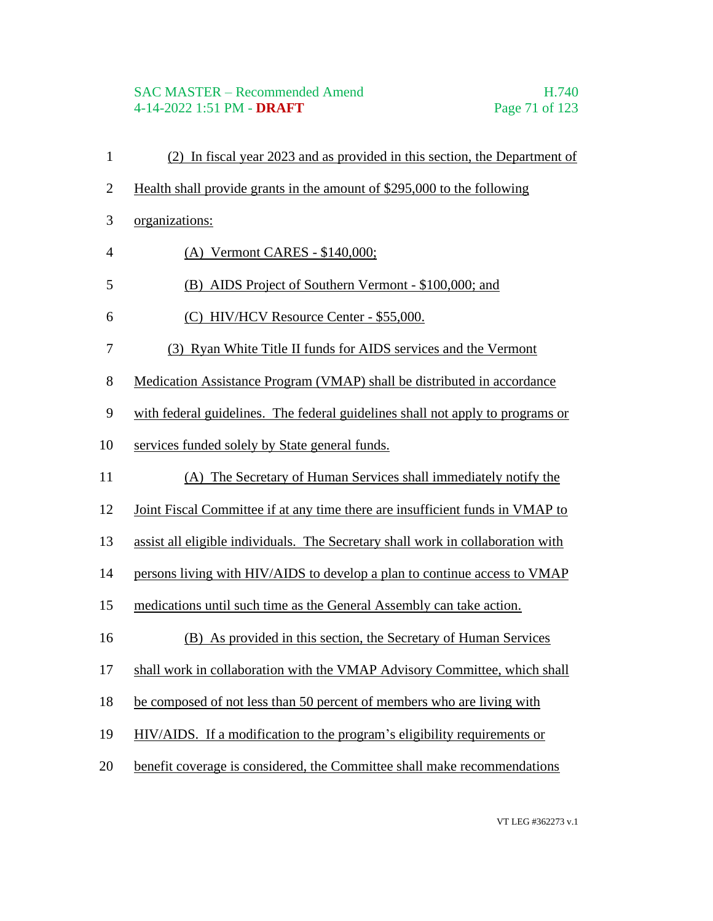# SAC MASTER – Recommended Amend H.740 4-14-2022 1:51 PM - **DRAFT** Page 71 of 123

 (2) In fiscal year 2023 and as provided in this section, the Department of Health shall provide grants in the amount of \$295,000 to the following organizations: (A) Vermont CARES - \$140,000; (B) AIDS Project of Southern Vermont - \$100,000; and (C) HIV/HCV Resource Center - \$55,000. (3) Ryan White Title II funds for AIDS services and the Vermont Medication Assistance Program (VMAP) shall be distributed in accordance with federal guidelines. The federal guidelines shall not apply to programs or services funded solely by State general funds. (A) The Secretary of Human Services shall immediately notify the Joint Fiscal Committee if at any time there are insufficient funds in VMAP to assist all eligible individuals. The Secretary shall work in collaboration with persons living with HIV/AIDS to develop a plan to continue access to VMAP medications until such time as the General Assembly can take action. (B) As provided in this section, the Secretary of Human Services shall work in collaboration with the VMAP Advisory Committee, which shall be composed of not less than 50 percent of members who are living with HIV/AIDS. If a modification to the program's eligibility requirements or benefit coverage is considered, the Committee shall make recommendations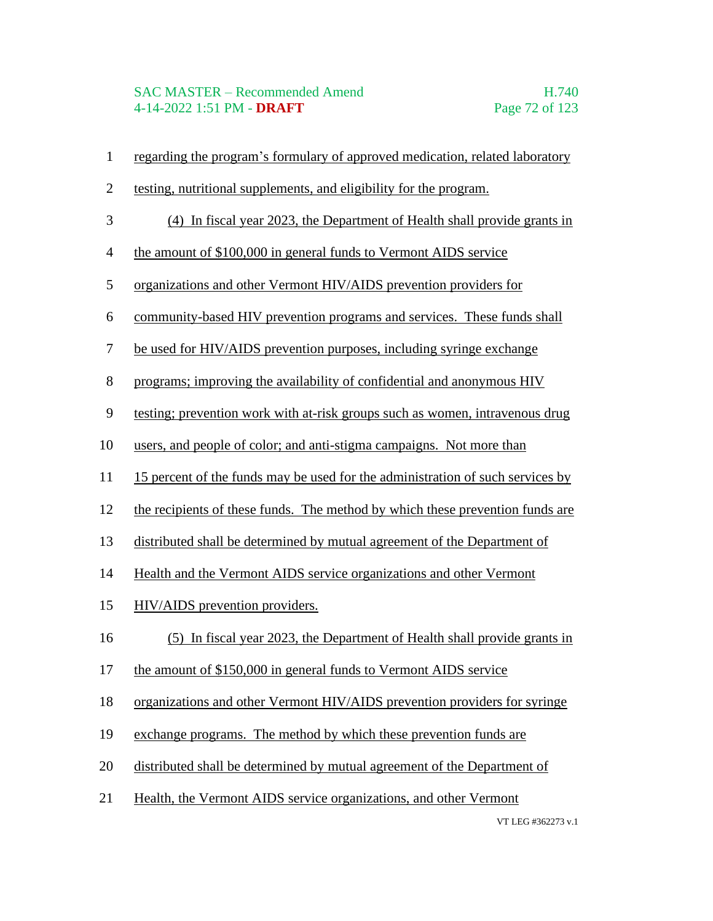- regarding the program's formulary of approved medication, related laboratory
- testing, nutritional supplements, and eligibility for the program.
- (4) In fiscal year 2023, the Department of Health shall provide grants in
- the amount of \$100,000 in general funds to Vermont AIDS service
- organizations and other Vermont HIV/AIDS prevention providers for
- community-based HIV prevention programs and services. These funds shall
- be used for HIV/AIDS prevention purposes, including syringe exchange
- programs; improving the availability of confidential and anonymous HIV
- testing; prevention work with at-risk groups such as women, intravenous drug
- users, and people of color; and anti-stigma campaigns. Not more than
- 15 percent of the funds may be used for the administration of such services by
- the recipients of these funds. The method by which these prevention funds are
- distributed shall be determined by mutual agreement of the Department of
- Health and the Vermont AIDS service organizations and other Vermont
- HIV/AIDS prevention providers.
- (5) In fiscal year 2023, the Department of Health shall provide grants in
- the amount of \$150,000 in general funds to Vermont AIDS service
- organizations and other Vermont HIV/AIDS prevention providers for syringe
- exchange programs. The method by which these prevention funds are
- distributed shall be determined by mutual agreement of the Department of
- Health, the Vermont AIDS service organizations, and other Vermont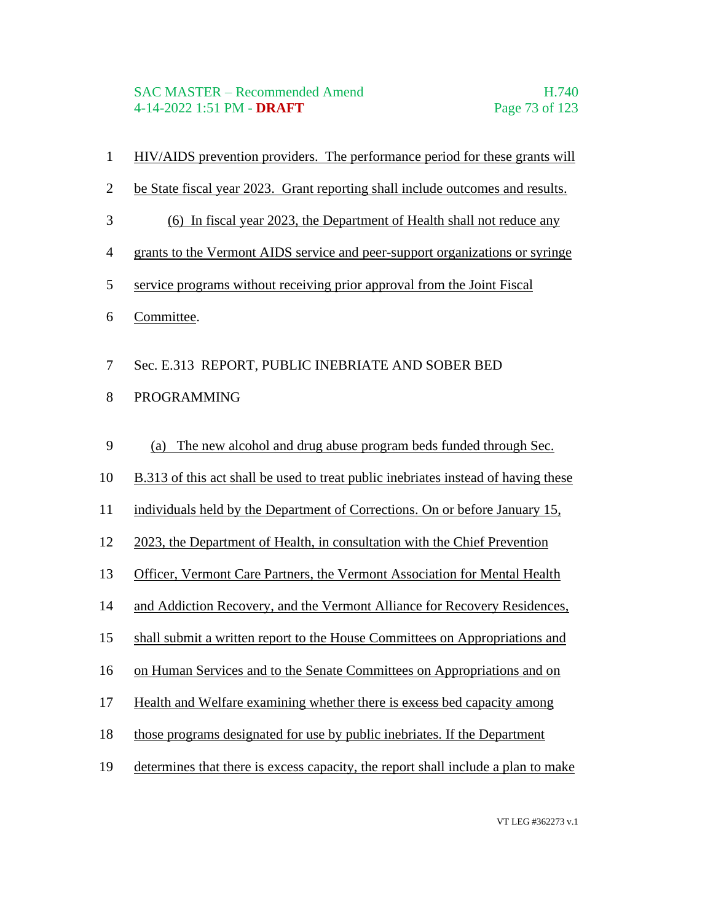#### SAC MASTER – Recommended Amend H.740 4-14-2022 1:51 PM - **DRAFT** Page 73 of 123

- HIV/AIDS prevention providers. The performance period for these grants will
- be State fiscal year 2023. Grant reporting shall include outcomes and results.
- (6) In fiscal year 2023, the Department of Health shall not reduce any
- grants to the Vermont AIDS service and peer-support organizations or syringe
- service programs without receiving prior approval from the Joint Fiscal
- Committee.
- Sec. E.313 REPORT, PUBLIC INEBRIATE AND SOBER BED
- PROGRAMMING
- (a) The new alcohol and drug abuse program beds funded through Sec.
- B.313 of this act shall be used to treat public inebriates instead of having these
- individuals held by the Department of Corrections. On or before January 15,
- 2023, the Department of Health, in consultation with the Chief Prevention
- Officer, Vermont Care Partners, the Vermont Association for Mental Health
- and Addiction Recovery, and the Vermont Alliance for Recovery Residences,
- shall submit a written report to the House Committees on Appropriations and
- on Human Services and to the Senate Committees on Appropriations and on
- 17 Health and Welfare examining whether there is excess bed capacity among
- those programs designated for use by public inebriates. If the Department
- determines that there is excess capacity, the report shall include a plan to make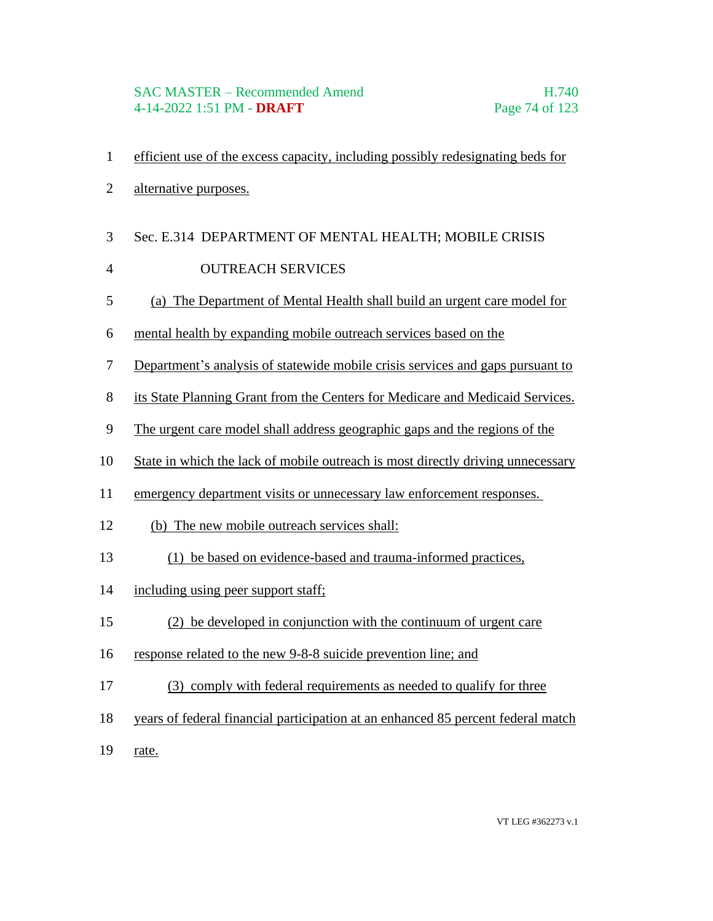- efficient use of the excess capacity, including possibly redesignating beds for
- alternative purposes.
- Sec. E.314 DEPARTMENT OF MENTAL HEALTH; MOBILE CRISIS
- 4 OUTREACH SERVICES
- (a) The Department of Mental Health shall build an urgent care model for
- mental health by expanding mobile outreach services based on the
- Department's analysis of statewide mobile crisis services and gaps pursuant to
- its State Planning Grant from the Centers for Medicare and Medicaid Services.
- The urgent care model shall address geographic gaps and the regions of the
- State in which the lack of mobile outreach is most directly driving unnecessary
- emergency department visits or unnecessary law enforcement responses.
- (b) The new mobile outreach services shall:
- (1) be based on evidence-based and trauma-informed practices,
- including using peer support staff;
- (2) be developed in conjunction with the continuum of urgent care
- response related to the new 9-8-8 suicide prevention line; and
- (3) comply with federal requirements as needed to qualify for three
- years of federal financial participation at an enhanced 85 percent federal match
- rate.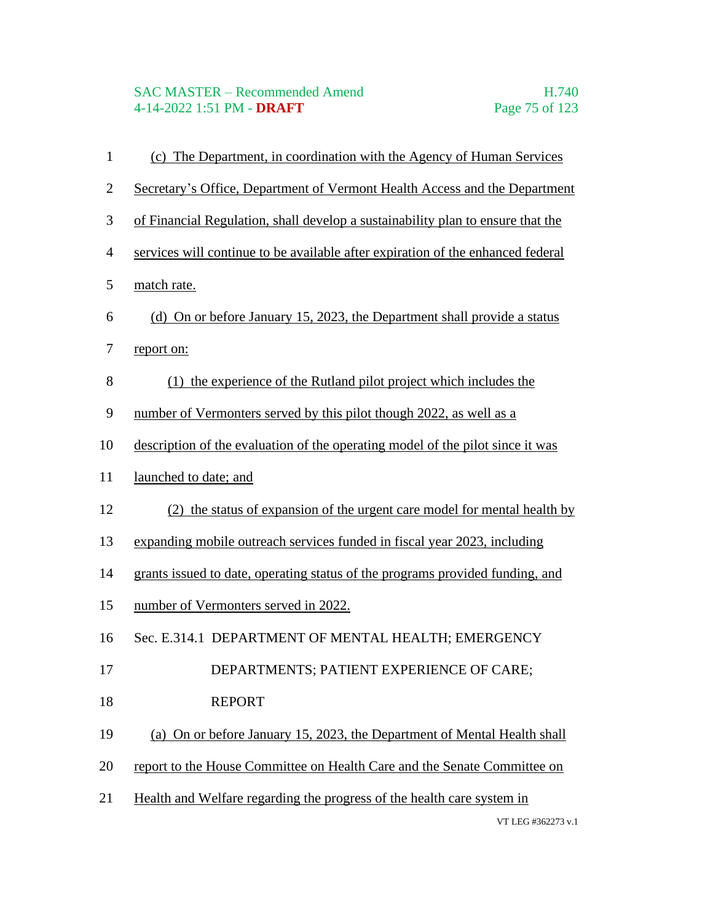#### SAC MASTER – Recommended Amend H.740 4-14-2022 1:51 PM - **DRAFT** Page 75 of 123

VT LEG #362273 v.1 (c) The Department, in coordination with the Agency of Human Services Secretary's Office, Department of Vermont Health Access and the Department of Financial Regulation, shall develop a sustainability plan to ensure that the services will continue to be available after expiration of the enhanced federal match rate. (d) On or before January 15, 2023, the Department shall provide a status report on: (1) the experience of the Rutland pilot project which includes the number of Vermonters served by this pilot though 2022, as well as a description of the evaluation of the operating model of the pilot since it was launched to date; and (2) the status of expansion of the urgent care model for mental health by expanding mobile outreach services funded in fiscal year 2023, including grants issued to date, operating status of the programs provided funding, and number of Vermonters served in 2022. Sec. E.314.1 DEPARTMENT OF MENTAL HEALTH; EMERGENCY 17 DEPARTMENTS; PATIENT EXPERIENCE OF CARE; 18 REPORT (a) On or before January 15, 2023, the Department of Mental Health shall report to the House Committee on Health Care and the Senate Committee on Health and Welfare regarding the progress of the health care system in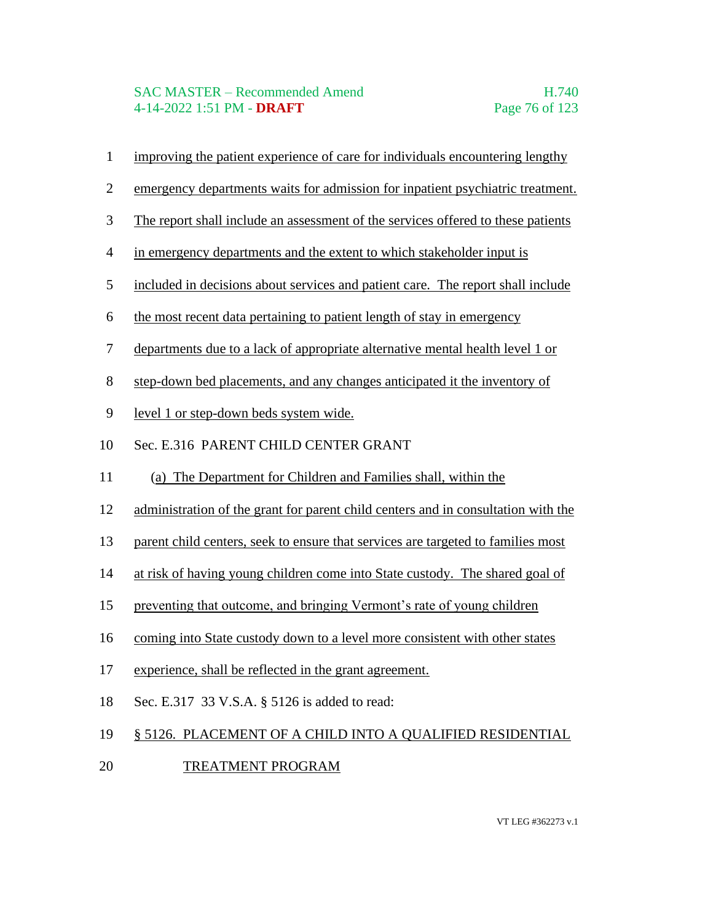### SAC MASTER – Recommended Amend H.740 4-14-2022 1:51 PM - **DRAFT** Page 76 of 123

- improving the patient experience of care for individuals encountering lengthy
- emergency departments waits for admission for inpatient psychiatric treatment.
- The report shall include an assessment of the services offered to these patients
- in emergency departments and the extent to which stakeholder input is
- included in decisions about services and patient care. The report shall include
- the most recent data pertaining to patient length of stay in emergency
- departments due to a lack of appropriate alternative mental health level 1 or
- step-down bed placements, and any changes anticipated it the inventory of
- level 1 or step-down beds system wide.
- Sec. E.316 PARENT CHILD CENTER GRANT
- (a) The Department for Children and Families shall, within the
- administration of the grant for parent child centers and in consultation with the
- parent child centers, seek to ensure that services are targeted to families most
- at risk of having young children come into State custody. The shared goal of
- preventing that outcome, and bringing Vermont's rate of young children
- coming into State custody down to a level more consistent with other states
- experience, shall be reflected in the grant agreement.
- Sec. E.317 33 V.S.A. § 5126 is added to read:
- § 5126. PLACEMENT OF A CHILD INTO A QUALIFIED RESIDENTIAL
- 20 TREATMENT PROGRAM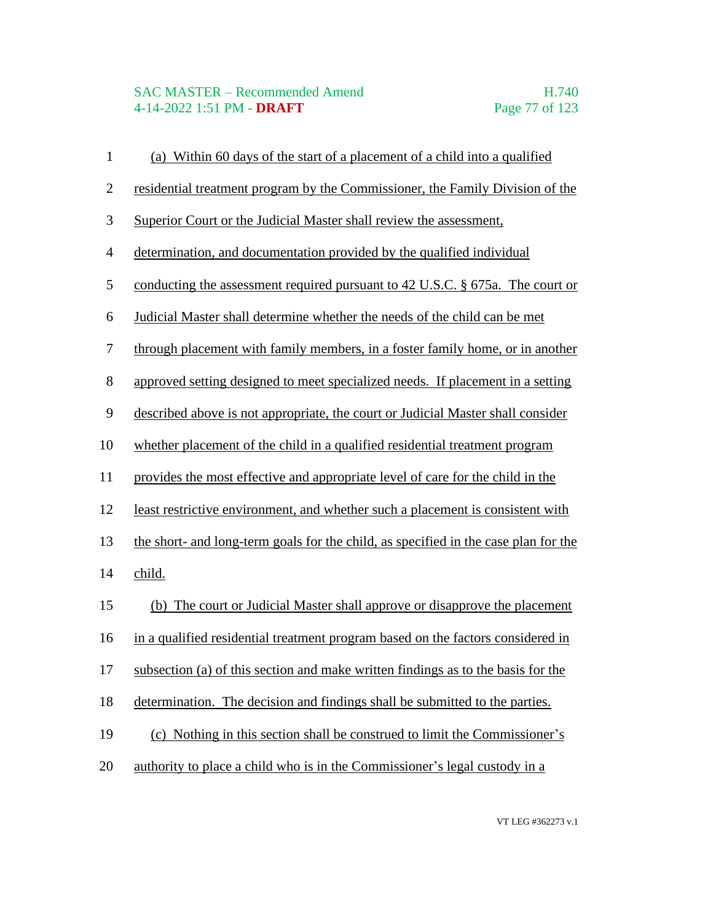# SAC MASTER – Recommended Amend<br>4-14-2022 1:51 PM - DRAFT Page 77 of 123 4-14-2022 1:51 PM - **DRAFT**

| (a) Within 60 days of the start of a placement of a child into a qualified          |
|-------------------------------------------------------------------------------------|
| residential treatment program by the Commissioner, the Family Division of the       |
| Superior Court or the Judicial Master shall review the assessment,                  |
| determination, and documentation provided by the qualified individual               |
| conducting the assessment required pursuant to 42 U.S.C. § 675a. The court or       |
| Judicial Master shall determine whether the needs of the child can be met           |
| through placement with family members, in a foster family home, or in another       |
| approved setting designed to meet specialized needs. If placement in a setting      |
| described above is not appropriate, the court or Judicial Master shall consider     |
| whether placement of the child in a qualified residential treatment program         |
| provides the most effective and appropriate level of care for the child in the      |
| least restrictive environment, and whether such a placement is consistent with      |
| the short- and long-term goals for the child, as specified in the case plan for the |
| child.                                                                              |
| (b) The court or Judicial Master shall approve or disapprove the placement          |
| in a qualified residential treatment program based on the factors considered in     |
| subsection (a) of this section and make written findings as to the basis for the    |
| determination. The decision and findings shall be submitted to the parties.         |
| (c) Nothing in this section shall be construed to limit the Commissioner's          |
| authority to place a child who is in the Commissioner's legal custody in a          |
|                                                                                     |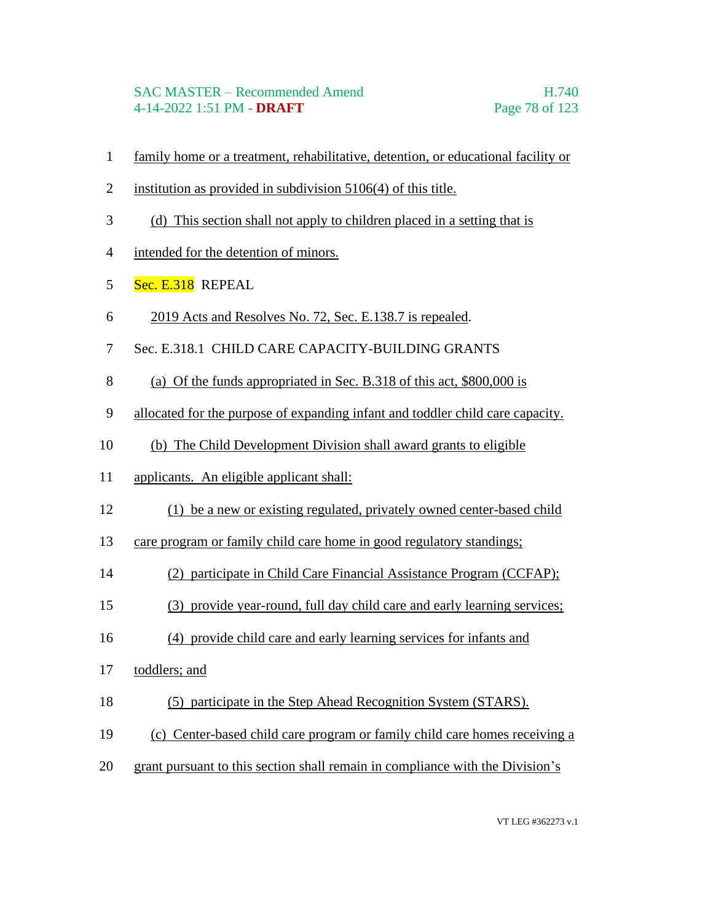#### SAC MASTER – Recommended Amend H.740 4-14-2022 1:51 PM - **DRAFT** Page 78 of 123

- family home or a treatment, rehabilitative, detention, or educational facility or
- institution as provided in subdivision 5106(4) of this title.
- (d) This section shall not apply to children placed in a setting that is
- intended for the detention of minors.
- 5 Sec. E.318 REPEAL
- 2019 Acts and Resolves No. 72, Sec. E.138.7 is repealed.
- Sec. E.318.1 CHILD CARE CAPACITY-BUILDING GRANTS
- (a) Of the funds appropriated in Sec. B.318 of this act, \$800,000 is
- allocated for the purpose of expanding infant and toddler child care capacity.
- (b) The Child Development Division shall award grants to eligible
- applicants. An eligible applicant shall:
- (1) be a new or existing regulated, privately owned center-based child
- care program or family child care home in good regulatory standings;
- (2) participate in Child Care Financial Assistance Program (CCFAP);
- (3) provide year-round, full day child care and early learning services;
- (4) provide child care and early learning services for infants and
- toddlers; and
- (5) participate in the Step Ahead Recognition System (STARS).
- (c) Center-based child care program or family child care homes receiving a
- grant pursuant to this section shall remain in compliance with the Division's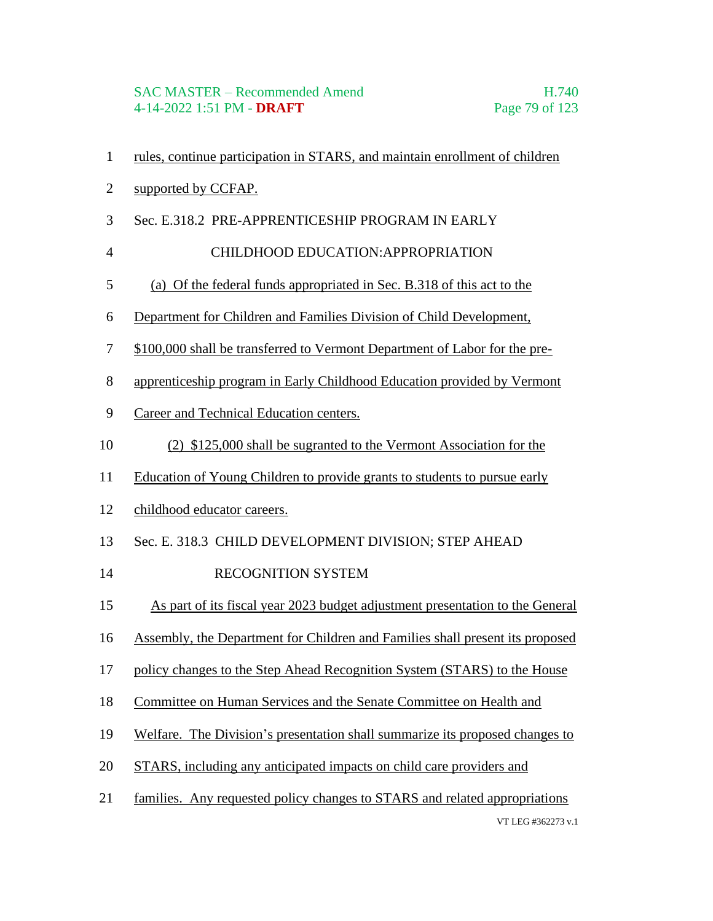- rules, continue participation in STARS, and maintain enrollment of children
- supported by CCFAP.
- Sec. E.318.2 PRE-APPRENTICESHIP PROGRAM IN EARLY
- 4 CHILDHOOD EDUCATION:APPROPRIATION
- (a) Of the federal funds appropriated in Sec. B.318 of this act to the
- Department for Children and Families Division of Child Development,
- \$100,000 shall be transferred to Vermont Department of Labor for the pre-
- apprenticeship program in Early Childhood Education provided by Vermont
- Career and Technical Education centers.
- (2) \$125,000 shall be sugranted to the Vermont Association for the
- Education of Young Children to provide grants to students to pursue early
- childhood educator careers.
- Sec. E. 318.3 CHILD DEVELOPMENT DIVISION; STEP AHEAD
- 14 RECOGNITION SYSTEM
- As part of its fiscal year 2023 budget adjustment presentation to the General
- Assembly, the Department for Children and Families shall present its proposed
- policy changes to the Step Ahead Recognition System (STARS) to the House
- Committee on Human Services and the Senate Committee on Health and
- Welfare. The Division's presentation shall summarize its proposed changes to
- STARS, including any anticipated impacts on child care providers and
- VT LEG #362273 v.1 families. Any requested policy changes to STARS and related appropriations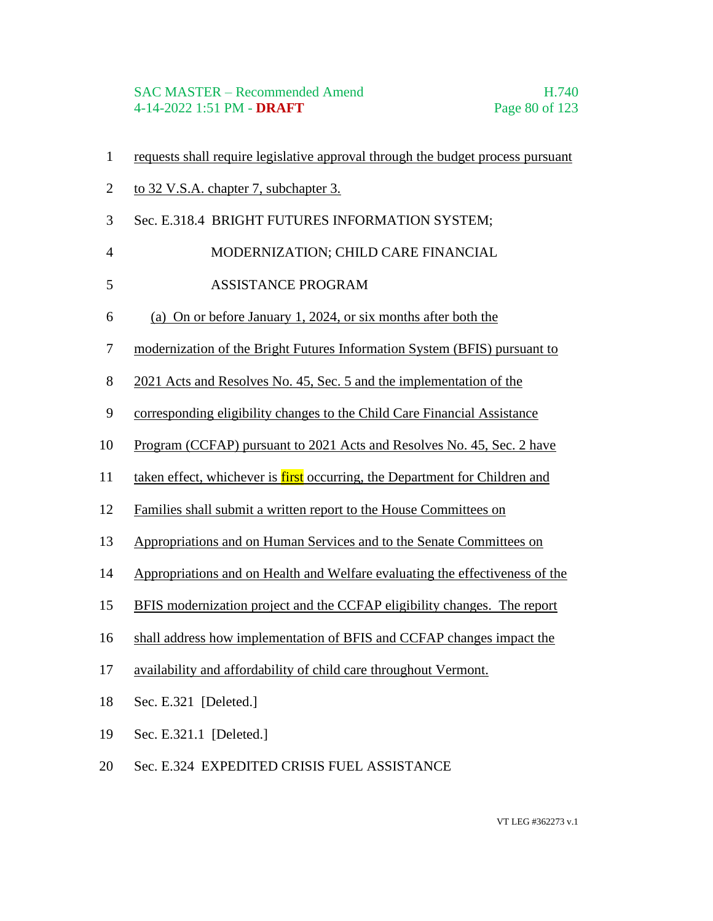#### SAC MASTER – Recommended Amend H.740 4-14-2022 1:51 PM - **DRAFT** Page 80 of 123

- requests shall require legislative approval through the budget process pursuant
- to 32 V.S.A. chapter 7, subchapter 3.
- Sec. E.318.4 BRIGHT FUTURES INFORMATION SYSTEM;
- 4 MODERNIZATION; CHILD CARE FINANCIAL
- 5 ASSISTANCE PROGRAM
- (a) On or before January 1, 2024, or six months after both the
- modernization of the Bright Futures Information System (BFIS) pursuant to
- 2021 Acts and Resolves No. 45, Sec. 5 and the implementation of the
- corresponding eligibility changes to the Child Care Financial Assistance
- Program (CCFAP) pursuant to 2021 Acts and Resolves No. 45, Sec. 2 have
- 11 taken effect, whichever is first occurring, the Department for Children and
- Families shall submit a written report to the House Committees on
- Appropriations and on Human Services and to the Senate Committees on
- Appropriations and on Health and Welfare evaluating the effectiveness of the
- BFIS modernization project and the CCFAP eligibility changes. The report
- shall address how implementation of BFIS and CCFAP changes impact the
- availability and affordability of child care throughout Vermont.
- Sec. E.321 [Deleted.]
- Sec. E.321.1 [Deleted.]
- Sec. E.324 EXPEDITED CRISIS FUEL ASSISTANCE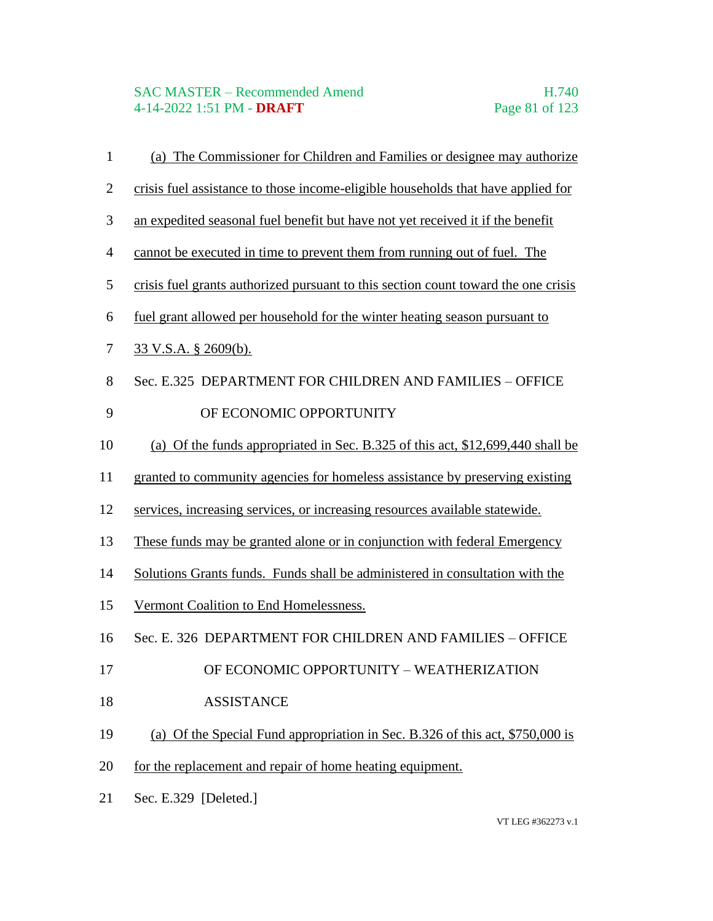# SAC MASTER – Recommended Amend<br>4-14-2022 1:51 PM - DRAFT Page 81 of 123 4-14-2022 1:51 PM - **DRAFT**

| $\mathbf{1}$   | (a) The Commissioner for Children and Families or designee may authorize           |
|----------------|------------------------------------------------------------------------------------|
| $\mathbf{2}$   | crisis fuel assistance to those income-eligible households that have applied for   |
| 3              | an expedited seasonal fuel benefit but have not yet received it if the benefit     |
| $\overline{4}$ | cannot be executed in time to prevent them from running out of fuel. The           |
| $\mathfrak s$  | crisis fuel grants authorized pursuant to this section count toward the one crisis |
| 6              | fuel grant allowed per household for the winter heating season pursuant to         |
| 7              | <u>33 V.S.A. § 2609(b).</u>                                                        |
| 8              | Sec. E.325 DEPARTMENT FOR CHILDREN AND FAMILIES - OFFICE                           |
| 9              | OF ECONOMIC OPPORTUNITY                                                            |
| 10             | (a) Of the funds appropriated in Sec. B.325 of this act, \$12,699,440 shall be     |
| 11             | granted to community agencies for homeless assistance by preserving existing       |
| 12             | services, increasing services, or increasing resources available statewide.        |
| 13             | These funds may be granted alone or in conjunction with federal Emergency          |
| 14             | Solutions Grants funds. Funds shall be administered in consultation with the       |
| 15             | Vermont Coalition to End Homelessness.                                             |
| 16             | Sec. E. 326 DEPARTMENT FOR CHILDREN AND FAMILIES - OFFICE                          |
| 17             | OF ECONOMIC OPPORTUNITY - WEATHERIZATION                                           |
| 18             | <b>ASSISTANCE</b>                                                                  |
| 19             | (a) Of the Special Fund appropriation in Sec. B.326 of this act, \$750,000 is      |
| 20             | for the replacement and repair of home heating equipment.                          |
| 21             | Sec. E.329 [Deleted.]                                                              |
|                |                                                                                    |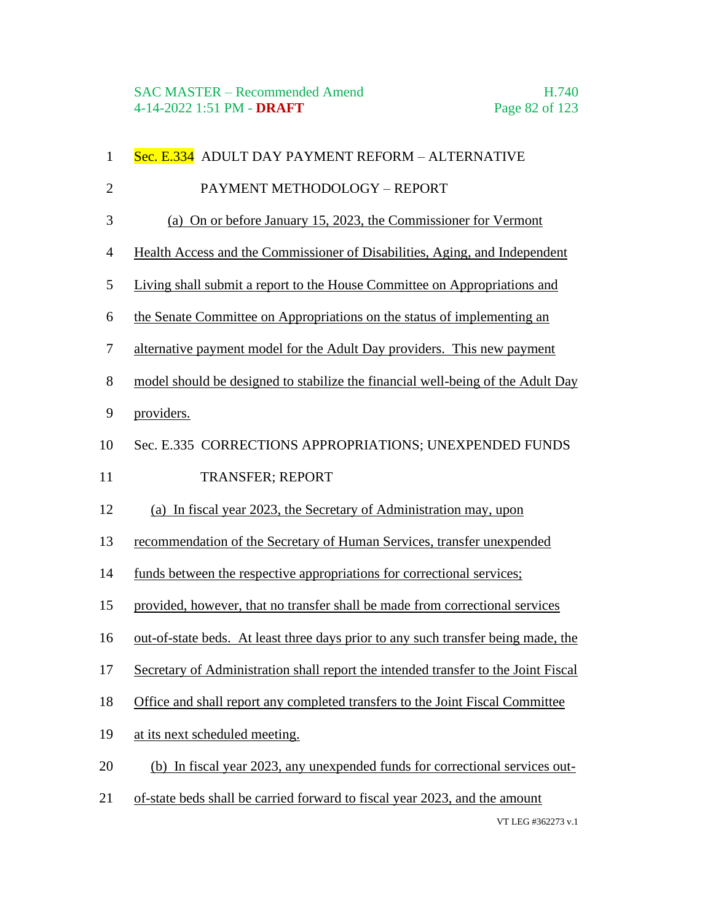| $\mathbf{1}$   | Sec. E.334 ADULT DAY PAYMENT REFORM - ALTERNATIVE                                  |
|----------------|------------------------------------------------------------------------------------|
| $\overline{2}$ | PAYMENT METHODOLOGY - REPORT                                                       |
| 3              | (a) On or before January 15, 2023, the Commissioner for Vermont                    |
| $\overline{4}$ | Health Access and the Commissioner of Disabilities, Aging, and Independent         |
| 5              | Living shall submit a report to the House Committee on Appropriations and          |
| 6              | the Senate Committee on Appropriations on the status of implementing an            |
| 7              | alternative payment model for the Adult Day providers. This new payment            |
| 8              | model should be designed to stabilize the financial well-being of the Adult Day    |
| 9              | providers.                                                                         |
| 10             | Sec. E.335 CORRECTIONS APPROPRIATIONS; UNEXPENDED FUNDS                            |
| 11             | TRANSFER; REPORT                                                                   |
| 12             | (a) In fiscal year 2023, the Secretary of Administration may, upon                 |
| 13             | recommendation of the Secretary of Human Services, transfer unexpended             |
| 14             | funds between the respective appropriations for correctional services;             |
| 15             | provided, however, that no transfer shall be made from correctional services       |
| 16             | out-of-state beds. At least three days prior to any such transfer being made, the  |
| 17             | Secretary of Administration shall report the intended transfer to the Joint Fiscal |
| 18             | Office and shall report any completed transfers to the Joint Fiscal Committee      |
| 19             | at its next scheduled meeting.                                                     |
| 20             | (b) In fiscal year 2023, any unexpended funds for correctional services out-       |
| 21             | of-state beds shall be carried forward to fiscal year 2023, and the amount         |
|                |                                                                                    |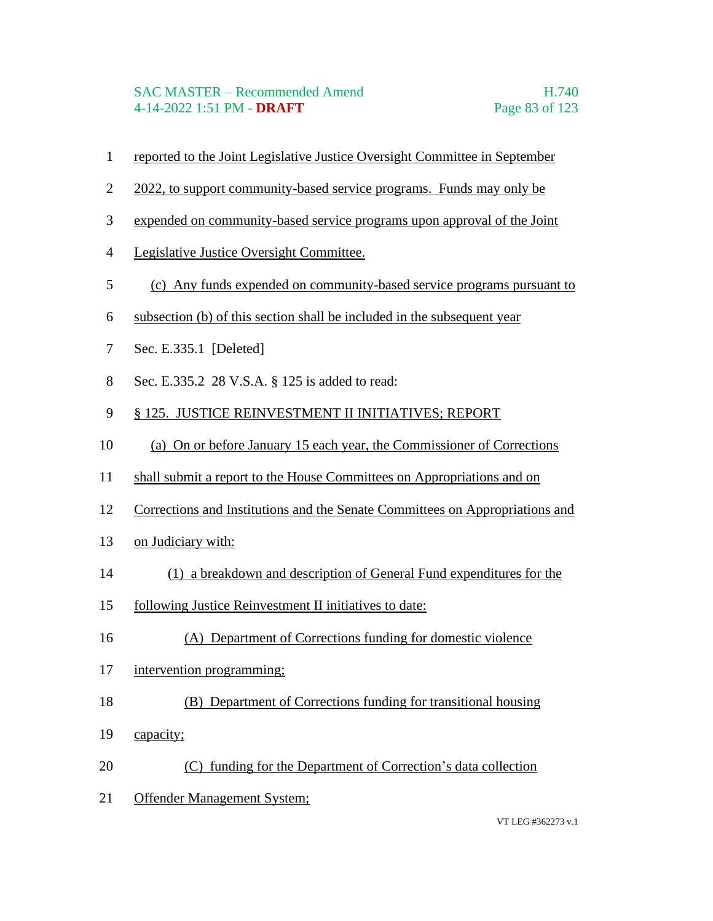- reported to the Joint Legislative Justice Oversight Committee in September
- 2 2022, to support community-based service programs. Funds may only be
- expended on community-based service programs upon approval of the Joint
- Legislative Justice Oversight Committee.
- (c) Any funds expended on community-based service programs pursuant to
- subsection (b) of this section shall be included in the subsequent year
- Sec. E.335.1 [Deleted]
- Sec. E.335.2 28 V.S.A. § 125 is added to read:
- § 125. JUSTICE REINVESTMENT II INITIATIVES; REPORT
- (a) On or before January 15 each year, the Commissioner of Corrections
- shall submit a report to the House Committees on Appropriations and on
- Corrections and Institutions and the Senate Committees on Appropriations and
- on Judiciary with:
- (1) a breakdown and description of General Fund expenditures for the
- following Justice Reinvestment II initiatives to date:
- (A) Department of Corrections funding for domestic violence
- intervention programming;
- (B) Department of Corrections funding for transitional housing
- 19 capacity;
- (C) funding for the Department of Correction's data collection
- Offender Management System;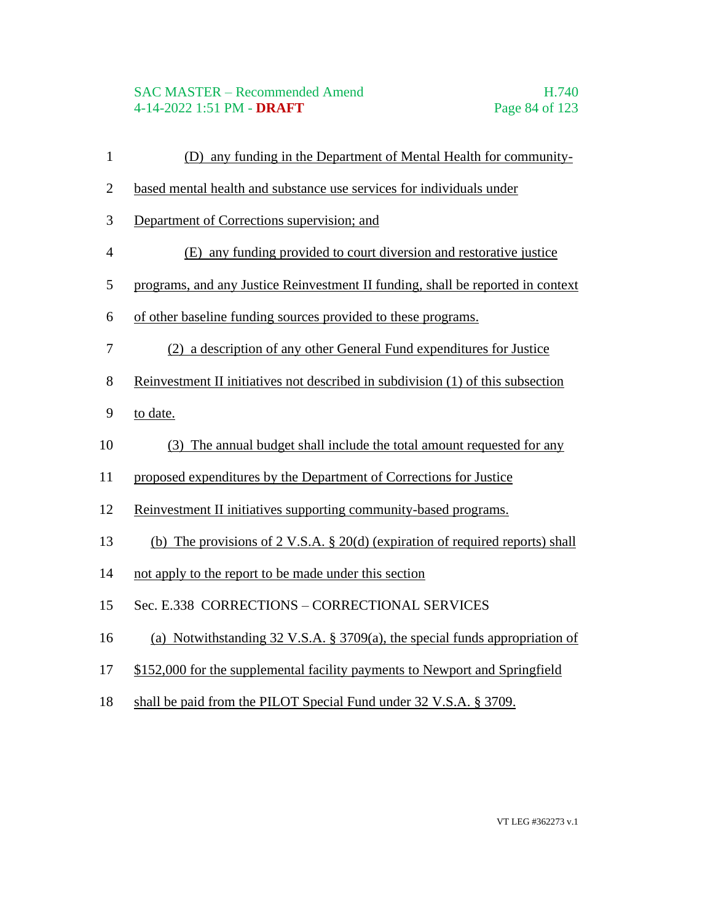## SAC MASTER – Recommended Amend H.740 4-14-2022 1:51 PM - **DRAFT** Page 84 of 123

- (D) any funding in the Department of Mental Health for community-
- based mental health and substance use services for individuals under
- Department of Corrections supervision; and
- (E) any funding provided to court diversion and restorative justice
- programs, and any Justice Reinvestment II funding, shall be reported in context
- of other baseline funding sources provided to these programs.
- (2) a description of any other General Fund expenditures for Justice
- Reinvestment II initiatives not described in subdivision (1) of this subsection
- to date.
- (3) The annual budget shall include the total amount requested for any
- proposed expenditures by the Department of Corrections for Justice
- Reinvestment II initiatives supporting community-based programs.
- (b) The provisions of 2 V.S.A. § 20(d) (expiration of required reports) shall
- not apply to the report to be made under this section
- Sec. E.338 CORRECTIONS CORRECTIONAL SERVICES
- (a) Notwithstanding 32 V.S.A. § 3709(a), the special funds appropriation of
- \$152,000 for the supplemental facility payments to Newport and Springfield
- shall be paid from the PILOT Special Fund under 32 V.S.A. § 3709.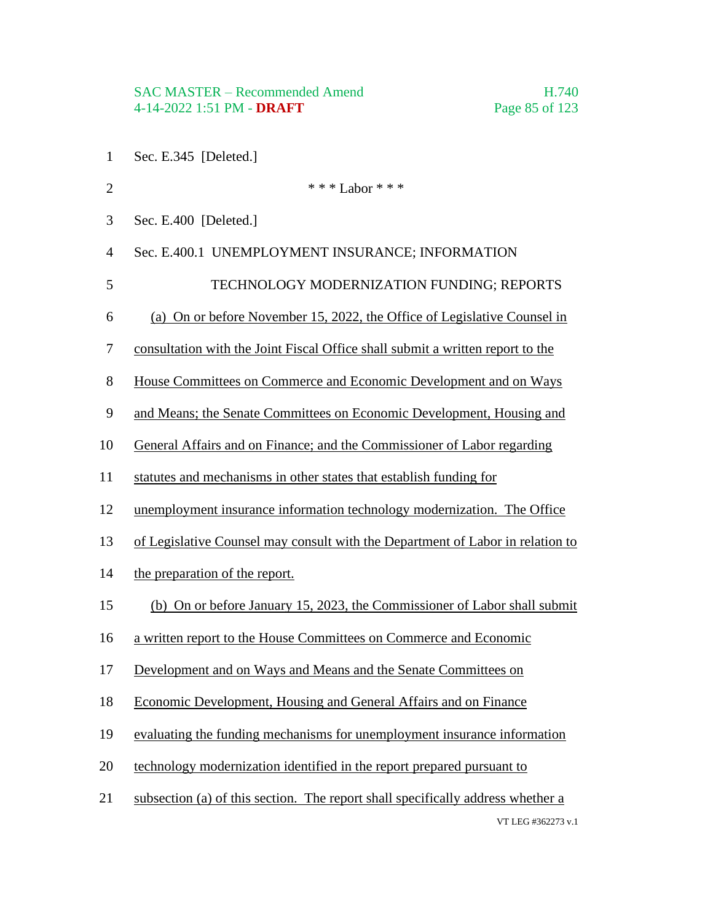- Sec. E.345 [Deleted.]
- VT LEG #362273 v.1 2  $* * * Labor * * *$  Sec. E.400 [Deleted.] Sec. E.400.1 UNEMPLOYMENT INSURANCE; INFORMATION 5 TECHNOLOGY MODERNIZATION FUNDING; REPORTS (a) On or before November 15, 2022, the Office of Legislative Counsel in consultation with the Joint Fiscal Office shall submit a written report to the House Committees on Commerce and Economic Development and on Ways and Means; the Senate Committees on Economic Development, Housing and General Affairs and on Finance; and the Commissioner of Labor regarding statutes and mechanisms in other states that establish funding for unemployment insurance information technology modernization. The Office of Legislative Counsel may consult with the Department of Labor in relation to the preparation of the report. (b) On or before January 15, 2023, the Commissioner of Labor shall submit a written report to the House Committees on Commerce and Economic Development and on Ways and Means and the Senate Committees on Economic Development, Housing and General Affairs and on Finance evaluating the funding mechanisms for unemployment insurance information technology modernization identified in the report prepared pursuant to subsection (a) of this section. The report shall specifically address whether a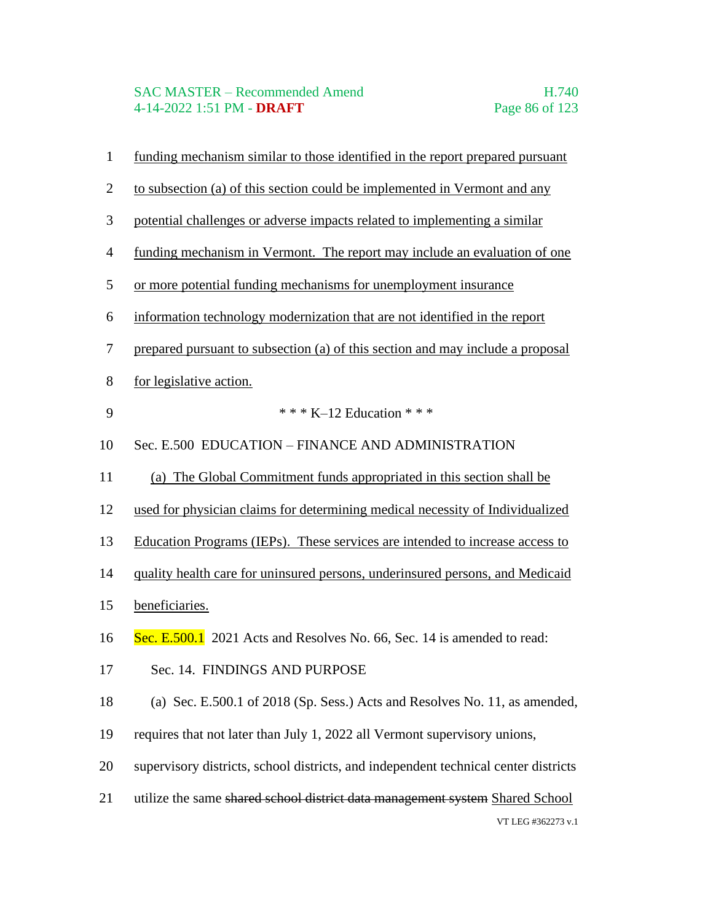# SAC MASTER – Recommended Amend<br>4-14-2022 1:51 PM - DRAFT Page 86 of 123 4-14-2022 1:51 PM - **DRAFT**

| $\mathbf{1}$   | funding mechanism similar to those identified in the report prepared pursuant       |
|----------------|-------------------------------------------------------------------------------------|
| $\overline{2}$ | to subsection (a) of this section could be implemented in Vermont and any           |
| 3              | potential challenges or adverse impacts related to implementing a similar           |
| $\overline{4}$ | funding mechanism in Vermont. The report may include an evaluation of one           |
| 5              | or more potential funding mechanisms for unemployment insurance                     |
| 6              | information technology modernization that are not identified in the report          |
| $\tau$         | prepared pursuant to subsection (a) of this section and may include a proposal      |
| $8\,$          | for legislative action.                                                             |
| 9              | * * * K-12 Education * * *                                                          |
| 10             | Sec. E.500 EDUCATION - FINANCE AND ADMINISTRATION                                   |
| 11             | (a) The Global Commitment funds appropriated in this section shall be               |
| 12             | used for physician claims for determining medical necessity of Individualized       |
| 13             | Education Programs (IEPs). These services are intended to increase access to        |
| 14             | quality health care for uninsured persons, underinsured persons, and Medicaid       |
| 15             | beneficiaries.                                                                      |
| 16             | Sec. E.500.1 2021 Acts and Resolves No. 66, Sec. 14 is amended to read:             |
| 17             | Sec. 14. FINDINGS AND PURPOSE                                                       |
| 18             | (a) Sec. E.500.1 of 2018 (Sp. Sess.) Acts and Resolves No. 11, as amended,          |
| 19             | requires that not later than July 1, 2022 all Vermont supervisory unions,           |
| 20             | supervisory districts, school districts, and independent technical center districts |
| 21             | utilize the same shared school district data management system Shared School        |
|                | VT LEG #362273 v.1                                                                  |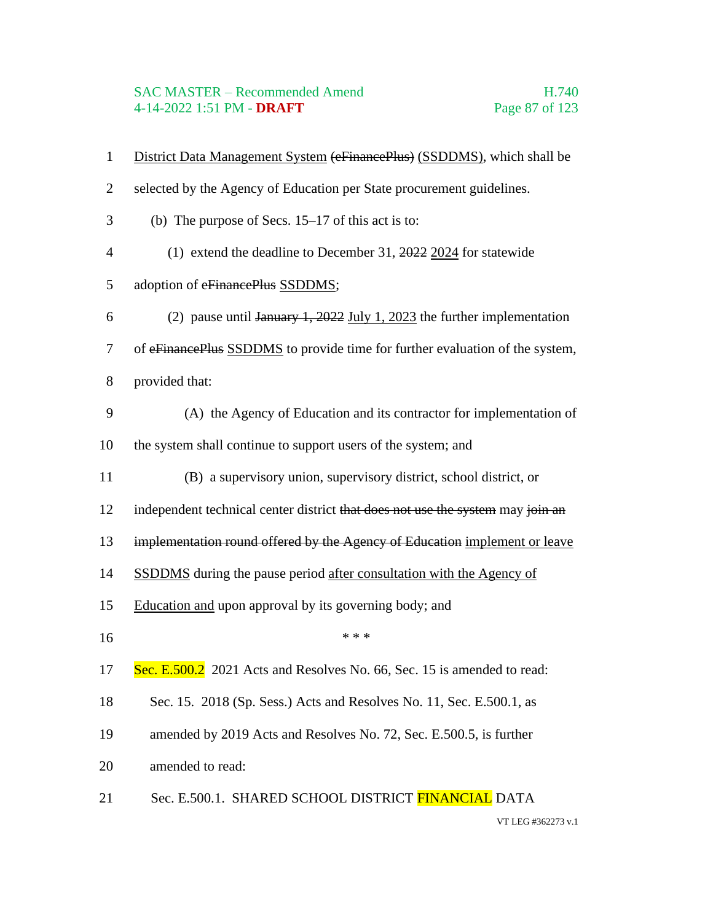# SAC MASTER – Recommended Amend<br>4-14-2022 1:51 PM - DRAFT Page 87 of 123 4-14-2022 1:51 PM - **DRAFT**

| $\mathbf{1}$   | District Data Management System (eFinancePlus) (SSDDMS), which shall be        |
|----------------|--------------------------------------------------------------------------------|
| $\overline{2}$ | selected by the Agency of Education per State procurement guidelines.          |
| 3              | (b) The purpose of Secs. $15-17$ of this act is to:                            |
| $\overline{4}$ | (1) extend the deadline to December 31, $\frac{2022}{2024}$ for statewide      |
| 5              | adoption of eFinancePlus SSDDMS;                                               |
| 6              | (2) pause until January 1, 2022 July 1, 2023 the further implementation        |
| 7              | of eFinancePlus SSDDMS to provide time for further evaluation of the system,   |
| $8\,$          | provided that:                                                                 |
| 9              | (A) the Agency of Education and its contractor for implementation of           |
| 10             | the system shall continue to support users of the system; and                  |
| 11             | (B) a supervisory union, supervisory district, school district, or             |
| 12             | independent technical center district that does not use the system may join an |
| 13             | implementation round offered by the Agency of Education implement or leave     |
| 14             | <b>SSDDMS</b> during the pause period after consultation with the Agency of    |
| 15             | Education and upon approval by its governing body; and                         |
| 16             | * * *                                                                          |
| 17             | Sec. E.500.2 2021 Acts and Resolves No. 66, Sec. 15 is amended to read:        |
| 18             | Sec. 15. 2018 (Sp. Sess.) Acts and Resolves No. 11, Sec. E.500.1, as           |
| 19             | amended by 2019 Acts and Resolves No. 72, Sec. E.500.5, is further             |
| 20             | amended to read:                                                               |
| 21             | Sec. E.500.1. SHARED SCHOOL DISTRICT FINANCIAL DATA                            |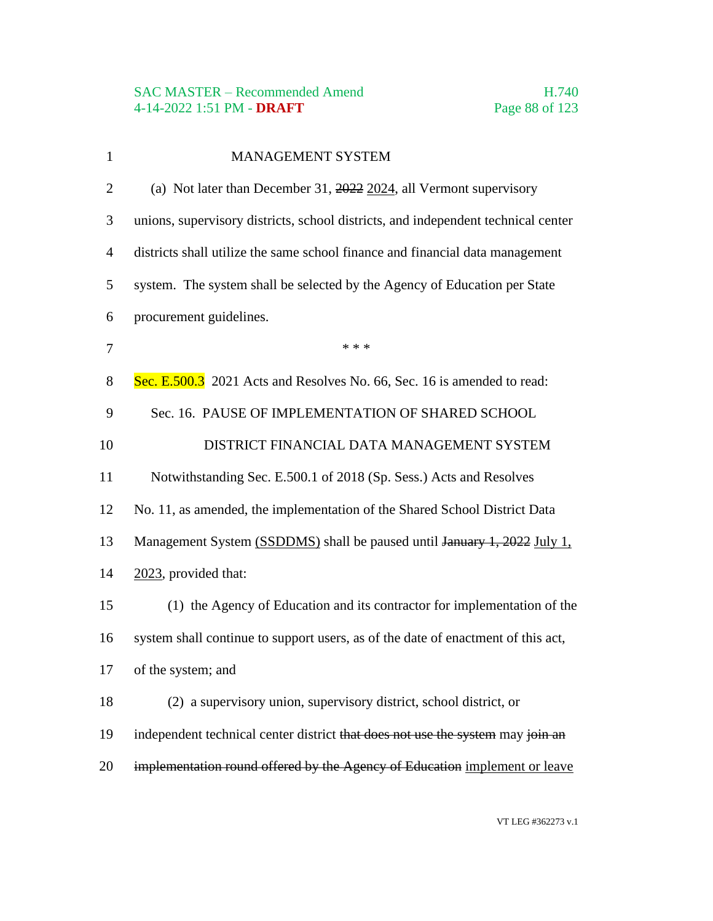| $\mathbf{1}$   | <b>MANAGEMENT SYSTEM</b>                                                          |
|----------------|-----------------------------------------------------------------------------------|
| $\overline{2}$ | (a) Not later than December 31, $2022$ 2024, all Vermont supervisory              |
| 3              | unions, supervisory districts, school districts, and independent technical center |
| $\overline{4}$ | districts shall utilize the same school finance and financial data management     |
| 5              | system. The system shall be selected by the Agency of Education per State         |
| 6              | procurement guidelines.                                                           |
| $\overline{7}$ | * * *                                                                             |
| 8              | Sec. E.500.3 2021 Acts and Resolves No. 66, Sec. 16 is amended to read:           |
| 9              | Sec. 16. PAUSE OF IMPLEMENTATION OF SHARED SCHOOL                                 |
| 10             | DISTRICT FINANCIAL DATA MANAGEMENT SYSTEM                                         |
| 11             | Notwithstanding Sec. E.500.1 of 2018 (Sp. Sess.) Acts and Resolves                |
| 12             | No. 11, as amended, the implementation of the Shared School District Data         |
| 13             | Management System (SSDDMS) shall be paused until January 1, 2022 July 1,          |
| 14             | 2023, provided that:                                                              |
| 15             | (1) the Agency of Education and its contractor for implementation of the          |
| 16             | system shall continue to support users, as of the date of enactment of this act,  |
| 17             | of the system; and                                                                |
| 18             | (2) a supervisory union, supervisory district, school district, or                |
| 19             | independent technical center district that does not use the system may join an    |
| 20             | implementation round offered by the Agency of Education implement or leave        |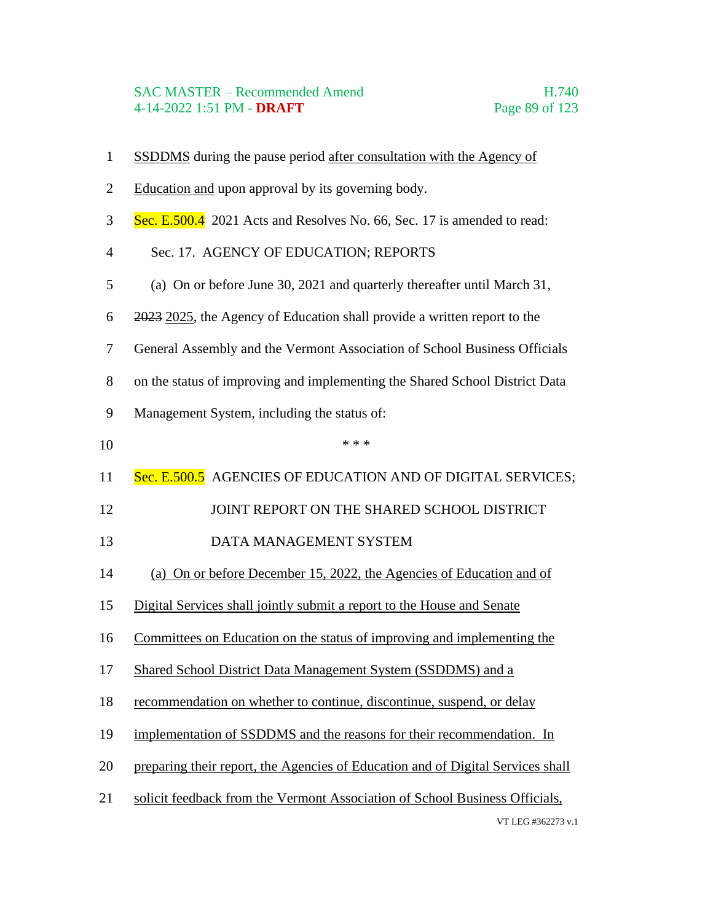#### SAC MASTER – Recommended Amend H.740 4-14-2022 1:51 PM - **DRAFT** Page 89 of 123

VT LEG #362273 v.1 SSDDMS during the pause period after consultation with the Agency of Education and upon approval by its governing body. Sec. E.500.4 2021 Acts and Resolves No. 66, Sec. 17 is amended to read: Sec. 17. AGENCY OF EDUCATION; REPORTS (a) On or before June 30, 2021 and quarterly thereafter until March 31, 2023 2025, the Agency of Education shall provide a written report to the General Assembly and the Vermont Association of School Business Officials on the status of improving and implementing the Shared School District Data Management System, including the status of: \*\*\* 11 Sec. E.500.5 AGENCIES OF EDUCATION AND OF DIGITAL SERVICES; 12 JOINT REPORT ON THE SHARED SCHOOL DISTRICT 13 DATA MANAGEMENT SYSTEM (a) On or before December 15, 2022, the Agencies of Education and of Digital Services shall jointly submit a report to the House and Senate Committees on Education on the status of improving and implementing the Shared School District Data Management System (SSDDMS) and a recommendation on whether to continue, discontinue, suspend, or delay implementation of SSDDMS and the reasons for their recommendation. In preparing their report, the Agencies of Education and of Digital Services shall solicit feedback from the Vermont Association of School Business Officials,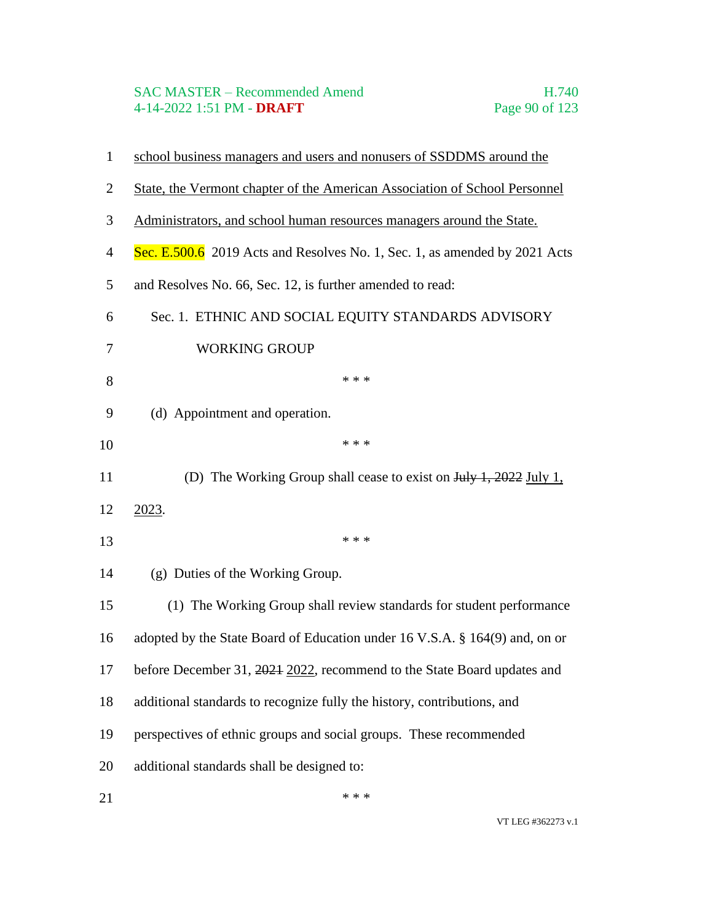# SAC MASTER – Recommended Amend<br>4-14-2022 1:51 PM - DRAFT Page 90 of 123 4-14-2022 1:51 PM - **DRAFT**

| $\mathbf{1}$   | school business managers and users and nonusers of SSDDMS around the                 |
|----------------|--------------------------------------------------------------------------------------|
| $\overline{2}$ | State, the Vermont chapter of the American Association of School Personnel           |
| 3              | Administrators, and school human resources managers around the State.                |
| $\overline{4}$ | Sec. E.500.6 2019 Acts and Resolves No. 1, Sec. 1, as amended by 2021 Acts           |
| 5              | and Resolves No. 66, Sec. 12, is further amended to read:                            |
| 6              | Sec. 1. ETHNIC AND SOCIAL EQUITY STANDARDS ADVISORY                                  |
| 7              | <b>WORKING GROUP</b>                                                                 |
| 8              | * * *                                                                                |
| 9              | (d) Appointment and operation.                                                       |
| 10             | * * *                                                                                |
| 11             | (D) The Working Group shall cease to exist on $\frac{\text{Hily 1}}{1,2022}$ July 1. |
| 12             | 2023.                                                                                |
| 13             | * * *                                                                                |
| 14             | (g) Duties of the Working Group.                                                     |
| 15             | (1) The Working Group shall review standards for student performance                 |
| 16             | adopted by the State Board of Education under 16 V.S.A. § 164(9) and, on or          |
| 17             | before December 31, 2021 2022, recommend to the State Board updates and              |
| 18             | additional standards to recognize fully the history, contributions, and              |
| 19             | perspectives of ethnic groups and social groups. These recommended                   |
| 20             | additional standards shall be designed to:                                           |
| 21             | * * *                                                                                |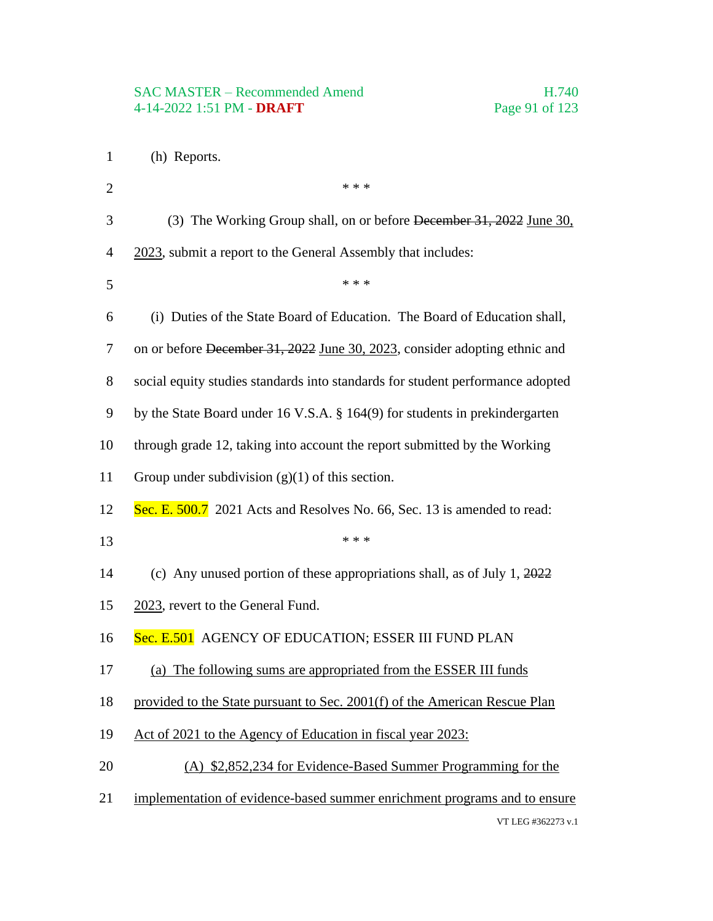- (h) Reports.
- VT LEG #362273 v.1  $* * *$  (3) The Working Group shall, on or before December 31, 2022 June 30, 4 2023, submit a report to the General Assembly that includes: \* \* \* \* (i) Duties of the State Board of Education. The Board of Education shall, on or before December 31, 2022 June 30, 2023, consider adopting ethnic and social equity studies standards into standards for student performance adopted by the State Board under 16 V.S.A. § 164(9) for students in prekindergarten through grade 12, taking into account the report submitted by the Working Group under subdivision (g)(1) of this section. 12 Sec. E. 500.7 2021 Acts and Resolves No. 66, Sec. 13 is amended to read: \*\*\* (c) Any unused portion of these appropriations shall, as of July 1, 2022 2023, revert to the General Fund. 16 Sec. E.501 AGENCY OF EDUCATION; ESSER III FUND PLAN (a) The following sums are appropriated from the ESSER III funds provided to the State pursuant to Sec. 2001(f) of the American Rescue Plan Act of 2021 to the Agency of Education in fiscal year 2023: (A) \$2,852,234 for Evidence-Based Summer Programming for the implementation of evidence-based summer enrichment programs and to ensure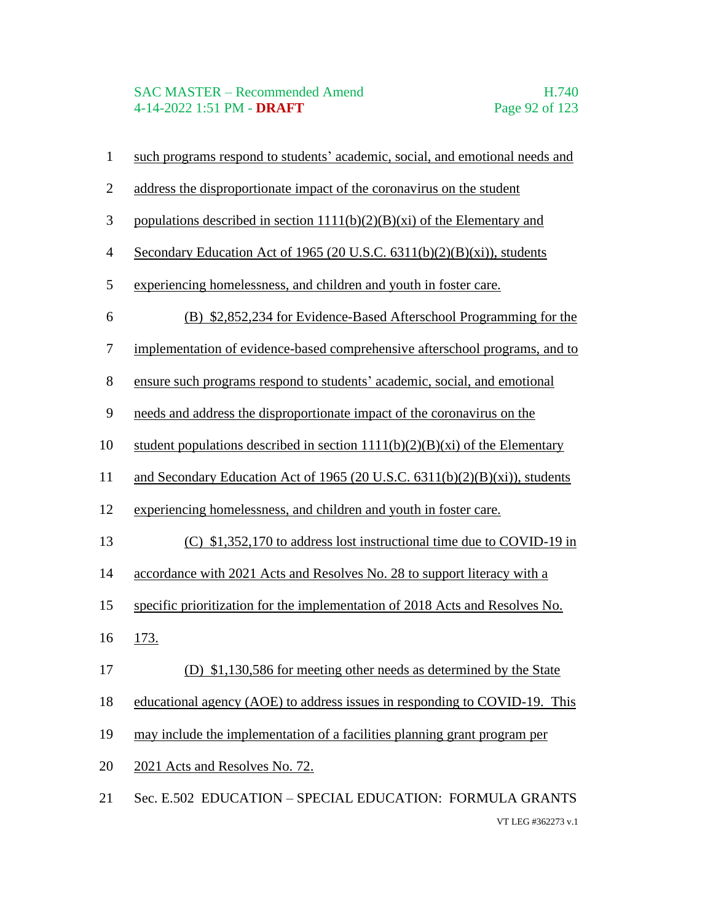## SAC MASTER – Recommended Amend<br>4-14-2022 1:51 PM - **DRAFT** Page 92 of 123 4-14-2022 1:51 PM - **DRAFT**

| $\mathbf{1}$   | such programs respond to students' academic, social, and emotional needs and   |
|----------------|--------------------------------------------------------------------------------|
| $\overline{2}$ | address the disproportionate impact of the coronavirus on the student          |
| $\mathfrak{Z}$ | populations described in section $1111(b)(2)(B)(xi)$ of the Elementary and     |
| $\overline{4}$ | Secondary Education Act of 1965 (20 U.S.C. 6311(b)(2)(B)(xi)), students        |
| $\mathfrak{S}$ | experiencing homelessness, and children and youth in foster care.              |
| 6              | (B) \$2,852,234 for Evidence-Based Afterschool Programming for the             |
| $\tau$         | implementation of evidence-based comprehensive afterschool programs, and to    |
| $8\,$          | ensure such programs respond to students' academic, social, and emotional      |
| 9              | needs and address the disproportionate impact of the coronavirus on the        |
| 10             | student populations described in section $1111(b)(2)(B)(xi)$ of the Elementary |
| 11             | and Secondary Education Act of 1965 (20 U.S.C. 6311(b)(2)(B)(xi)), students    |
| 12             | experiencing homelessness, and children and youth in foster care.              |
| 13             | (C) \$1,352,170 to address lost instructional time due to COVID-19 in          |
| 14             | accordance with 2021 Acts and Resolves No. 28 to support literacy with a       |
| 15             | specific prioritization for the implementation of 2018 Acts and Resolves No.   |
| 16             | 173.                                                                           |
| 17             | (D) \$1,130,586 for meeting other needs as determined by the State             |
| 18             | educational agency (AOE) to address issues in responding to COVID-19. This     |
| 19             | may include the implementation of a facilities planning grant program per      |
| 20             | 2021 Acts and Resolves No. 72.                                                 |
| 21             | Sec. E.502 EDUCATION - SPECIAL EDUCATION: FORMULA GRANTS                       |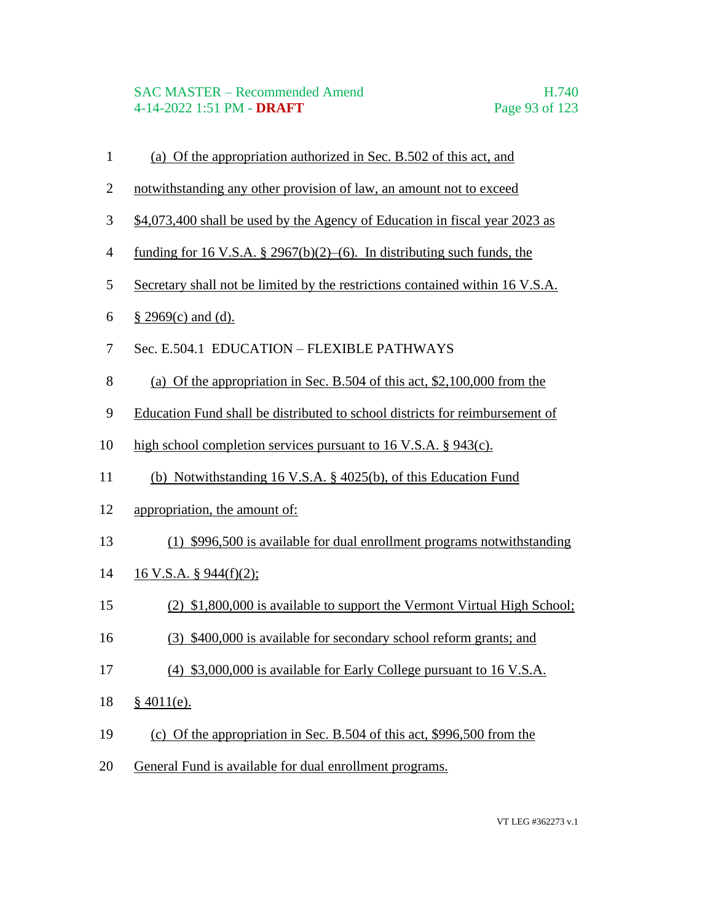### SAC MASTER – Recommended Amend H.740 4-14-2022 1:51 PM - **DRAFT** Page 93 of 123

- (a) Of the appropriation authorized in Sec. B.502 of this act, and
- notwithstanding any other provision of law, an amount not to exceed
- \$4,073,400 shall be used by the Agency of Education in fiscal year 2023 as
- funding for 16 V.S.A. § 2967(b)(2)–(6). In distributing such funds, the
- Secretary shall not be limited by the restrictions contained within 16 V.S.A.
- § 2969(c) and (d).
- Sec. E.504.1 EDUCATION FLEXIBLE PATHWAYS
- (a) Of the appropriation in Sec. B.504 of this act, \$2,100,000 from the
- Education Fund shall be distributed to school districts for reimbursement of
- high school completion services pursuant to 16 V.S.A. § 943(c).
- (b) Notwithstanding 16 V.S.A. § 4025(b), of this Education Fund
- appropriation, the amount of:
- (1) \$996,500 is available for dual enrollment programs notwithstanding
- 16 V.S.A. § 944(f)(2);
- (2) \$1,800,000 is available to support the Vermont Virtual High School;
- (3) \$400,000 is available for secondary school reform grants; and
- (4) \$3,000,000 is available for Early College pursuant to 16 V.S.A.
- § 4011(e).
- (c) Of the appropriation in Sec. B.504 of this act, \$996,500 from the
- General Fund is available for dual enrollment programs.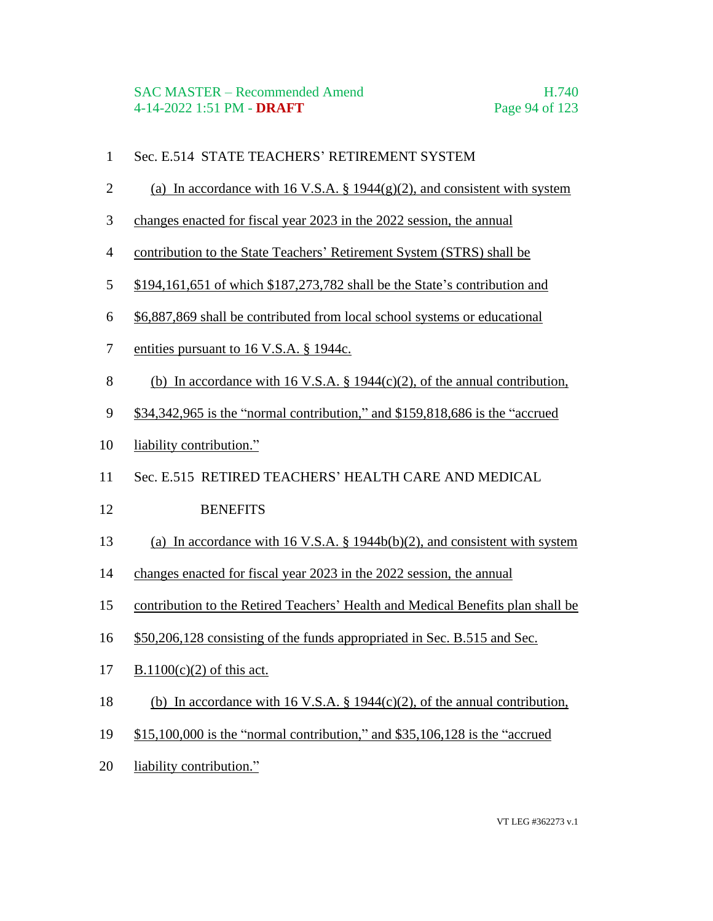- Sec. E.514 STATE TEACHERS' RETIREMENT SYSTEM
- 2 (a) In accordance with 16 V.S.A.  $\S$  1944(g)(2), and consistent with system
- changes enacted for fiscal year 2023 in the 2022 session, the annual
- contribution to the State Teachers' Retirement System (STRS) shall be
- \$194,161,651 of which \$187,273,782 shall be the State's contribution and
- \$6,887,869 shall be contributed from local school systems or educational
- entities pursuant to 16 V.S.A. § 1944c.
- (b) In accordance with 16 V.S.A. § 1944(c)(2), of the annual contribution,
- \$34,342,965 is the "normal contribution," and \$159,818,686 is the "accrued
- liability contribution."
- Sec. E.515 RETIRED TEACHERS' HEALTH CARE AND MEDICAL
- 12 BENEFITS
- (a) In accordance with 16 V.S.A. § 1944b(b)(2), and consistent with system
- changes enacted for fiscal year 2023 in the 2022 session, the annual
- contribution to the Retired Teachers' Health and Medical Benefits plan shall be
- \$50,206,128 consisting of the funds appropriated in Sec. B.515 and Sec.
- B.1100(c)(2) of this act.
- (b) In accordance with 16 V.S.A. § 1944(c)(2), of the annual contribution,
- \$15,100,000 is the "normal contribution," and \$35,106,128 is the "accrued
- liability contribution."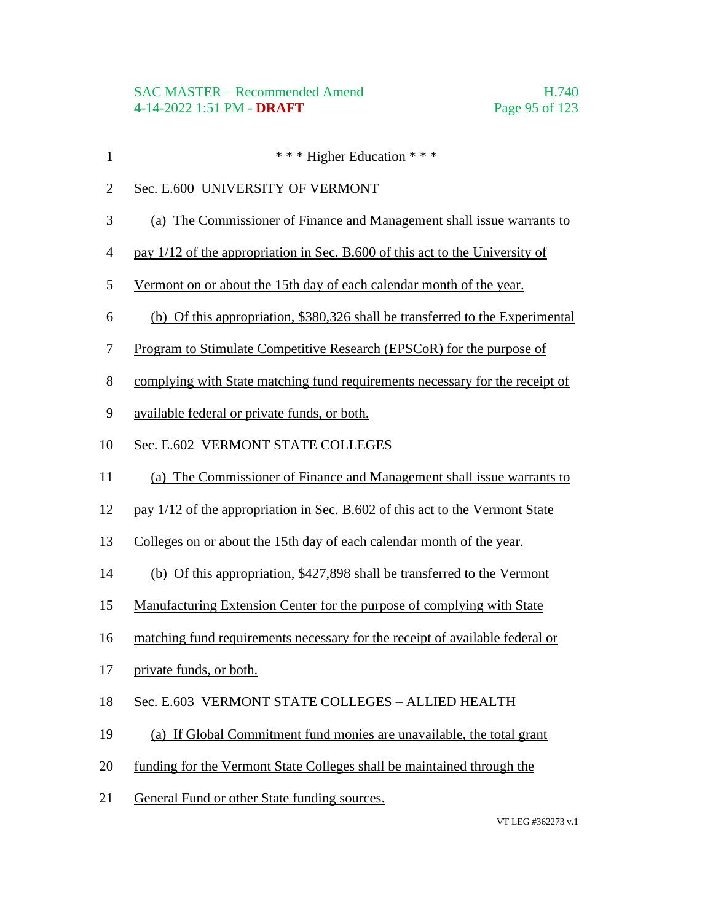- 1 \* \* \* Higher Education \* \* \*
- Sec. E.600 UNIVERSITY OF VERMONT
- (a) The Commissioner of Finance and Management shall issue warrants to
- pay 1/12 of the appropriation in Sec. B.600 of this act to the University of
- Vermont on or about the 15th day of each calendar month of the year.
- (b) Of this appropriation, \$380,326 shall be transferred to the Experimental
- Program to Stimulate Competitive Research (EPSCoR) for the purpose of
- complying with State matching fund requirements necessary for the receipt of
- available federal or private funds, or both.
- Sec. E.602 VERMONT STATE COLLEGES
- (a) The Commissioner of Finance and Management shall issue warrants to
- pay 1/12 of the appropriation in Sec. B.602 of this act to the Vermont State
- Colleges on or about the 15th day of each calendar month of the year.
- (b) Of this appropriation, \$427,898 shall be transferred to the Vermont
- Manufacturing Extension Center for the purpose of complying with State
- matching fund requirements necessary for the receipt of available federal or
- private funds, or both.
- Sec. E.603 VERMONT STATE COLLEGES ALLIED HEALTH
- (a) If Global Commitment fund monies are unavailable, the total grant
- funding for the Vermont State Colleges shall be maintained through the
- General Fund or other State funding sources.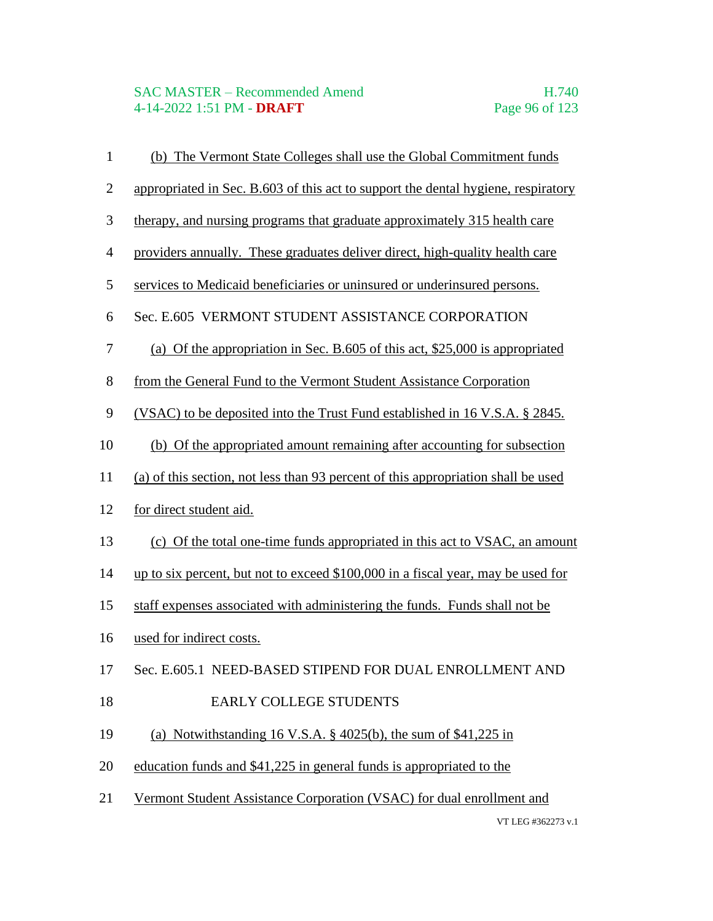# SAC MASTER – Recommended Amend<br>4-14-2022 1:51 PM - DRAFT<br>Page 96 of 123 4-14-2022 1:51 PM - **DRAFT**

| $\mathbf{1}$     | (b) The Vermont State Colleges shall use the Global Commitment funds              |
|------------------|-----------------------------------------------------------------------------------|
| $\overline{2}$   | appropriated in Sec. B.603 of this act to support the dental hygiene, respiratory |
| $\mathfrak{Z}$   | therapy, and nursing programs that graduate approximately 315 health care         |
| $\overline{4}$   | providers annually. These graduates deliver direct, high-quality health care      |
| $\mathfrak s$    | services to Medicaid beneficiaries or uninsured or underinsured persons.          |
| 6                | Sec. E.605 VERMONT STUDENT ASSISTANCE CORPORATION                                 |
| $\boldsymbol{7}$ | (a) Of the appropriation in Sec. B.605 of this act, $$25,000$ is appropriated     |
| $8\,$            | from the General Fund to the Vermont Student Assistance Corporation               |
| 9                | (VSAC) to be deposited into the Trust Fund established in 16 V.S.A. § 2845.       |
| 10               | (b) Of the appropriated amount remaining after accounting for subsection          |
| 11               | (a) of this section, not less than 93 percent of this appropriation shall be used |
| 12               | for direct student aid.                                                           |
| 13               | (c) Of the total one-time funds appropriated in this act to VSAC, an amount       |
| 14               | up to six percent, but not to exceed \$100,000 in a fiscal year, may be used for  |
| 15               | staff expenses associated with administering the funds. Funds shall not be        |
| 16               | used for indirect costs.                                                          |
| 17               | Sec. E.605.1 NEED-BASED STIPEND FOR DUAL ENROLLMENT AND                           |
| 18               | <b>EARLY COLLEGE STUDENTS</b>                                                     |
| 19               | (a) Notwithstanding 16 V.S.A. $\S$ 4025(b), the sum of $\S$ 41,225 in             |
| 20               | education funds and \$41,225 in general funds is appropriated to the              |
| 21               | Vermont Student Assistance Corporation (VSAC) for dual enrollment and             |
|                  | VT LEG #362273 v.1                                                                |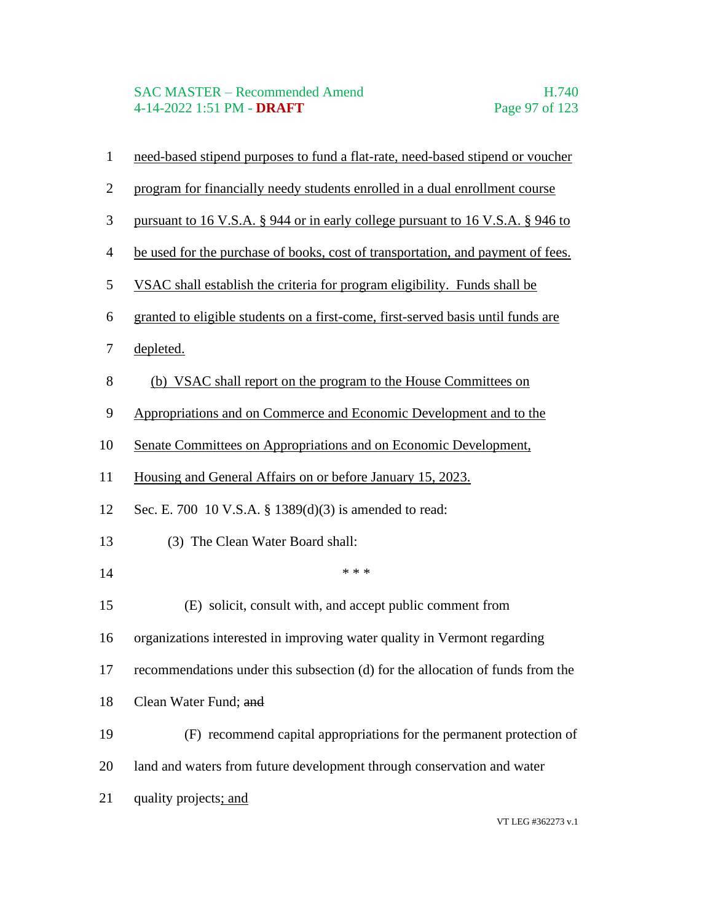### SAC MASTER – Recommended Amend H.740 4-14-2022 1:51 PM - **DRAFT** Page 97 of 123

- need-based stipend purposes to fund a flat-rate, need-based stipend or voucher
- program for financially needy students enrolled in a dual enrollment course
- pursuant to 16 V.S.A. § 944 or in early college pursuant to 16 V.S.A. § 946 to
- be used for the purchase of books, cost of transportation, and payment of fees.
- VSAC shall establish the criteria for program eligibility. Funds shall be
- granted to eligible students on a first-come, first-served basis until funds are
- depleted.
- (b) VSAC shall report on the program to the House Committees on
- Appropriations and on Commerce and Economic Development and to the
- Senate Committees on Appropriations and on Economic Development,
- Housing and General Affairs on or before January 15, 2023.
- Sec. E. 700 10 V.S.A. § 1389(d)(3) is amended to read:
- (3) The Clean Water Board shall:
- \*\*\*
- (E) solicit, consult with, and accept public comment from
- organizations interested in improving water quality in Vermont regarding
- recommendations under this subsection (d) for the allocation of funds from the
- 18 Clean Water Fund; and
- (F) recommend capital appropriations for the permanent protection of
- land and waters from future development through conservation and water
- 21 quality projects; and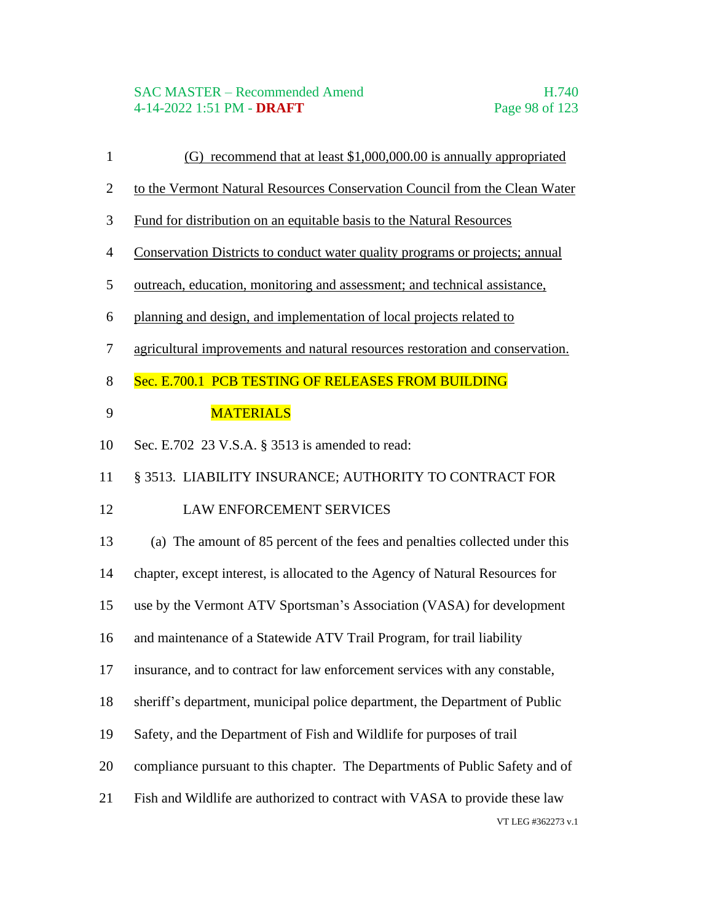### SAC MASTER – Recommended Amend H.740 4-14-2022 1:51 PM - **DRAFT** Page 98 of 123

- (G) recommend that at least \$1,000,000.00 is annually appropriated
- to the Vermont Natural Resources Conservation Council from the Clean Water
- Fund for distribution on an equitable basis to the Natural Resources
- Conservation Districts to conduct water quality programs or projects; annual
- outreach, education, monitoring and assessment; and technical assistance,
- planning and design, and implementation of local projects related to
- agricultural improvements and natural resources restoration and conservation.
- 8 Sec. E.700.1 PCB TESTING OF RELEASES FROM BUILDING

## **MATERIALS**

Sec. E.702 23 V.S.A. § 3513 is amended to read:

§ 3513. LIABILITY INSURANCE; AUTHORITY TO CONTRACT FOR

## 12 LAW ENFORCEMENT SERVICES

- (a) The amount of 85 percent of the fees and penalties collected under this
- chapter, except interest, is allocated to the Agency of Natural Resources for
- use by the Vermont ATV Sportsman's Association (VASA) for development
- and maintenance of a Statewide ATV Trail Program, for trail liability
- insurance, and to contract for law enforcement services with any constable,
- sheriff's department, municipal police department, the Department of Public
- Safety, and the Department of Fish and Wildlife for purposes of trail
- compliance pursuant to this chapter. The Departments of Public Safety and of
- Fish and Wildlife are authorized to contract with VASA to provide these law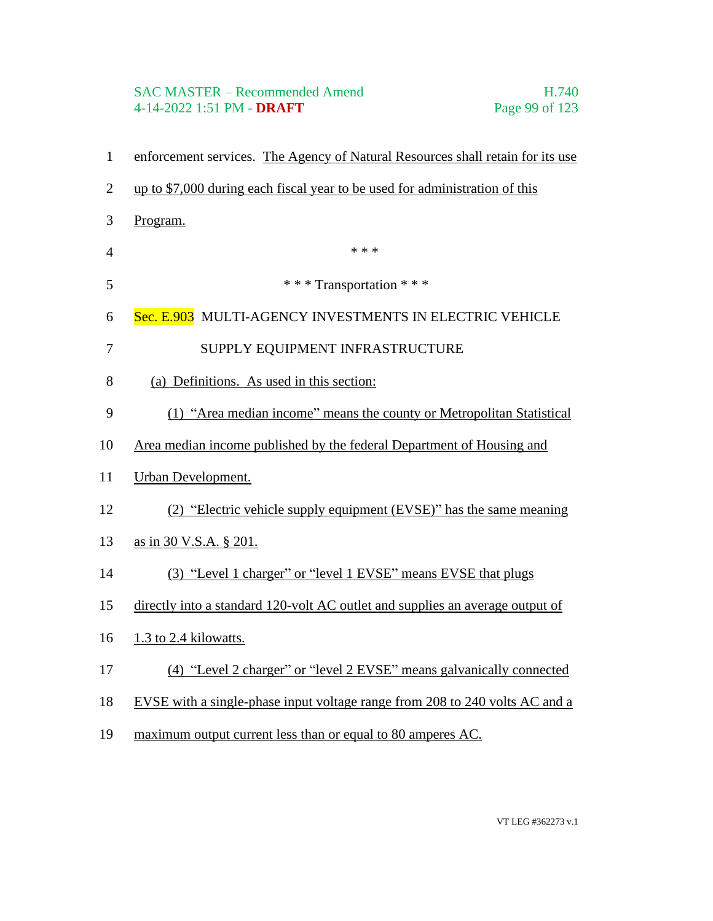# SAC MASTER – Recommended Amend<br>
4-14-2022 1:51 PM - **DRAFT** Page 99 of 123 4-14-2022 1:51 PM - **DRAFT**

| $\mathbf{1}$   | enforcement services. The Agency of Natural Resources shall retain for its use |
|----------------|--------------------------------------------------------------------------------|
| $\mathbf{2}$   | up to \$7,000 during each fiscal year to be used for administration of this    |
| 3              | Program.                                                                       |
| $\overline{4}$ | * * *                                                                          |
| 5              | *** Transportation ***                                                         |
| 6              | Sec. E.903 MULTI-AGENCY INVESTMENTS IN ELECTRIC VEHICLE                        |
| $\overline{7}$ | SUPPLY EQUIPMENT INFRASTRUCTURE                                                |
| $8\,$          | (a) Definitions. As used in this section:                                      |
| 9              | (1) "Area median income" means the county or Metropolitan Statistical          |
| 10             | Area median income published by the federal Department of Housing and          |
| 11             | <b>Urban Development.</b>                                                      |
| 12             | (2) "Electric vehicle supply equipment (EVSE)" has the same meaning            |
| 13             | as in 30 V.S.A. § 201.                                                         |
| 14             | (3) "Level 1 charger" or "level 1 EVSE" means EVSE that plugs                  |
| 15             | directly into a standard 120-volt AC outlet and supplies an average output of  |
| 16             | 1.3 to 2.4 kilowatts.                                                          |
| 17             | (4) "Level 2 charger" or "level 2 EVSE" means galvanically connected           |
| 18             | EVSE with a single-phase input voltage range from 208 to 240 volts AC and a    |
| 19             | maximum output current less than or equal to 80 amperes AC.                    |
|                |                                                                                |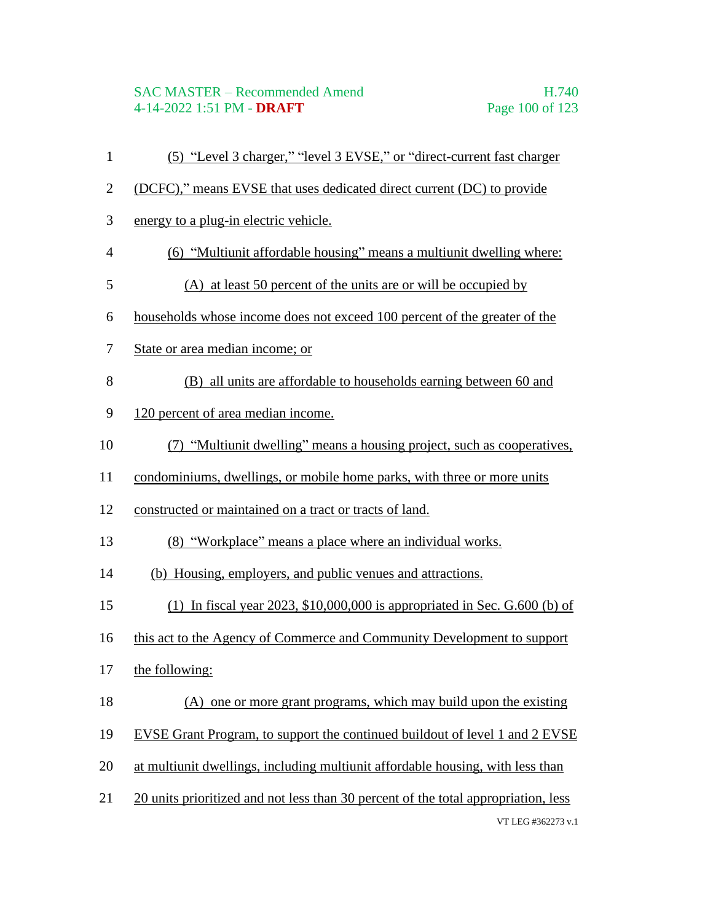### SAC MASTER – Recommended Amend H.740 4-14-2022 1:51 PM - **DRAFT** Page 100 of 123

VT LEG #362273 v.1 (5) "Level 3 charger," "level 3 EVSE," or "direct-current fast charger (DCFC)," means EVSE that uses dedicated direct current (DC) to provide energy to a plug-in electric vehicle. (6) "Multiunit affordable housing" means a multiunit dwelling where: (A) at least 50 percent of the units are or will be occupied by households whose income does not exceed 100 percent of the greater of the State or area median income; or (B) all units are affordable to households earning between 60 and 120 percent of area median income. (7) "Multiunit dwelling" means a housing project, such as cooperatives, condominiums, dwellings, or mobile home parks, with three or more units constructed or maintained on a tract or tracts of land. (8) "Workplace" means a place where an individual works. (b) Housing, employers, and public venues and attractions. (1) In fiscal year 2023, \$10,000,000 is appropriated in Sec. G.600 (b) of this act to the Agency of Commerce and Community Development to support the following: (A) one or more grant programs, which may build upon the existing EVSE Grant Program, to support the continued buildout of level 1 and 2 EVSE at multiunit dwellings, including multiunit affordable housing, with less than 20 units prioritized and not less than 30 percent of the total appropriation, less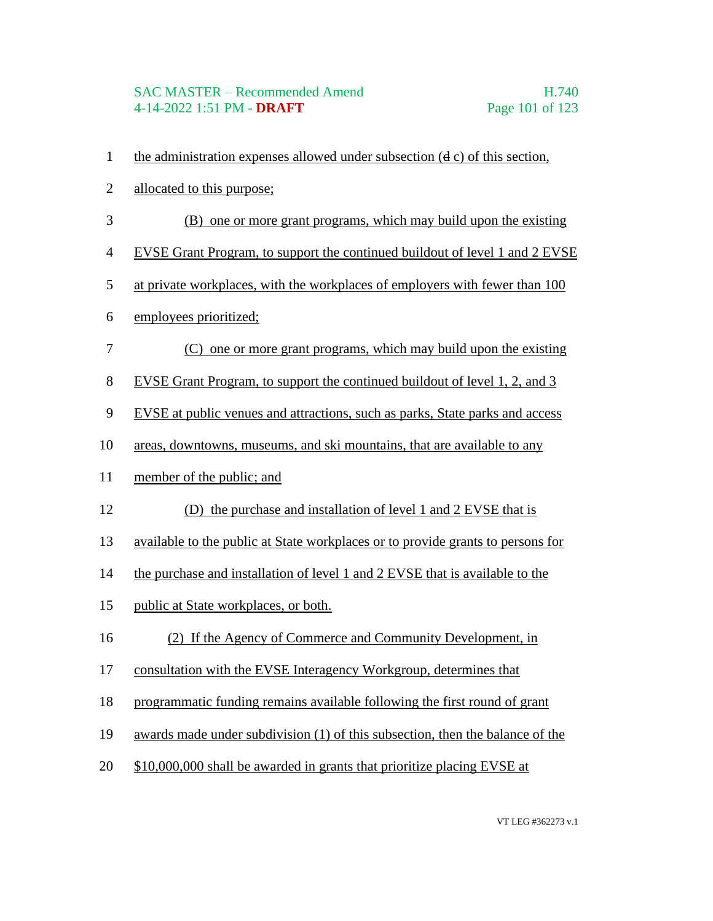### SAC MASTER – Recommended Amend H.740 4-14-2022 1:51 PM - **DRAFT** Page 101 of 123

- the administration expenses allowed under subsection (d c) of this section,
- allocated to this purpose;
- (B) one or more grant programs, which may build upon the existing
- EVSE Grant Program, to support the continued buildout of level 1 and 2 EVSE
- at private workplaces, with the workplaces of employers with fewer than 100
- employees prioritized;
- (C) one or more grant programs, which may build upon the existing
- EVSE Grant Program, to support the continued buildout of level 1, 2, and 3
- EVSE at public venues and attractions, such as parks, State parks and access
- areas, downtowns, museums, and ski mountains, that are available to any
- member of the public; and
- (D) the purchase and installation of level 1 and 2 EVSE that is
- available to the public at State workplaces or to provide grants to persons for
- the purchase and installation of level 1 and 2 EVSE that is available to the
- public at State workplaces, or both.
- (2) If the Agency of Commerce and Community Development, in
- consultation with the EVSE Interagency Workgroup, determines that
- programmatic funding remains available following the first round of grant
- awards made under subdivision (1) of this subsection, then the balance of the
- \$10,000,000 shall be awarded in grants that prioritize placing EVSE at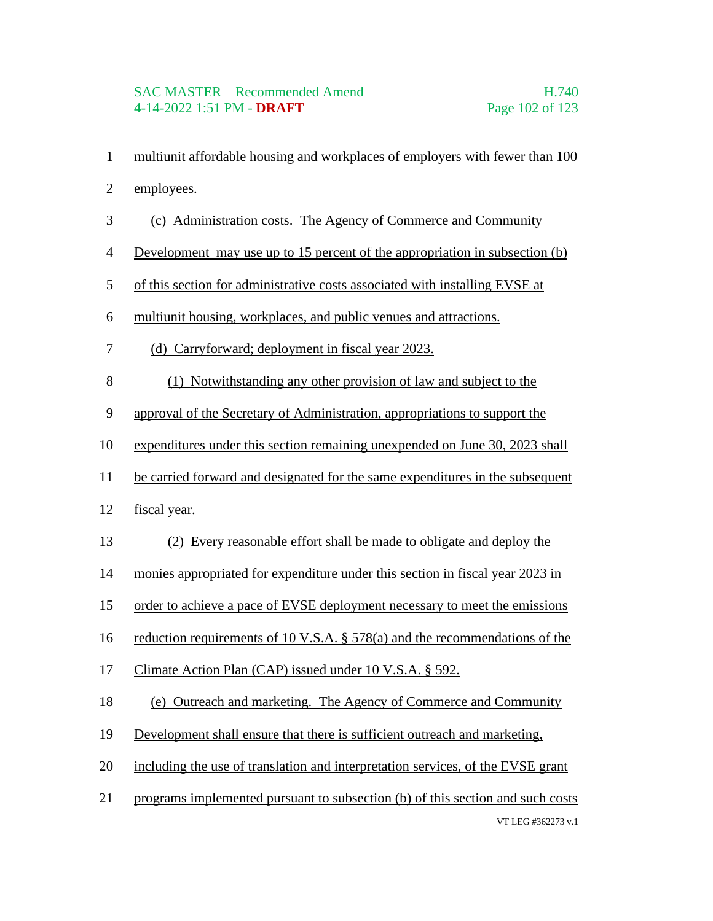- multiunit affordable housing and workplaces of employers with fewer than 100
- employees.
- (c) Administration costs. The Agency of Commerce and Community
- Development may use up to 15 percent of the appropriation in subsection (b)
- of this section for administrative costs associated with installing EVSE at
- multiunit housing, workplaces, and public venues and attractions.
- (d) Carryforward; deployment in fiscal year 2023.
- (1) Notwithstanding any other provision of law and subject to the
- approval of the Secretary of Administration, appropriations to support the
- expenditures under this section remaining unexpended on June 30, 2023 shall
- be carried forward and designated for the same expenditures in the subsequent
- fiscal year.
- (2) Every reasonable effort shall be made to obligate and deploy the
- monies appropriated for expenditure under this section in fiscal year 2023 in
- order to achieve a pace of EVSE deployment necessary to meet the emissions
- reduction requirements of 10 V.S.A. § 578(a) and the recommendations of the
- Climate Action Plan (CAP) issued under 10 V.S.A. § 592.
- (e) Outreach and marketing. The Agency of Commerce and Community
- Development shall ensure that there is sufficient outreach and marketing,
- including the use of translation and interpretation services, of the EVSE grant
- VT LEG #362273 v.1 programs implemented pursuant to subsection (b) of this section and such costs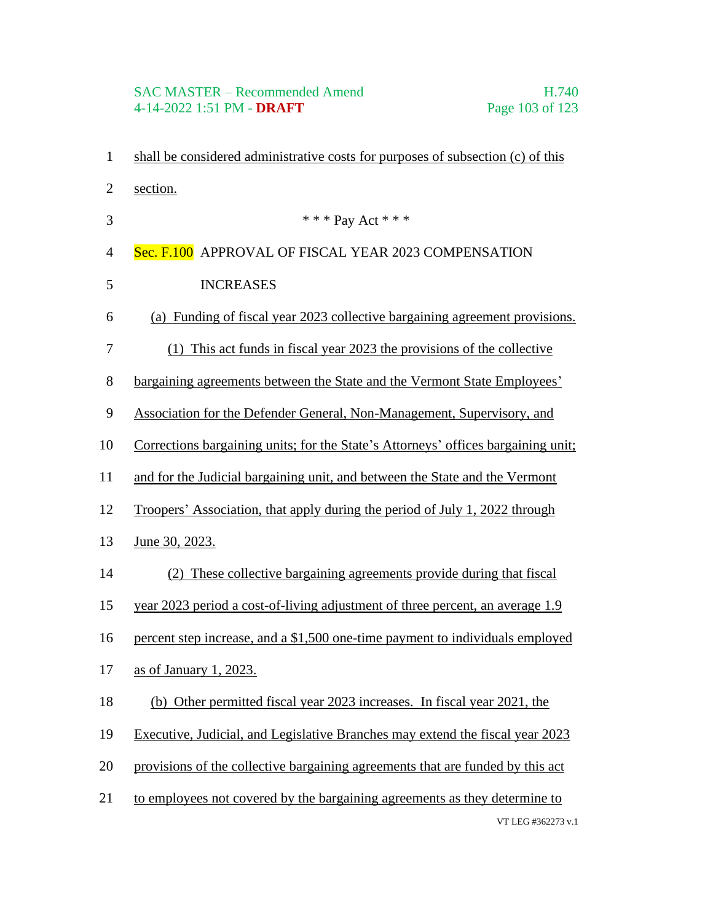# SAC MASTER – Recommended Amend<br>4-14-2022 1:51 PM - DRAFT Page 103 of 123 4-14-2022 1:51 PM - **DRAFT**

| $\mathbf{1}$   | shall be considered administrative costs for purposes of subsection (c) of this   |
|----------------|-----------------------------------------------------------------------------------|
| $\mathbf{2}$   | section.                                                                          |
| 3              | * * * Pay Act * * *                                                               |
| $\overline{4}$ | Sec. F.100 APPROVAL OF FISCAL YEAR 2023 COMPENSATION                              |
| 5              | <b>INCREASES</b>                                                                  |
| 6              | (a) Funding of fiscal year 2023 collective bargaining agreement provisions.       |
| 7              | (1) This act funds in fiscal year 2023 the provisions of the collective           |
| 8              | bargaining agreements between the State and the Vermont State Employees'          |
| 9              | <b>Association for the Defender General, Non-Management, Supervisory, and</b>     |
| 10             | Corrections bargaining units; for the State's Attorneys' offices bargaining unit; |
| 11             | and for the Judicial bargaining unit, and between the State and the Vermont       |
| 12             | Troopers' Association, that apply during the period of July 1, 2022 through       |
| 13             | June 30, 2023.                                                                    |
| 14             | (2) These collective bargaining agreements provide during that fiscal             |
| 15             | year 2023 period a cost-of-living adjustment of three percent, an average 1.9     |
| 16             | percent step increase, and a \$1,500 one-time payment to individuals employed     |
| 17             | as of January 1, 2023.                                                            |
| 18             | (b) Other permitted fiscal year 2023 increases. In fiscal year 2021, the          |
| 19             | Executive, Judicial, and Legislative Branches may extend the fiscal year 2023     |
| 20             | provisions of the collective bargaining agreements that are funded by this act    |
| 21             | to employees not covered by the bargaining agreements as they determine to        |
|                | VT LEG #362273 v.1                                                                |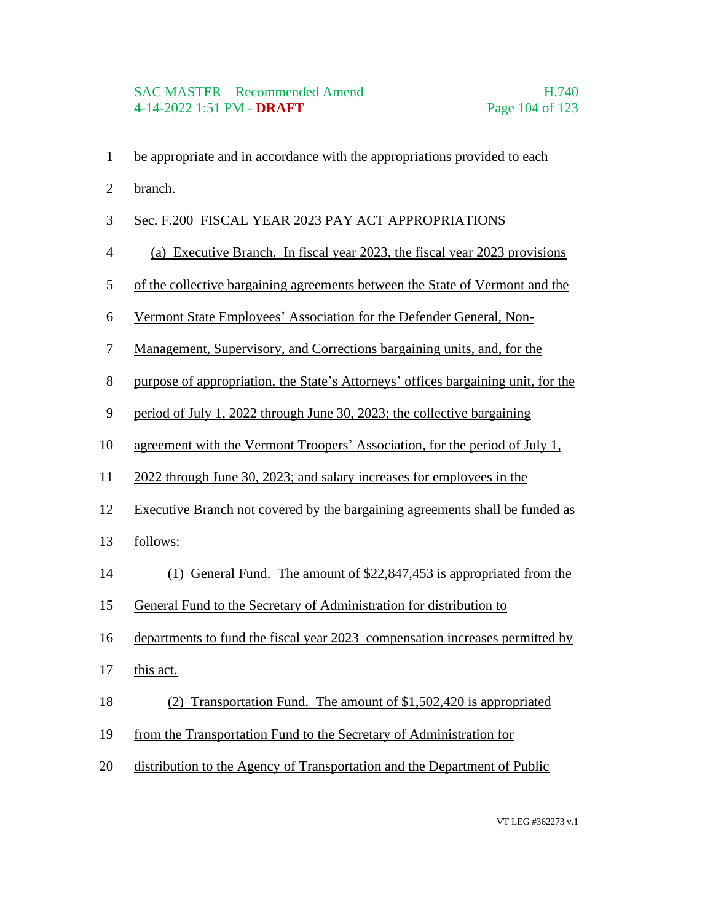- be appropriate and in accordance with the appropriations provided to each
- branch.
- Sec. F.200 FISCAL YEAR 2023 PAY ACT APPROPRIATIONS
- (a) Executive Branch. In fiscal year 2023, the fiscal year 2023 provisions
- of the collective bargaining agreements between the State of Vermont and the
- Vermont State Employees' Association for the Defender General, Non-
- Management, Supervisory, and Corrections bargaining units, and, for the
- purpose of appropriation, the State's Attorneys' offices bargaining unit, for the
- period of July 1, 2022 through June 30, 2023; the collective bargaining
- agreement with the Vermont Troopers' Association, for the period of July 1,
- 2022 through June 30, 2023; and salary increases for employees in the
- Executive Branch not covered by the bargaining agreements shall be funded as
- follows:
- (1) General Fund. The amount of \$22,847,453 is appropriated from the
- General Fund to the Secretary of Administration for distribution to
- departments to fund the fiscal year 2023 compensation increases permitted by
- this act.
- (2) Transportation Fund. The amount of \$1,502,420 is appropriated
- from the Transportation Fund to the Secretary of Administration for
- distribution to the Agency of Transportation and the Department of Public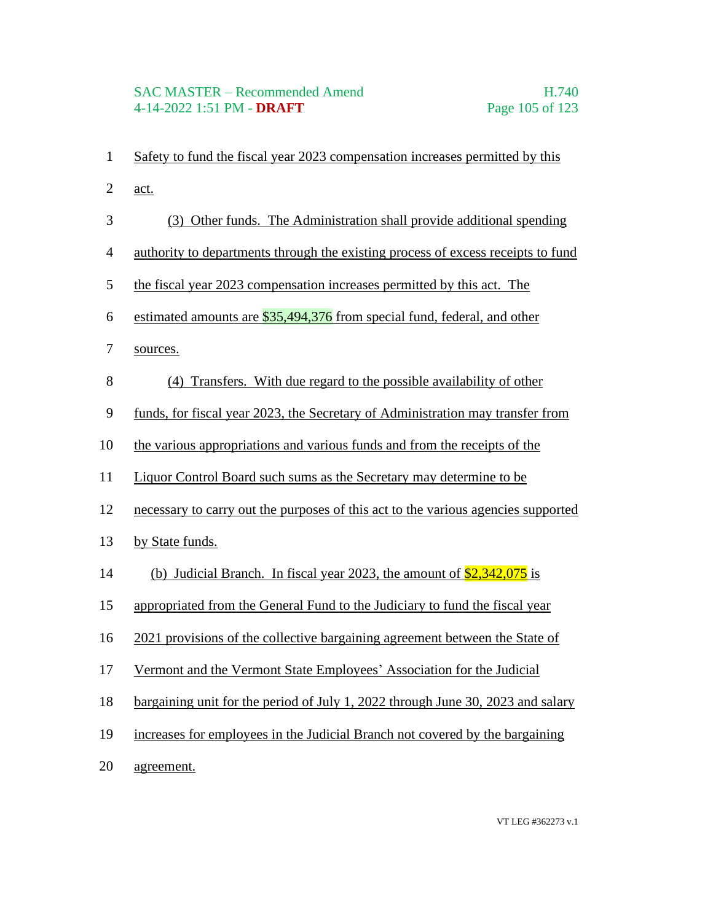#### SAC MASTER – Recommended Amend H.740 4-14-2022 1:51 PM - **DRAFT** Page 105 of 123

 act. (3) Other funds. The Administration shall provide additional spending authority to departments through the existing process of excess receipts to fund the fiscal year 2023 compensation increases permitted by this act. The 6 estimated amounts are  $\frac{$35,494,376}{6}$  from special fund, federal, and other sources. (4) Transfers. With due regard to the possible availability of other funds, for fiscal year 2023, the Secretary of Administration may transfer from

Safety to fund the fiscal year 2023 compensation increases permitted by this

- the various appropriations and various funds and from the receipts of the
- Liquor Control Board such sums as the Secretary may determine to be
- necessary to carry out the purposes of this act to the various agencies supported
- by State funds.
- 14 (b) Judicial Branch. In fiscal year 2023, the amount of  $\frac{$2,342,075}{2}$  is
- appropriated from the General Fund to the Judiciary to fund the fiscal year
- 2021 provisions of the collective bargaining agreement between the State of
- Vermont and the Vermont State Employees' Association for the Judicial
- bargaining unit for the period of July 1, 2022 through June 30, 2023 and salary
- increases for employees in the Judicial Branch not covered by the bargaining
- agreement.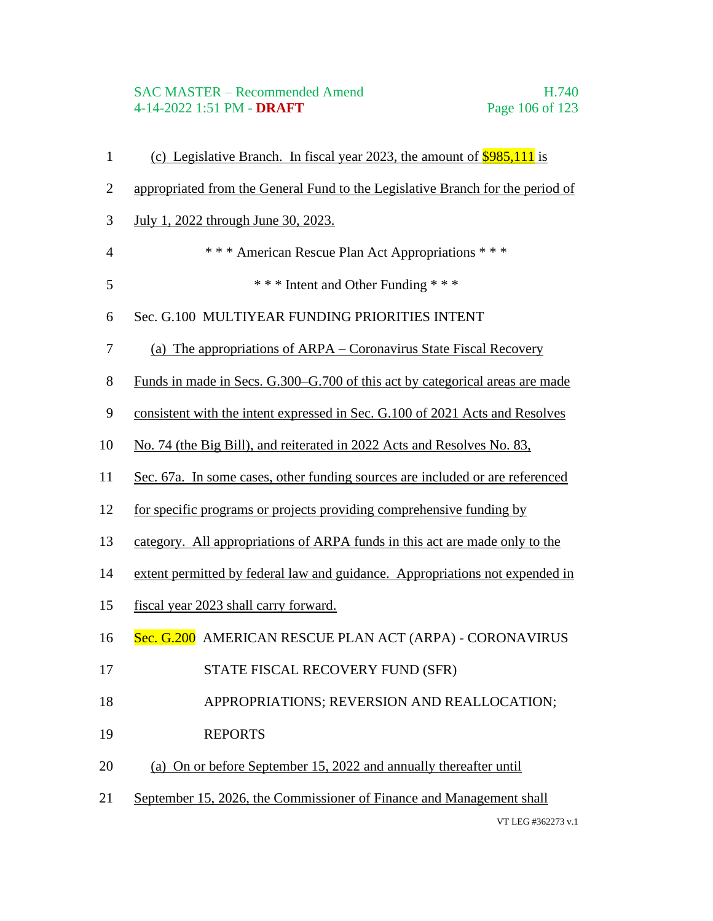# SAC MASTER – Recommended Amend H.740<br>4-14-2022 1:51 PM - DRAFT Page 106 of 123 4-14-2022 1:51 PM - **DRAFT**

| $\mathbf{1}$   | (c) Legislative Branch. In fiscal year 2023, the amount of $$985,111$ is       |
|----------------|--------------------------------------------------------------------------------|
| $\mathbf{2}$   | appropriated from the General Fund to the Legislative Branch for the period of |
| 3              | July 1, 2022 through June 30, 2023.                                            |
| $\overline{4}$ | *** American Rescue Plan Act Appropriations ***                                |
| 5              | *** Intent and Other Funding ***                                               |
| 6              | Sec. G.100 MULTIYEAR FUNDING PRIORITIES INTENT                                 |
| 7              | (a) The appropriations of ARPA – Coronavirus State Fiscal Recovery             |
| $8\,$          | Funds in made in Secs. G.300–G.700 of this act by categorical areas are made   |
| 9              | consistent with the intent expressed in Sec. G.100 of 2021 Acts and Resolves   |
| 10             | No. 74 (the Big Bill), and reiterated in 2022 Acts and Resolves No. 83,        |
| 11             | Sec. 67a. In some cases, other funding sources are included or are referenced  |
| 12             | for specific programs or projects providing comprehensive funding by           |
| 13             | category. All appropriations of ARPA funds in this act are made only to the    |
| 14             | extent permitted by federal law and guidance. Appropriations not expended in   |
| 15             | fiscal year 2023 shall carry forward.                                          |
| 16             | Sec. G.200 AMERICAN RESCUE PLAN ACT (ARPA) - CORONAVIRUS                       |
| 17             | STATE FISCAL RECOVERY FUND (SFR)                                               |
| 18             | APPROPRIATIONS; REVERSION AND REALLOCATION;                                    |
| 19             | <b>REPORTS</b>                                                                 |
| 20             | (a) On or before September 15, 2022 and annually thereafter until              |
| 21             | September 15, 2026, the Commissioner of Finance and Management shall           |
|                | VT LEG #362273 v.1                                                             |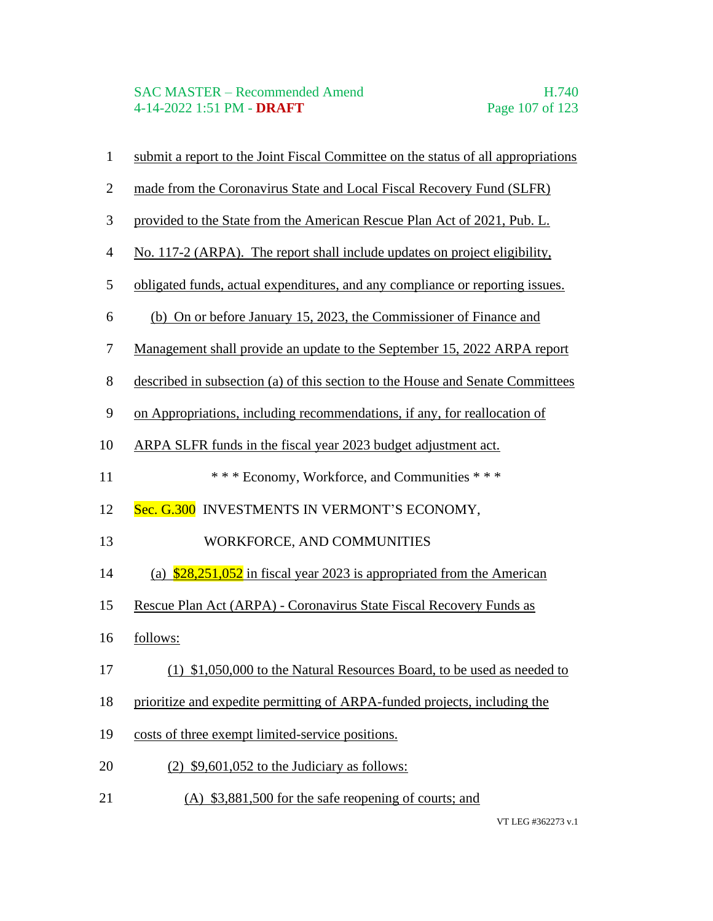| $\mathbf{1}$   | submit a report to the Joint Fiscal Committee on the status of all appropriations |
|----------------|-----------------------------------------------------------------------------------|
| $\mathbf{2}$   | made from the Coronavirus State and Local Fiscal Recovery Fund (SLFR)             |
| $\mathfrak{Z}$ | provided to the State from the American Rescue Plan Act of 2021, Pub. L.          |
| $\overline{4}$ | No. 117-2 (ARPA). The report shall include updates on project eligibility,        |
| 5              | obligated funds, actual expenditures, and any compliance or reporting issues.     |
| 6              | (b) On or before January 15, 2023, the Commissioner of Finance and                |
| $\tau$         | Management shall provide an update to the September 15, 2022 ARPA report          |
| $8\,$          | described in subsection (a) of this section to the House and Senate Committees    |
| 9              | on Appropriations, including recommendations, if any, for reallocation of         |
| 10             | ARPA SLFR funds in the fiscal year 2023 budget adjustment act.                    |
| 11             | *** Economy, Workforce, and Communities ***                                       |
| 12             | Sec. G.300 INVESTMENTS IN VERMONT'S ECONOMY,                                      |
| 13             | WORKFORCE, AND COMMUNITIES                                                        |
| 14             | (a) $\frac{$28,251,052}{2}$ in fiscal year 2023 is appropriated from the American |
| 15             | Rescue Plan Act (ARPA) - Coronavirus State Fiscal Recovery Funds as               |
| 16             | follows:                                                                          |
| 17             | (1) \$1,050,000 to the Natural Resources Board, to be used as needed to           |
| 18             | prioritize and expedite permitting of ARPA-funded projects, including the         |
| 19             | costs of three exempt limited-service positions.                                  |
| 20             | $(2)$ \$9,601,052 to the Judiciary as follows:                                    |
| 21             | $(A)$ \$3,881,500 for the safe reopening of courts; and                           |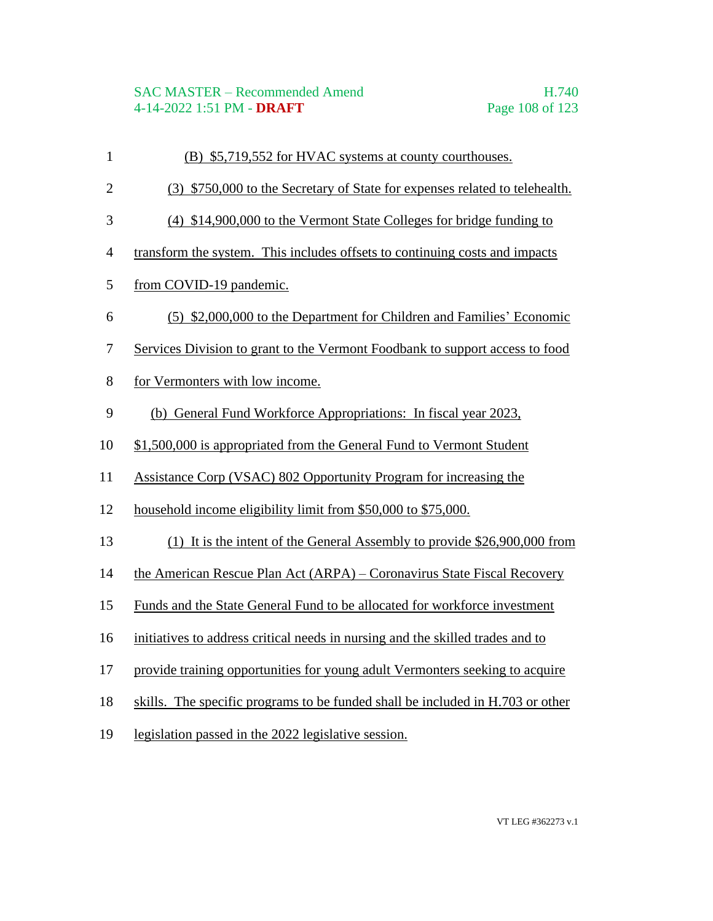- (B) \$5,719,552 for HVAC systems at county courthouses.
- (3) \$750,000 to the Secretary of State for expenses related to telehealth.
- (4) \$14,900,000 to the Vermont State Colleges for bridge funding to
- transform the system. This includes offsets to continuing costs and impacts
- from COVID-19 pandemic.
- (5) \$2,000,000 to the Department for Children and Families' Economic
- Services Division to grant to the Vermont Foodbank to support access to food
- for Vermonters with low income.
- (b) General Fund Workforce Appropriations: In fiscal year 2023,
- \$1,500,000 is appropriated from the General Fund to Vermont Student
- Assistance Corp (VSAC) 802 Opportunity Program for increasing the
- household income eligibility limit from \$50,000 to \$75,000.
- (1) It is the intent of the General Assembly to provide \$26,900,000 from
- the American Rescue Plan Act (ARPA) Coronavirus State Fiscal Recovery
- Funds and the State General Fund to be allocated for workforce investment
- initiatives to address critical needs in nursing and the skilled trades and to
- provide training opportunities for young adult Vermonters seeking to acquire
- skills. The specific programs to be funded shall be included in H.703 or other
- legislation passed in the 2022 legislative session.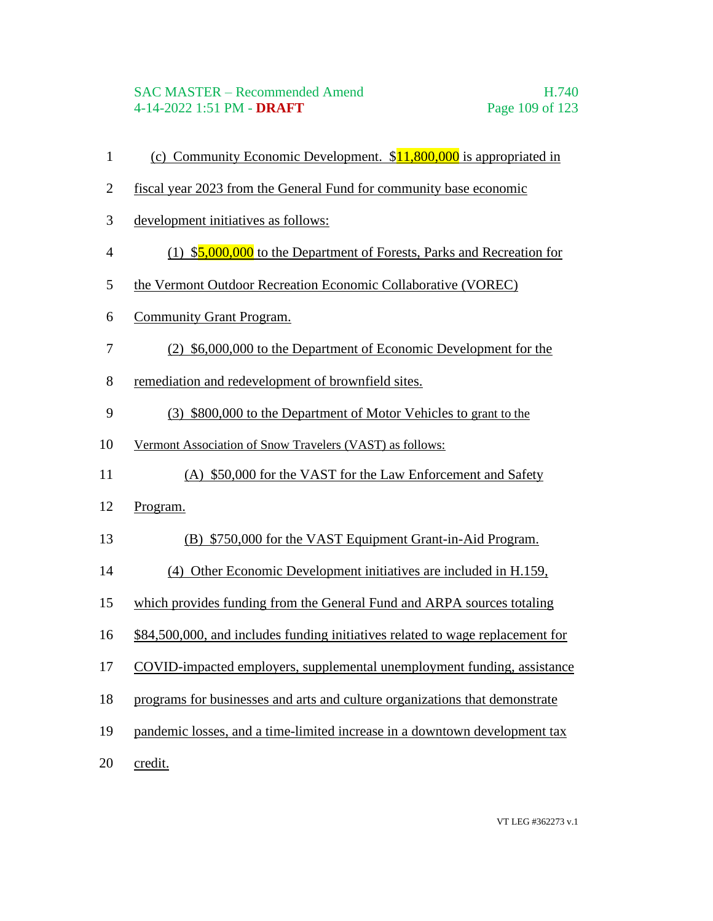- 1 (c) Community Economic Development.  $$11,800,000$  is appropriated in
- fiscal year 2023 from the General Fund for community base economic
- development initiatives as follows:
- (1) \$5,000,000 to the Department of Forests, Parks and Recreation for
- the Vermont Outdoor Recreation Economic Collaborative (VOREC)
- Community Grant Program.
- (2) \$6,000,000 to the Department of Economic Development for the
- remediation and redevelopment of brownfield sites.
- (3) \$800,000 to the Department of Motor Vehicles to grant to the
- Vermont Association of Snow Travelers (VAST) as follows:
- (A) \$50,000 for the VAST for the Law Enforcement and Safety
- Program.
- (B) \$750,000 for the VAST Equipment Grant-in-Aid Program.
- (4) Other Economic Development initiatives are included in H.159,
- which provides funding from the General Fund and ARPA sources totaling
- \$84,500,000, and includes funding initiatives related to wage replacement for
- COVID-impacted employers, supplemental unemployment funding, assistance
- programs for businesses and arts and culture organizations that demonstrate
- pandemic losses, and a time-limited increase in a downtown development tax
- credit.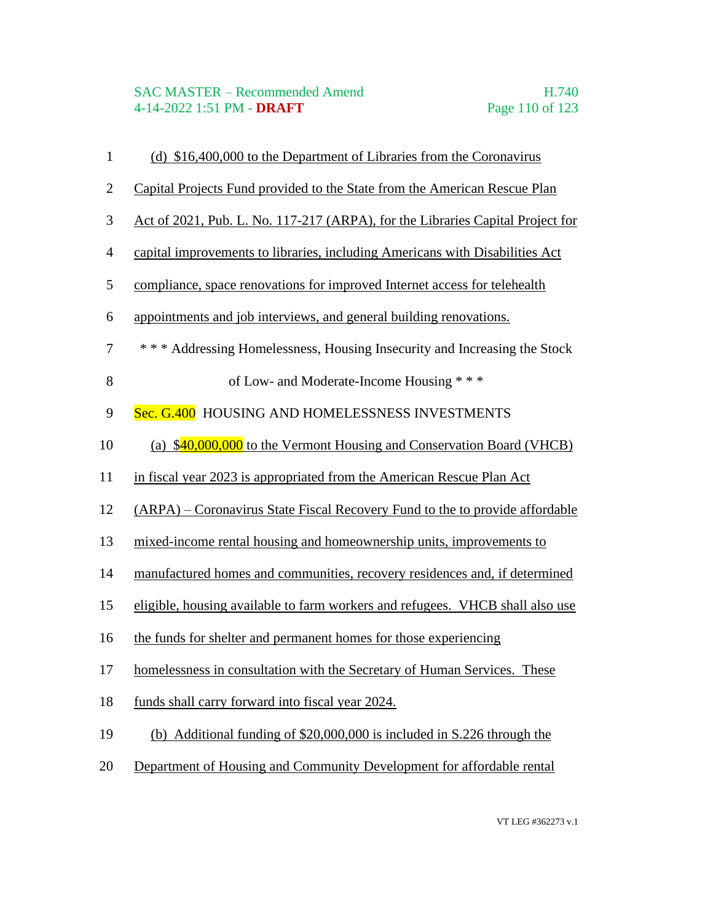| $\mathbf{1}$   | (d) \$16,400,000 to the Department of Libraries from the Coronavirus           |
|----------------|--------------------------------------------------------------------------------|
| $\mathbf{2}$   | Capital Projects Fund provided to the State from the American Rescue Plan      |
| 3              | Act of 2021, Pub. L. No. 117-217 (ARPA), for the Libraries Capital Project for |
| $\overline{4}$ | capital improvements to libraries, including Americans with Disabilities Act   |
| 5              | compliance, space renovations for improved Internet access for telehealth      |
| 6              | appointments and job interviews, and general building renovations.             |
| $\tau$         | *** Addressing Homelessness, Housing Insecurity and Increasing the Stock       |
| 8              | of Low- and Moderate-Income Housing ***                                        |
| 9              | Sec. G.400 HOUSING AND HOMELESSNESS INVESTMENTS                                |
| 10             | (a) \$40,000,000 to the Vermont Housing and Conservation Board (VHCB)          |
| 11             | in fiscal year 2023 is appropriated from the American Rescue Plan Act          |
| 12             | (ARPA) – Coronavirus State Fiscal Recovery Fund to the to provide affordable   |
| 13             | mixed-income rental housing and homeownership units, improvements to           |
| 14             | manufactured homes and communities, recovery residences and, if determined     |
| 15             | eligible, housing available to farm workers and refugees. VHCB shall also use  |
| 16             | the funds for shelter and permanent homes for those experiencing               |
| 17             | homelessness in consultation with the Secretary of Human Services. These       |
| 18             | funds shall carry forward into fiscal year 2024.                               |
| 19             | (b) Additional funding of \$20,000,000 is included in S.226 through the        |
| 20             | Department of Housing and Community Development for affordable rental          |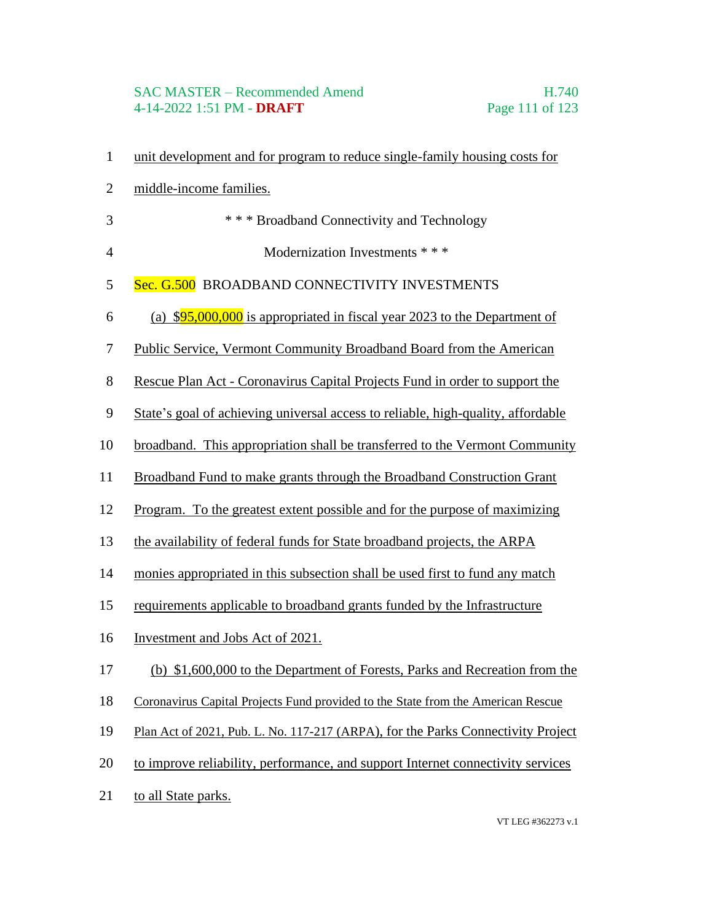# SAC MASTER – Recommended Amend<br>4-14-2022 1:51 PM - **DRAFT** Page 111 of 123 4-14-2022 1:51 PM - **DRAFT**

| $\mathbf{1}$   | unit development and for program to reduce single-family housing costs for       |
|----------------|----------------------------------------------------------------------------------|
| $\overline{2}$ | middle-income families.                                                          |
| 3              | *** Broadband Connectivity and Technology                                        |
| $\overline{4}$ | Modernization Investments * * *                                                  |
| 5              | Sec. G.500 BROADBAND CONNECTIVITY INVESTMENTS                                    |
| 6              | (a) $$95,000,000$ is appropriated in fiscal year 2023 to the Department of       |
| 7              | Public Service, Vermont Community Broadband Board from the American              |
| 8              | Rescue Plan Act - Coronavirus Capital Projects Fund in order to support the      |
| 9              | State's goal of achieving universal access to reliable, high-quality, affordable |
| 10             | broadband. This appropriation shall be transferred to the Vermont Community      |
| 11             | Broadband Fund to make grants through the Broadband Construction Grant           |
| 12             | Program. To the greatest extent possible and for the purpose of maximizing       |
| 13             | the availability of federal funds for State broadband projects, the ARPA         |
| 14             | monies appropriated in this subsection shall be used first to fund any match     |
| 15             | requirements applicable to broadband grants funded by the Infrastructure         |
| 16             | Investment and Jobs Act of 2021.                                                 |
| 17             | (b) \$1,600,000 to the Department of Forests, Parks and Recreation from the      |
| 18             | Coronavirus Capital Projects Fund provided to the State from the American Rescue |
| 19             | Plan Act of 2021, Pub. L. No. 117-217 (ARPA), for the Parks Connectivity Project |
| 20             | to improve reliability, performance, and support Internet connectivity services  |
| 21             | to all State parks.                                                              |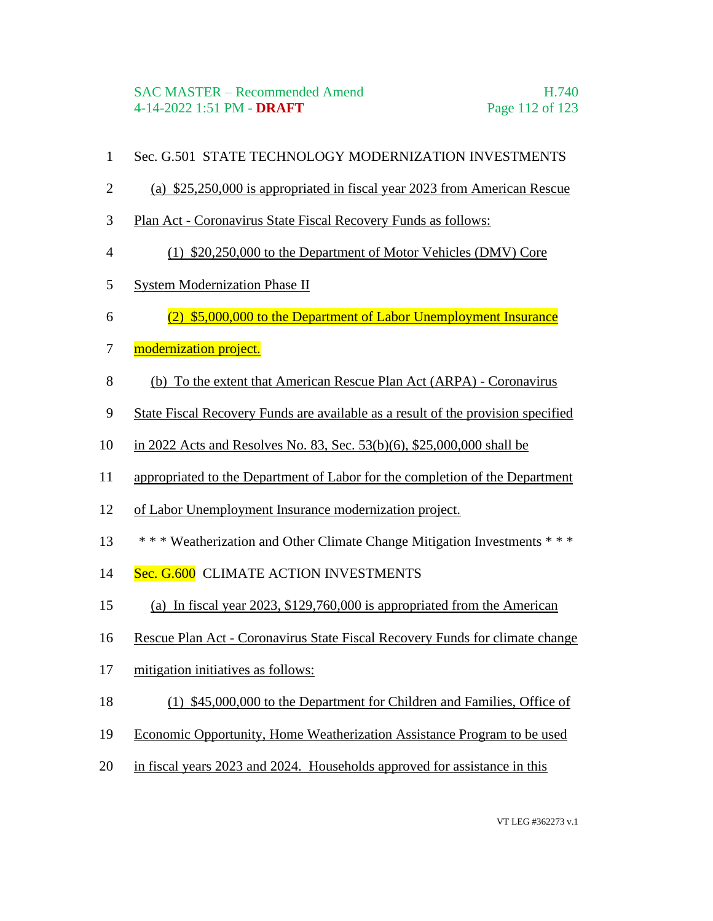- Sec. G.501 STATE TECHNOLOGY MODERNIZATION INVESTMENTS
- (a) \$25,250,000 is appropriated in fiscal year 2023 from American Rescue
- Plan Act Coronavirus State Fiscal Recovery Funds as follows:
- (1) \$20,250,000 to the Department of Motor Vehicles (DMV) Core
- System Modernization Phase II
- (2) \$5,000,000 to the Department of Labor Unemployment Insurance
- 7 modernization project.
- (b) To the extent that American Rescue Plan Act (ARPA) Coronavirus
- State Fiscal Recovery Funds are available as a result of the provision specified
- in 2022 Acts and Resolves No. 83, Sec. 53(b)(6), \$25,000,000 shall be
- appropriated to the Department of Labor for the completion of the Department
- of Labor Unemployment Insurance modernization project.
- \* \* \* Weatherization and Other Climate Change Mitigation Investments \* \* \*
- 14 Sec. G.600 CLIMATE ACTION INVESTMENTS
- (a) In fiscal year 2023, \$129,760,000 is appropriated from the American
- Rescue Plan Act Coronavirus State Fiscal Recovery Funds for climate change
- mitigation initiatives as follows:
- (1) \$45,000,000 to the Department for Children and Families, Office of
- Economic Opportunity, Home Weatherization Assistance Program to be used
- in fiscal years 2023 and 2024. Households approved for assistance in this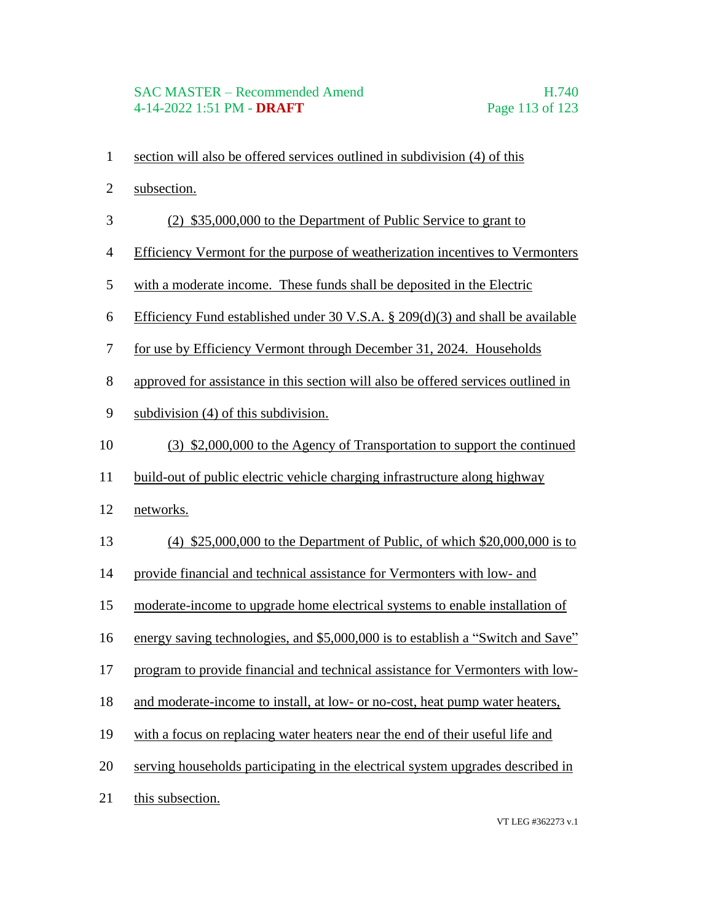#### SAC MASTER – Recommended Amend H.740 4-14-2022 1:51 PM - **DRAFT** Page 113 of 123

- section will also be offered services outlined in subdivision (4) of this
- subsection.
- (2) \$35,000,000 to the Department of Public Service to grant to
- Efficiency Vermont for the purpose of weatherization incentives to Vermonters
- with a moderate income. These funds shall be deposited in the Electric
- Efficiency Fund established under 30 V.S.A. § 209(d)(3) and shall be available
- for use by Efficiency Vermont through December 31, 2024. Households
- approved for assistance in this section will also be offered services outlined in
- subdivision (4) of this subdivision.
- (3) \$2,000,000 to the Agency of Transportation to support the continued
- build-out of public electric vehicle charging infrastructure along highway
- networks.
- (4) \$25,000,000 to the Department of Public, of which \$20,000,000 is to
- provide financial and technical assistance for Vermonters with low- and
- moderate-income to upgrade home electrical systems to enable installation of
- energy saving technologies, and \$5,000,000 is to establish a "Switch and Save"
- program to provide financial and technical assistance for Vermonters with low-
- and moderate-income to install, at low- or no-cost, heat pump water heaters,
- with a focus on replacing water heaters near the end of their useful life and
- serving households participating in the electrical system upgrades described in
- this subsection.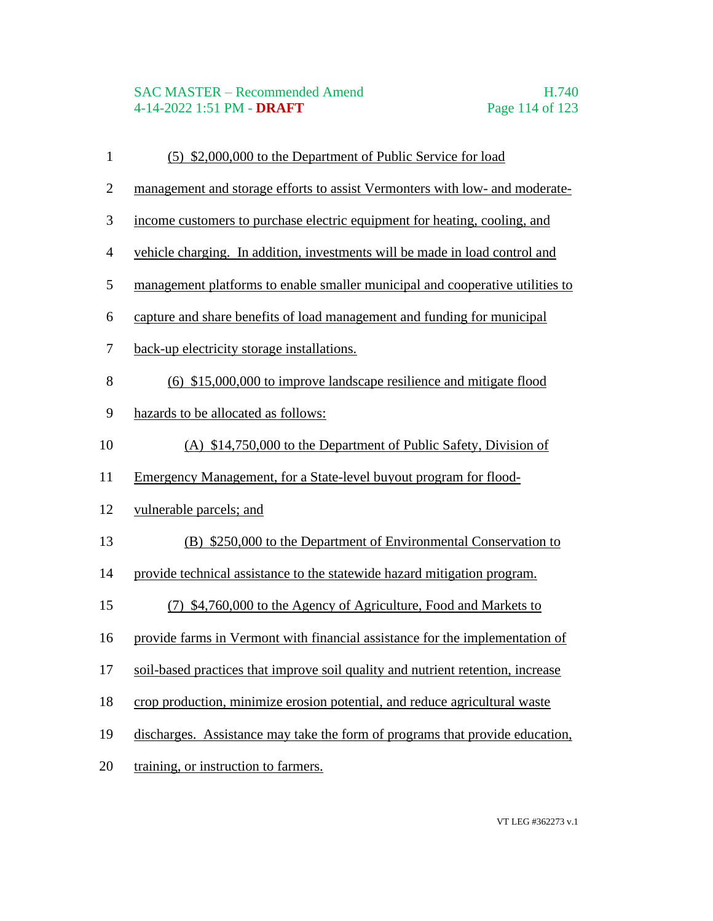# SAC MASTER – Recommended Amend<br>4-14-2022 1:51 PM - **DRAFT** Page 114 of 123 4-14-2022 1:51 PM - **DRAFT**

| $\mathbf{1}$   | (5) \$2,000,000 to the Department of Public Service for load                    |
|----------------|---------------------------------------------------------------------------------|
| $\overline{2}$ | management and storage efforts to assist Vermonters with low- and moderate-     |
| 3              | income customers to purchase electric equipment for heating, cooling, and       |
| $\overline{4}$ | vehicle charging. In addition, investments will be made in load control and     |
| 5              | management platforms to enable smaller municipal and cooperative utilities to   |
| 6              | capture and share benefits of load management and funding for municipal         |
| 7              | back-up electricity storage installations.                                      |
| 8              | (6) \$15,000,000 to improve landscape resilience and mitigate flood             |
| 9              | hazards to be allocated as follows:                                             |
| 10             | (A) \$14,750,000 to the Department of Public Safety, Division of                |
| 11             | Emergency Management, for a State-level buyout program for flood-               |
| 12             | vulnerable parcels; and                                                         |
| 13             | (B) \$250,000 to the Department of Environmental Conservation to                |
| 14             | provide technical assistance to the statewide hazard mitigation program.        |
| 15             | (7) \$4,760,000 to the Agency of Agriculture, Food and Markets to               |
| 16             | provide farms in Vermont with financial assistance for the implementation of    |
| 17             | soil-based practices that improve soil quality and nutrient retention, increase |
| 18             | crop production, minimize erosion potential, and reduce agricultural waste      |
| 19             | discharges. Assistance may take the form of programs that provide education,    |
| 20             | training, or instruction to farmers.                                            |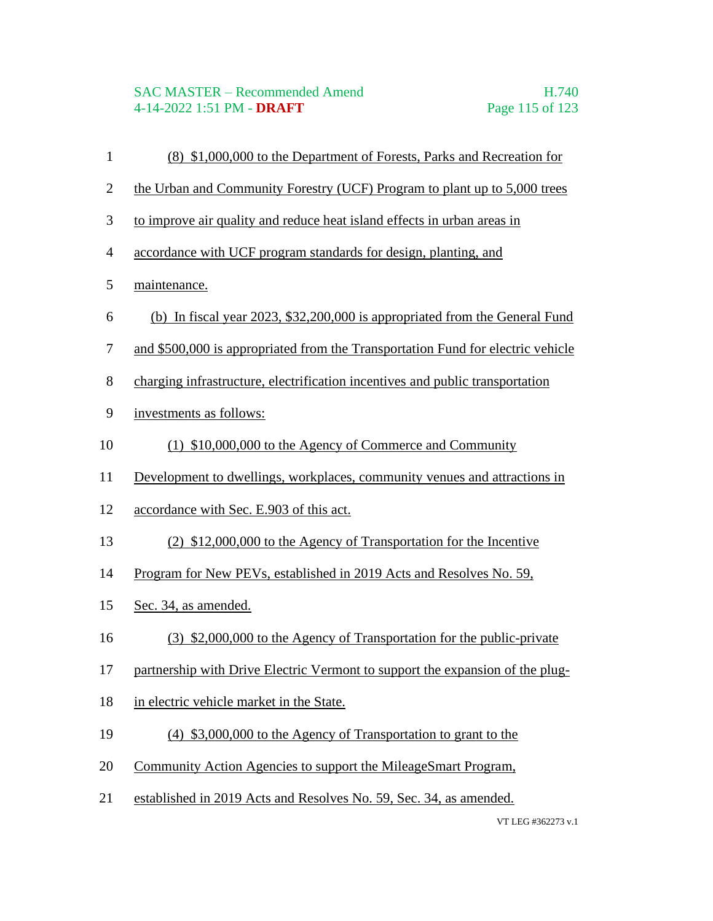- (8) \$1,000,000 to the Department of Forests, Parks and Recreation for
- 2 the Urban and Community Forestry (UCF) Program to plant up to 5,000 trees
- to improve air quality and reduce heat island effects in urban areas in
- accordance with UCF program standards for design, planting, and
- maintenance.
- (b) In fiscal year 2023, \$32,200,000 is appropriated from the General Fund
- and \$500,000 is appropriated from the Transportation Fund for electric vehicle
- charging infrastructure, electrification incentives and public transportation
- investments as follows:
- (1) \$10,000,000 to the Agency of Commerce and Community
- Development to dwellings, workplaces, community venues and attractions in
- accordance with Sec. E.903 of this act.
- (2) \$12,000,000 to the Agency of Transportation for the Incentive
- Program for New PEVs, established in 2019 Acts and Resolves No. 59,
- Sec. 34, as amended.
- (3) \$2,000,000 to the Agency of Transportation for the public-private
- partnership with Drive Electric Vermont to support the expansion of the plug-
- 18 in electric vehicle market in the State.
- (4) \$3,000,000 to the Agency of Transportation to grant to the
- Community Action Agencies to support the MileageSmart Program,
- established in 2019 Acts and Resolves No. 59, Sec. 34, as amended.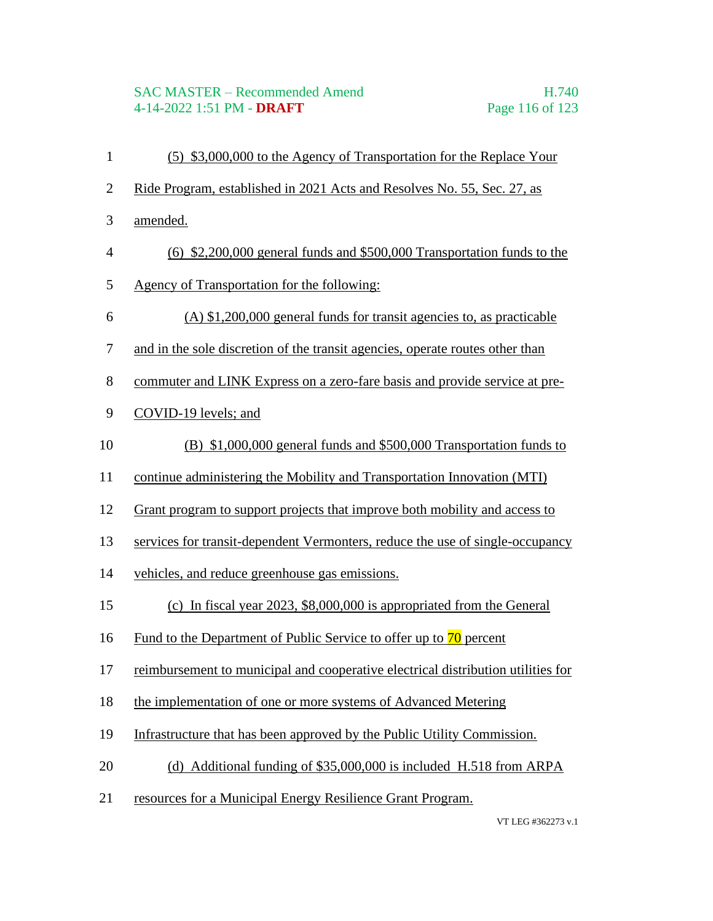### SAC MASTER – Recommended Amend H.740 4-14-2022 1:51 PM - **DRAFT** Page 116 of 123

 (5) \$3,000,000 to the Agency of Transportation for the Replace Your Ride Program, established in 2021 Acts and Resolves No. 55, Sec. 27, as amended. (6) \$2,200,000 general funds and \$500,000 Transportation funds to the Agency of Transportation for the following: (A) \$1,200,000 general funds for transit agencies to, as practicable and in the sole discretion of the transit agencies, operate routes other than commuter and LINK Express on a zero-fare basis and provide service at pre- COVID-19 levels; and (B) \$1,000,000 general funds and \$500,000 Transportation funds to continue administering the Mobility and Transportation Innovation (MTI) Grant program to support projects that improve both mobility and access to services for transit-dependent Vermonters, reduce the use of single-occupancy vehicles, and reduce greenhouse gas emissions. (c) In fiscal year 2023, \$8,000,000 is appropriated from the General 16 Fund to the Department of Public Service to offer up to  $\frac{70}{0}$  percent reimbursement to municipal and cooperative electrical distribution utilities for the implementation of one or more systems of Advanced Metering Infrastructure that has been approved by the Public Utility Commission. (d) Additional funding of \$35,000,000 is included H.518 from ARPA resources for a Municipal Energy Resilience Grant Program.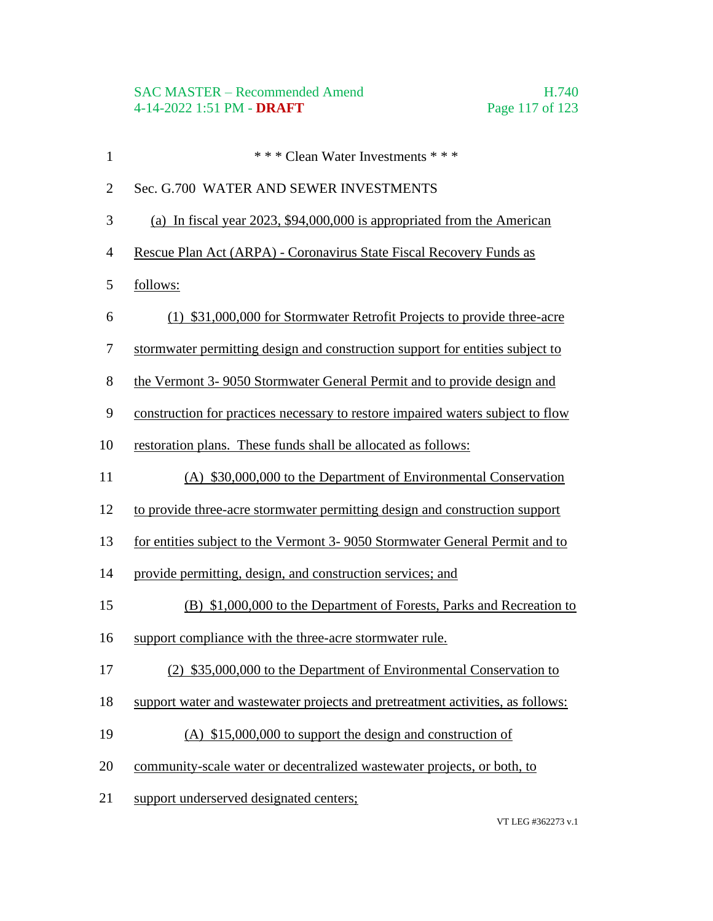| $\mathbf{1}$     | *** Clean Water Investments ***                                                 |
|------------------|---------------------------------------------------------------------------------|
| $\overline{2}$   | Sec. G.700 WATER AND SEWER INVESTMENTS                                          |
| 3                | (a) In fiscal year $2023$ , \$94,000,000 is appropriated from the American      |
| $\overline{4}$   | Rescue Plan Act (ARPA) - Coronavirus State Fiscal Recovery Funds as             |
| 5                | follows:                                                                        |
| 6                | (1) \$31,000,000 for Stormwater Retrofit Projects to provide three-acre         |
| $\boldsymbol{7}$ | stormwater permitting design and construction support for entities subject to   |
| 8                | the Vermont 3-9050 Stormwater General Permit and to provide design and          |
| 9                | construction for practices necessary to restore impaired waters subject to flow |
| 10               | restoration plans. These funds shall be allocated as follows:                   |
| 11               | (A) \$30,000,000 to the Department of Environmental Conservation                |
| 12               | to provide three-acre stormwater permitting design and construction support     |
| 13               | for entities subject to the Vermont 3-9050 Stormwater General Permit and to     |
| 14               | provide permitting, design, and construction services; and                      |
| 15               | (B) \$1,000,000 to the Department of Forests, Parks and Recreation to           |
| 16               | support compliance with the three-acre stormwater rule.                         |
| 17               | (2) \$35,000,000 to the Department of Environmental Conservation to             |
| 18               | support water and wastewater projects and pretreatment activities, as follows:  |
| 19               | (A) $$15,000,000$ to support the design and construction of                     |
| 20               | community-scale water or decentralized wastewater projects, or both, to         |
| 21               | support underserved designated centers;                                         |
|                  |                                                                                 |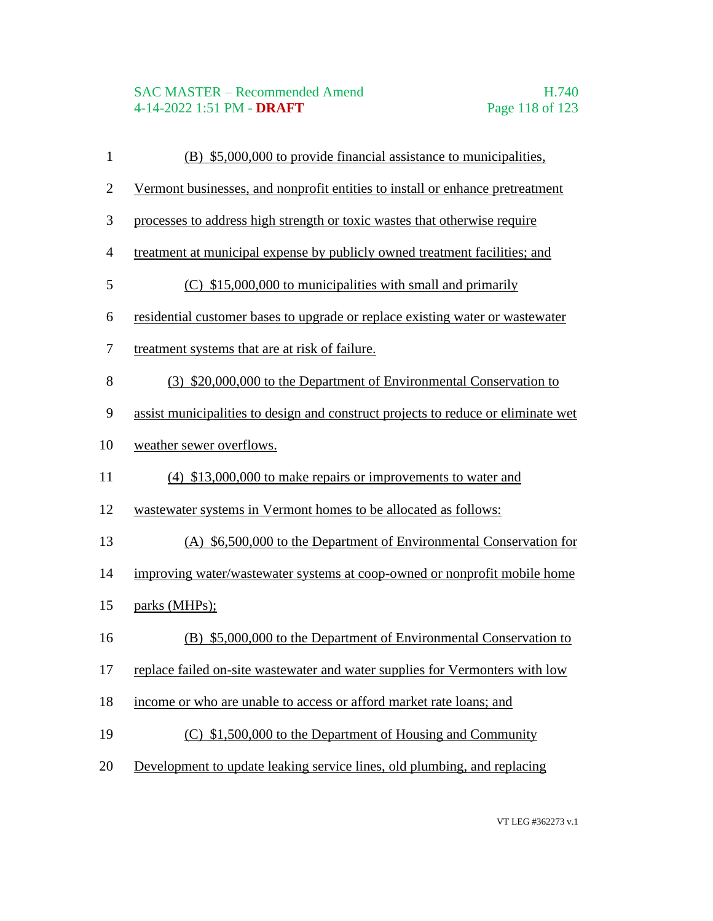#### SAC MASTER – Recommended Amend H.740 4-14-2022 1:51 PM - **DRAFT** Page 118 of 123

- (B) \$5,000,000 to provide financial assistance to municipalities,
- Vermont businesses, and nonprofit entities to install or enhance pretreatment
- processes to address high strength or toxic wastes that otherwise require
- treatment at municipal expense by publicly owned treatment facilities; and
- (C) \$15,000,000 to municipalities with small and primarily
- residential customer bases to upgrade or replace existing water or wastewater
- treatment systems that are at risk of failure.
- (3) \$20,000,000 to the Department of Environmental Conservation to
- assist municipalities to design and construct projects to reduce or eliminate wet
- weather sewer overflows.
- (4) \$13,000,000 to make repairs or improvements to water and
- wastewater systems in Vermont homes to be allocated as follows:
- (A) \$6,500,000 to the Department of Environmental Conservation for
- improving water/wastewater systems at coop-owned or nonprofit mobile home
- parks (MHPs);
- (B) \$5,000,000 to the Department of Environmental Conservation to
- replace failed on-site wastewater and water supplies for Vermonters with low
- income or who are unable to access or afford market rate loans; and
- (C) \$1,500,000 to the Department of Housing and Community
- Development to update leaking service lines, old plumbing, and replacing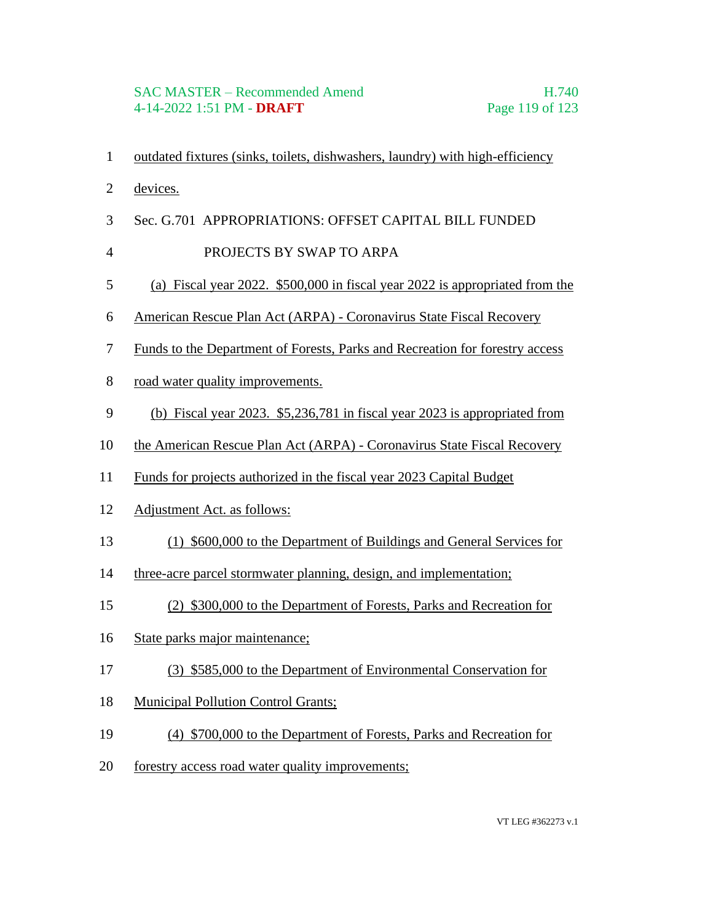- outdated fixtures (sinks, toilets, dishwashers, laundry) with high-efficiency
- devices.
- Sec. G.701 APPROPRIATIONS: OFFSET CAPITAL BILL FUNDED
- 4 PROJECTS BY SWAP TO ARPA
- (a) Fiscal year 2022. \$500,000 in fiscal year 2022 is appropriated from the
- American Rescue Plan Act (ARPA) Coronavirus State Fiscal Recovery
- Funds to the Department of Forests, Parks and Recreation for forestry access
- road water quality improvements.
- (b) Fiscal year 2023. \$5,236,781 in fiscal year 2023 is appropriated from
- the American Rescue Plan Act (ARPA) Coronavirus State Fiscal Recovery
- Funds for projects authorized in the fiscal year 2023 Capital Budget
- Adjustment Act. as follows:
- (1) \$600,000 to the Department of Buildings and General Services for
- three-acre parcel stormwater planning, design, and implementation;
- (2) \$300,000 to the Department of Forests, Parks and Recreation for
- State parks major maintenance;
- (3) \$585,000 to the Department of Environmental Conservation for
- Municipal Pollution Control Grants;
- (4) \$700,000 to the Department of Forests, Parks and Recreation for
- forestry access road water quality improvements;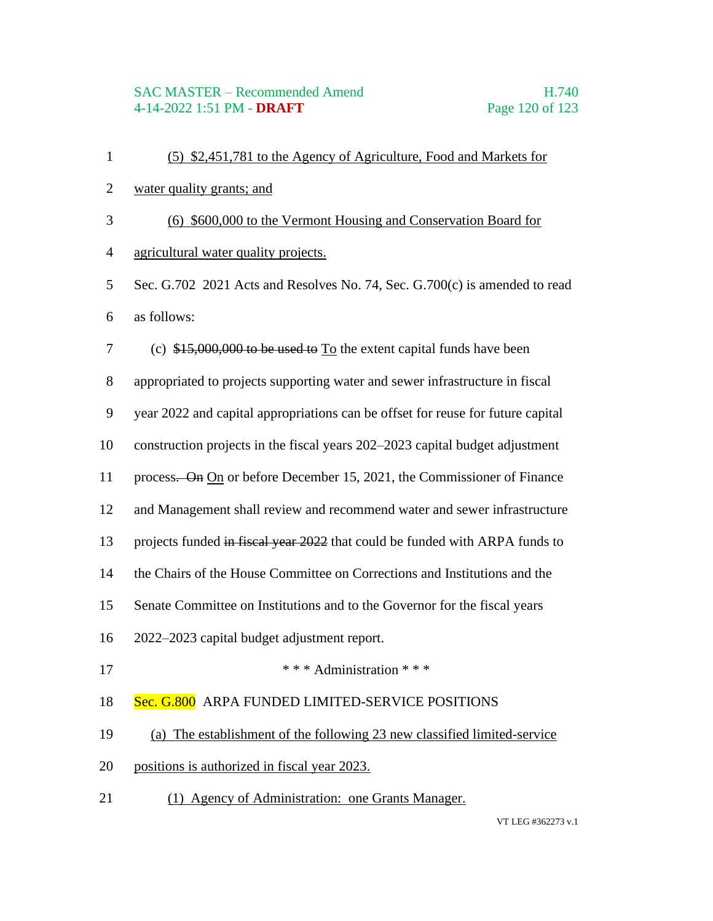#### SAC MASTER – Recommended Amend H.740 4-14-2022 1:51 PM - **DRAFT** Page 120 of 123

- (5) \$2,451,781 to the Agency of Agriculture, Food and Markets for
- water quality grants; and
- (6) \$600,000 to the Vermont Housing and Conservation Board for
- agricultural water quality projects.
- Sec. G.702 2021 Acts and Resolves No. 74, Sec. G.700(c) is amended to read as follows:
- (c) \$15,000,000 to be used to To the extent capital funds have been
- appropriated to projects supporting water and sewer infrastructure in fiscal
- year 2022 and capital appropriations can be offset for reuse for future capital
- construction projects in the fiscal years 202–2023 capital budget adjustment
- 11 process. On On or before December 15, 2021, the Commissioner of Finance
- and Management shall review and recommend water and sewer infrastructure
- 13 projects funded in fiscal year 2022 that could be funded with ARPA funds to
- the Chairs of the House Committee on Corrections and Institutions and the
- Senate Committee on Institutions and to the Governor for the fiscal years
- 2022–2023 capital budget adjustment report.
- **\*\*\*** Administration \*\*\*

#### 18 Sec. G.800 ARPA FUNDED LIMITED-SERVICE POSITIONS

- (a) The establishment of the following 23 new classified limited-service
- positions is authorized in fiscal year 2023.
- (1) Agency of Administration: one Grants Manager.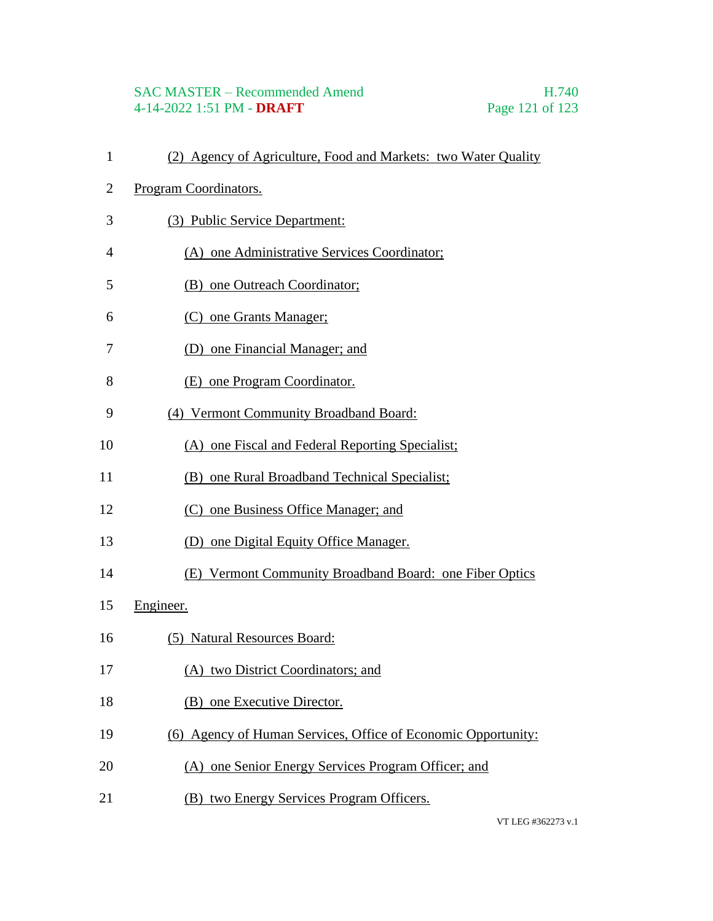# SAC MASTER – Recommended Amend<br>4-14-2022 1:51 PM - DRAFT<br>Page 121 of 123 4-14-2022 1:51 PM - **DRAFT**

| $\mathbf{1}$ | (2) Agency of Agriculture, Food and Markets: two Water Quality |
|--------------|----------------------------------------------------------------|
| 2            | Program Coordinators.                                          |
| 3            | (3) Public Service Department:                                 |
| 4            | (A) one Administrative Services Coordinator;                   |
| 5            | (B) one Outreach Coordinator;                                  |
| 6            | (C) one Grants Manager;                                        |
| 7            | (D) one Financial Manager; and                                 |
| 8            | (E) one Program Coordinator.                                   |
| 9            | (4) Vermont Community Broadband Board:                         |
| 10           | (A) one Fiscal and Federal Reporting Specialist;               |
| 11           | (B) one Rural Broadband Technical Specialist;                  |
| 12           | (C) one Business Office Manager; and                           |
| 13           | (D) one Digital Equity Office Manager.                         |
| 14           | (E) Vermont Community Broadband Board: one Fiber Optics        |
| 15           | Engineer.                                                      |
| 16           | (5) Natural Resources Board:                                   |
| 17           | (A) two District Coordinators; and                             |
| 18           | (B) one Executive Director.                                    |
| 19           | (6) Agency of Human Services, Office of Economic Opportunity:  |
| 20           | (A) one Senior Energy Services Program Officer; and            |
| 21           | (B) two Energy Services Program Officers.                      |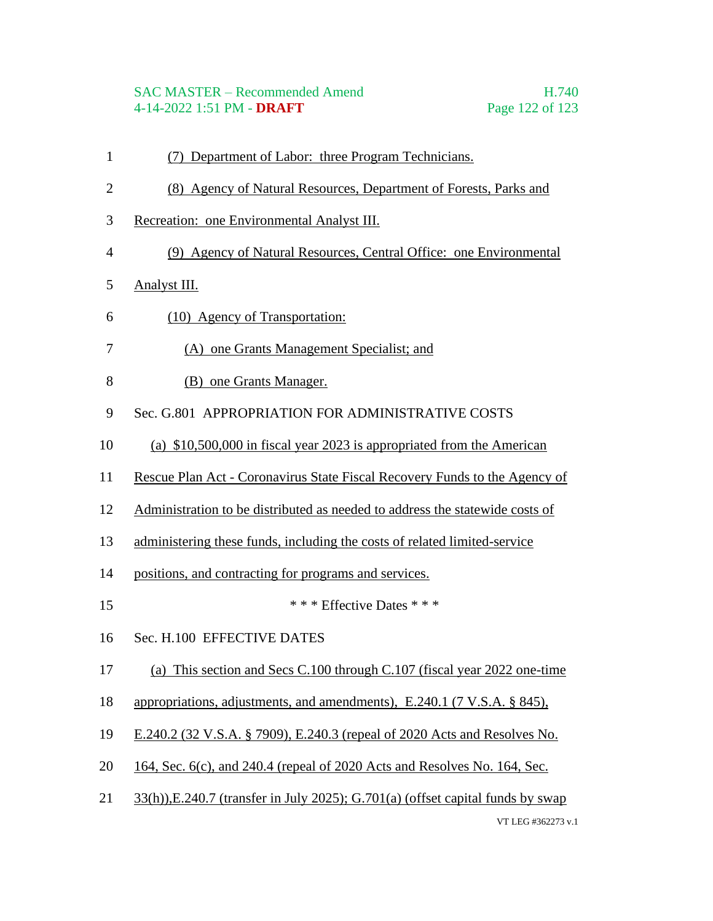### SAC MASTER – Recommended Amend H.740 4-14-2022 1:51 PM - **DRAFT** Page 122 of 123

- (7) Department of Labor: three Program Technicians.
- (8) Agency of Natural Resources, Department of Forests, Parks and
- Recreation: one Environmental Analyst III.
- (9) Agency of Natural Resources, Central Office: one Environmental
- Analyst III.
- (10) Agency of Transportation:
- (A) one Grants Management Specialist; and
- (B) one Grants Manager.
- Sec. G.801 APPROPRIATION FOR ADMINISTRATIVE COSTS
- (a) \$10,500,000 in fiscal year 2023 is appropriated from the American
- Rescue Plan Act Coronavirus State Fiscal Recovery Funds to the Agency of
- Administration to be distributed as needed to address the statewide costs of
- administering these funds, including the costs of related limited-service
- positions, and contracting for programs and services.
- 15 \*\*\* Effective Dates \* \* \*
- Sec. H.100 EFFECTIVE DATES
- (a) This section and Secs C.100 through C.107 (fiscal year 2022 one-time
- appropriations, adjustments, and amendments), E.240.1 (7 V.S.A. § 845),
- E.240.2 (32 V.S.A. § 7909), E.240.3 (repeal of 2020 Acts and Resolves No.
- 164, Sec. 6(c), and 240.4 (repeal of 2020 Acts and Resolves No. 164, Sec.
- VT LEG #362273 v.1 33(h)),E.240.7 (transfer in July 2025); G.701(a) (offset capital funds by swap